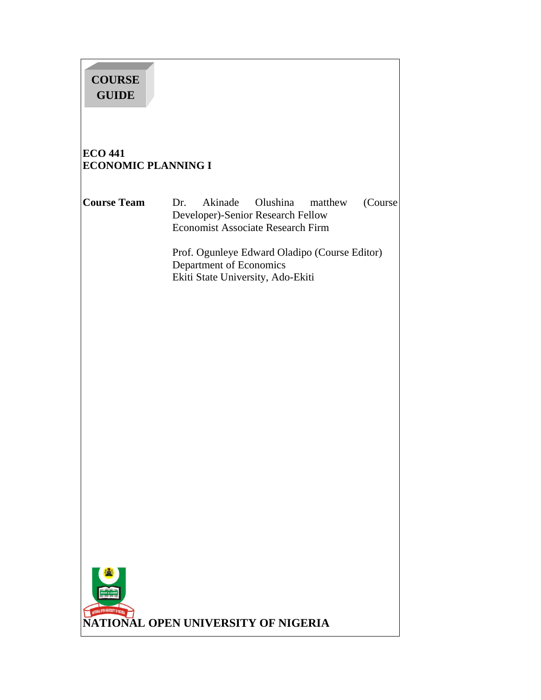# **ECO 441 ECONOMIC PLANNING I COURSE GUIDE**

**Course Team** Dr. Akinade Olushina matthew (Course Developer)-Senior Research Fellow Economist Associate Research Firm

> Prof. Ogunleye Edward Oladipo (Course Editor) Department of Economics Ekiti State University, Ado-Ekiti

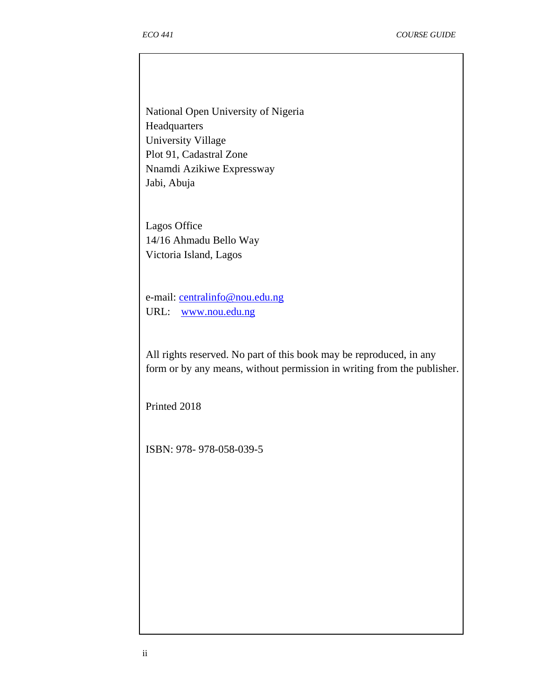National Open University of Nigeria Headquarters University Village Plot 91, Cadastral Zone Nnamdi Azikiwe Expressway Jabi, Abuja

Lagos Office 14/16 Ahmadu Bello Way Victoria Island, Lagos

e-mail: centralinfo@nou.edu.ng URL: www.nou.edu.ng

All rights reserved. No part of this book may be reproduced, in any form or by any means, without permission in writing from the publisher.

Printed 2018

ISBN: 978- 978-058-039-5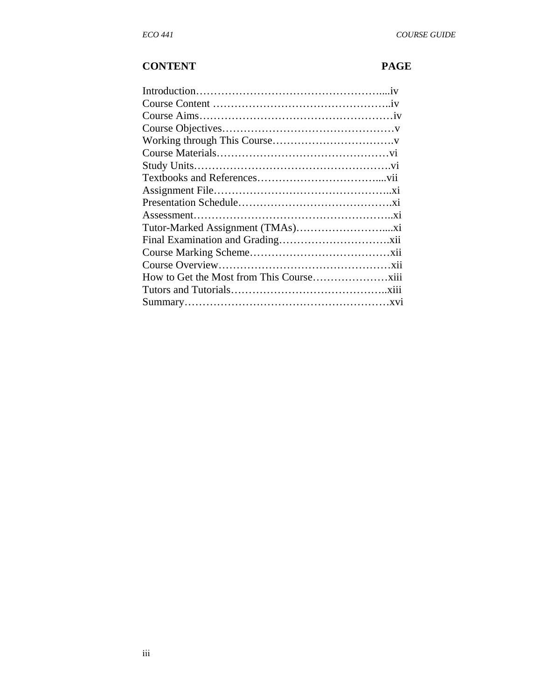# **CONTENT PAGE**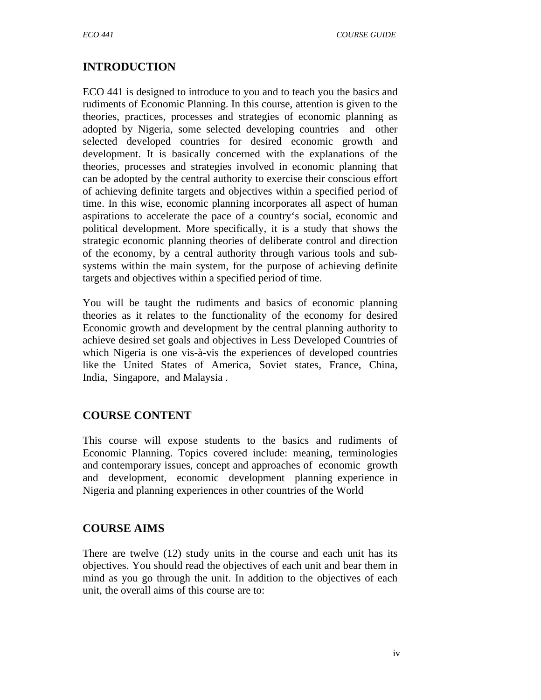# **INTRODUCTION**

ECO 441 is designed to introduce to you and to teach you the basics and rudiments of Economic Planning. In this course, attention is given to the theories, practices, processes and strategies of economic planning as adopted by Nigeria, some selected developing countries and other selected developed countries for desired economic growth and development. It is basically concerned with the explanations of the theories, processes and strategies involved in economic planning that can be adopted by the central authority to exercise their conscious effort of achieving definite targets and objectives within a specified period of time. In this wise, economic planning incorporates all aspect of human aspirations to accelerate the pace of a country's social, economic and political development. More specifically, it is a study that shows the strategic economic planning theories of deliberate control and direction of the economy, by a central authority through various tools and subsystems within the main system, for the purpose of achieving definite targets and objectives within a specified period of time.

You will be taught the rudiments and basics of economic planning theories as it relates to the functionality of the economy for desired Economic growth and development by the central planning authority to achieve desired set goals and objectives in Less Developed Countries of which Nigeria is one vis-à-vis the experiences of developed countries like the United States of America, Soviet states, France, China, India, Singapore, and Malaysia .

# **COURSE CONTENT**

This course will expose students to the basics and rudiments of Economic Planning. Topics covered include: meaning, terminologies and contemporary issues, concept and approaches of economic growth and development, economic development planning experience in Nigeria and planning experiences in other countries of the World

# **COURSE AIMS**

There are twelve (12) study units in the course and each unit has its objectives. You should read the objectives of each unit and bear them in mind as you go through the unit. In addition to the objectives of each unit, the overall aims of this course are to: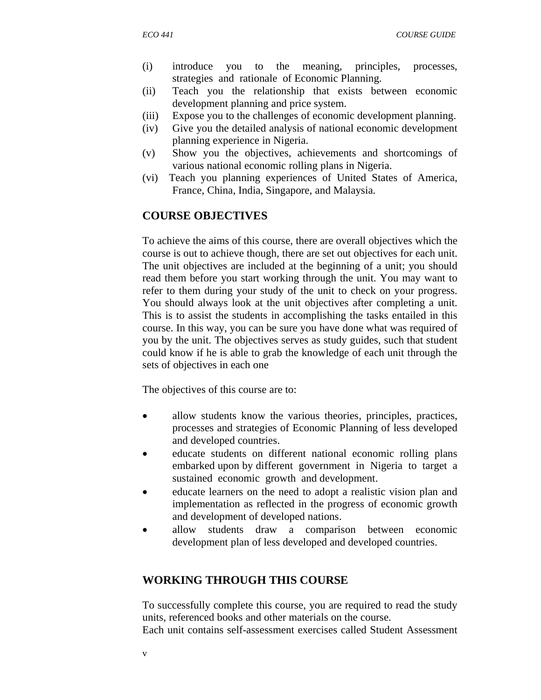- (i) introduce you to the meaning, principles, processes, strategies and rationale of Economic Planning.
- (ii) Teach you the relationship that exists between economic development planning and price system.
- (iii) Expose you to the challenges of economic development planning.
- (iv) Give you the detailed analysis of national economic development planning experience in Nigeria.
- (v) Show you the objectives, achievements and shortcomings of various national economic rolling plans in Nigeria.
- (vi) Teach you planning experiences of United States of America, France, China, India, Singapore, and Malaysia.

# **COURSE OBJECTIVES**

To achieve the aims of this course, there are overall objectives which the course is out to achieve though, there are set out objectives for each unit. The unit objectives are included at the beginning of a unit; you should read them before you start working through the unit. You may want to refer to them during your study of the unit to check on your progress. You should always look at the unit objectives after completing a unit. This is to assist the students in accomplishing the tasks entailed in this course. In this way, you can be sure you have done what was required of you by the unit. The objectives serves as study guides, such that student could know if he is able to grab the knowledge of each unit through the sets of objectives in each one

The objectives of this course are to:

- allow students know the various theories, principles, practices, processes and strategies of Economic Planning of less developed and developed countries.
- educate students on different national economic rolling plans embarked upon by different government in Nigeria to target a sustained economic growth and development.
- educate learners on the need to adopt a realistic vision plan and implementation as reflected in the progress of economic growth and development of developed nations.
- allow students draw a comparison between economic development plan of less developed and developed countries.

# **WORKING THROUGH THIS COURSE**

To successfully complete this course, you are required to read the study units, referenced books and other materials on the course.

Each unit contains self-assessment exercises called Student Assessment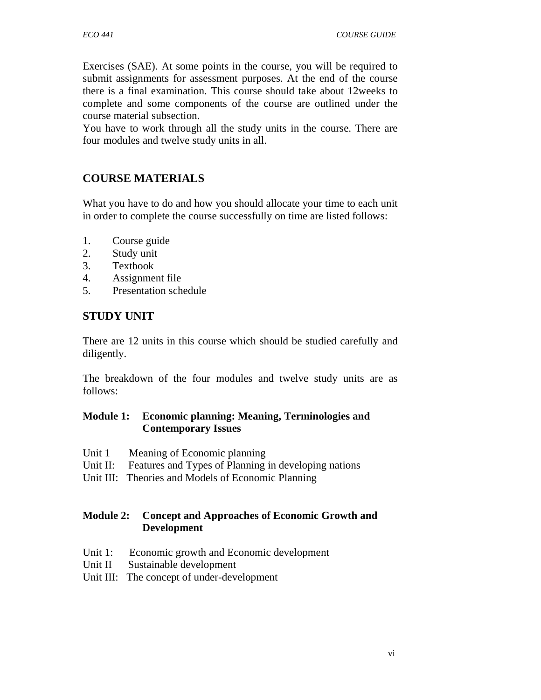Exercises (SAE). At some points in the course, you will be required to submit assignments for assessment purposes. At the end of the course there is a final examination. This course should take about 12weeks to complete and some components of the course are outlined under the course material subsection.

You have to work through all the study units in the course. There are four modules and twelve study units in all.

# **COURSE MATERIALS**

What you have to do and how you should allocate your time to each unit in order to complete the course successfully on time are listed follows:

- 1. Course guide
- 2. Study unit
- 3. Textbook
- 4. Assignment file
- 5. Presentation schedule

# **STUDY UNIT**

There are 12 units in this course which should be studied carefully and diligently.

The breakdown of the four modules and twelve study units are as follows:

# **Module 1: Economic planning: Meaning, Terminologies and Contemporary Issues**

- Unit 1 Meaning of Economic planning
- Unit II: Features and Types of Planning in developing nations
- Unit III: Theories and Models of Economic Planning

### **Module 2: Concept and Approaches of Economic Growth and Development**

- Unit 1: Economic growth and Economic development
- Unit II Sustainable development
- Unit III: The concept of under-development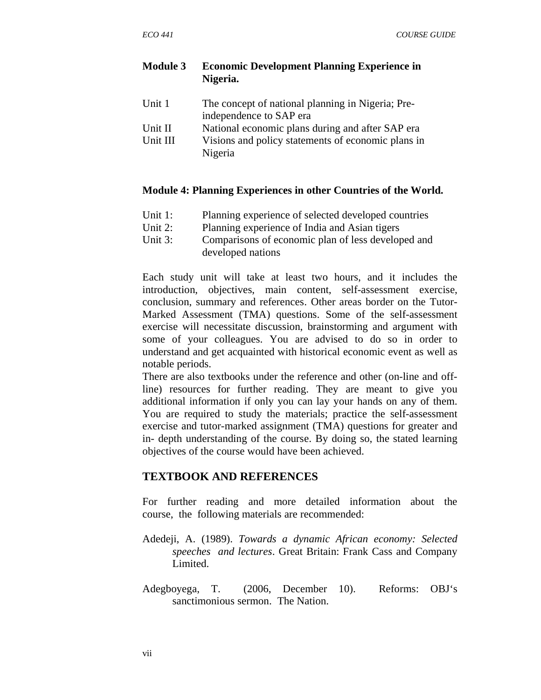### **Module 3 Economic Development Planning Experience in Nigeria.**

| Unit 1   | The concept of national planning in Nigeria; Pre-  |
|----------|----------------------------------------------------|
|          | independence to SAP era                            |
| Unit II  | National economic plans during and after SAP era   |
| Unit III | Visions and policy statements of economic plans in |
|          | Nigeria                                            |

#### **Module 4: Planning Experiences in other Countries of the World.**

- Unit 1: Planning experience of selected developed countries
- Unit 2: Planning experience of India and Asian tigers
- Unit 3: Comparisons of economic plan of less developed and developed nations

Each study unit will take at least two hours, and it includes the introduction, objectives, main content, self-assessment exercise, conclusion, summary and references. Other areas border on the Tutor-Marked Assessment (TMA) questions. Some of the self-assessment exercise will necessitate discussion, brainstorming and argument with some of your colleagues. You are advised to do so in order to understand and get acquainted with historical economic event as well as notable periods.

There are also textbooks under the reference and other (on-line and offline) resources for further reading. They are meant to give you additional information if only you can lay your hands on any of them. You are required to study the materials; practice the self-assessment exercise and tutor-marked assignment (TMA) questions for greater and in- depth understanding of the course. By doing so, the stated learning objectives of the course would have been achieved.

# **TEXTBOOK AND REFERENCES**

For further reading and more detailed information about the course, the following materials are recommended:

- Adedeji, A. (1989). *Towards a dynamic African economy: Selected speeches and lectures*. Great Britain: Frank Cass and Company Limited.
- Adegboyega, T. (2006, December 10). Reforms: OBJ's sanctimonious sermon. The Nation.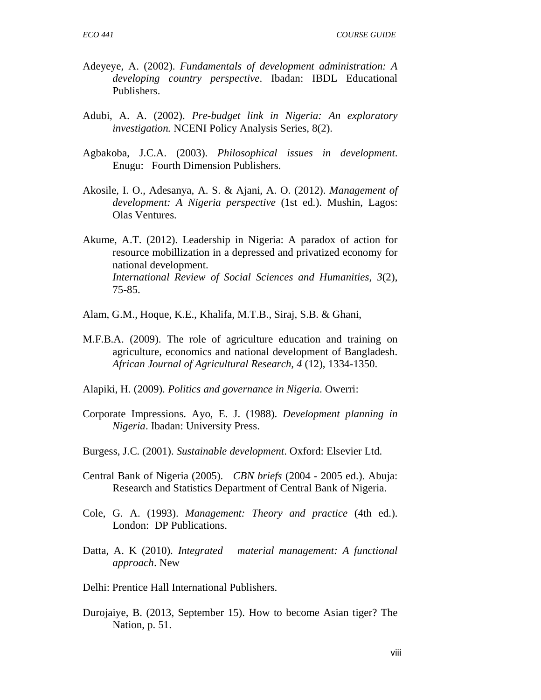- Adeyeye, A. (2002). *Fundamentals of development administration: A developing country perspective*. Ibadan: IBDL Educational Publishers.
- Adubi, A. A. (2002). *Pre-budget link in Nigeria: An exploratory investigation.* NCENI Policy Analysis Series, 8(2).
- Agbakoba, J.C.A. (2003). *Philosophical issues in development*. Enugu: Fourth Dimension Publishers.
- Akosile, I. O., Adesanya, A. S. & Ajani, A. O. (2012). *Management of development: A Nigeria perspective* (1st ed.). Mushin, Lagos: Olas Ventures.
- Akume, A.T. (2012). Leadership in Nigeria: A paradox of action for resource mobillization in a depressed and privatized economy for national development.  *International Review of Social Sciences and Humanities, 3*(2), 75-85.
- Alam, G.M., Hoque, K.E., Khalifa, M.T.B., Siraj, S.B. & Ghani,
- M.F.B.A. (2009). The role of agriculture education and training on agriculture, economics and national development of Bangladesh. *African Journal of Agricultural Research, 4* (12), 1334-1350.
- Alapiki, H. (2009). *Politics and governance in Nigeria*. Owerri:
- Corporate Impressions. Ayo, E. J. (1988). *Development planning in Nigeria*. Ibadan: University Press.
- Burgess, J.C. (2001). *Sustainable development*. Oxford: Elsevier Ltd.
- Central Bank of Nigeria (2005). *CBN briefs* (2004 2005 ed.). Abuja: Research and Statistics Department of Central Bank of Nigeria.
- Cole, G. A. (1993). *Management: Theory and practice* (4th ed.). London: DP Publications.
- Datta, A. K (2010). *Integrated material management: A functional approach*. New
- Delhi: Prentice Hall International Publishers.
- Durojaiye, B. (2013, September 15). How to become Asian tiger? The Nation, p. 51.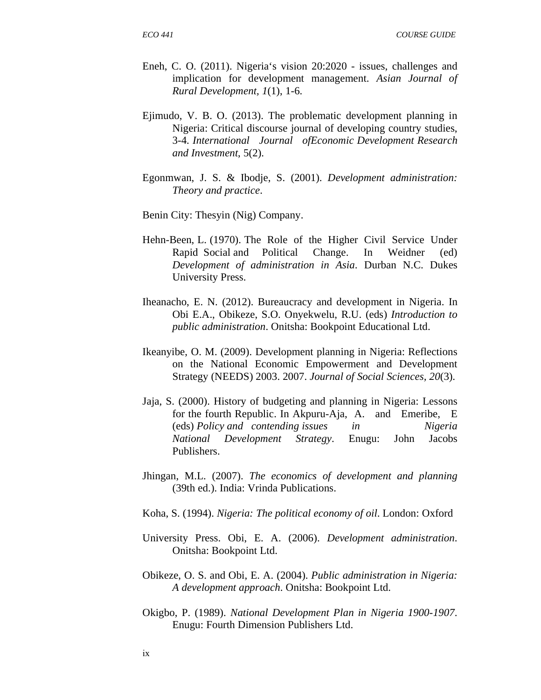- Eneh, C. O. (2011). Nigeria's vision 20:2020 issues, challenges and implication for development management. *Asian Journal of Rural Development, 1*(1), 1-6.
- Ejimudo, V. B. O. (2013). The problematic development planning in Nigeria: Critical discourse journal of developing country studies, 3-4. *International Journal ofEconomic Development Research and Investment*, 5(2).
- Egonmwan, J. S. & Ibodje, S. (2001). *Development administration: Theory and practice*.
- Benin City: Thesyin (Nig) Company.
- Hehn-Been, L. (1970). The Role of the Higher Civil Service Under Rapid Social and Political Change. In Weidner (ed) *Development of administration in Asia*. Durban N.C. Dukes University Press.
- Iheanacho, E. N. (2012). Bureaucracy and development in Nigeria. In Obi E.A., Obikeze, S.O. Onyekwelu, R.U. (eds) *Introduction to public administration*. Onitsha: Bookpoint Educational Ltd.
- Ikeanyibe, O. M. (2009). Development planning in Nigeria: Reflections on the National Economic Empowerment and Development Strategy (NEEDS) 2003. 2007. *Journal of Social Sciences, 20*(3).
- Jaja, S. (2000). History of budgeting and planning in Nigeria: Lessons for the fourth Republic. In Akpuru-Aja, A. and Emeribe, E (eds) *Policy and contending issues in Nigeria National Development Strategy*. Enugu: John Jacobs Publishers.
- Jhingan, M.L. (2007). *The economics of development and planning*  (39th ed.). India: Vrinda Publications.
- Koha, S. (1994). *Nigeria: The political economy of oil*. London: Oxford
- University Press. Obi, E. A. (2006). *Development administration*. Onitsha: Bookpoint Ltd.
- Obikeze, O. S. and Obi, E. A. (2004). *Public administration in Nigeria: A development approach*. Onitsha: Bookpoint Ltd.
- Okigbo, P. (1989). *National Development Plan in Nigeria 1900-1907*. Enugu: Fourth Dimension Publishers Ltd.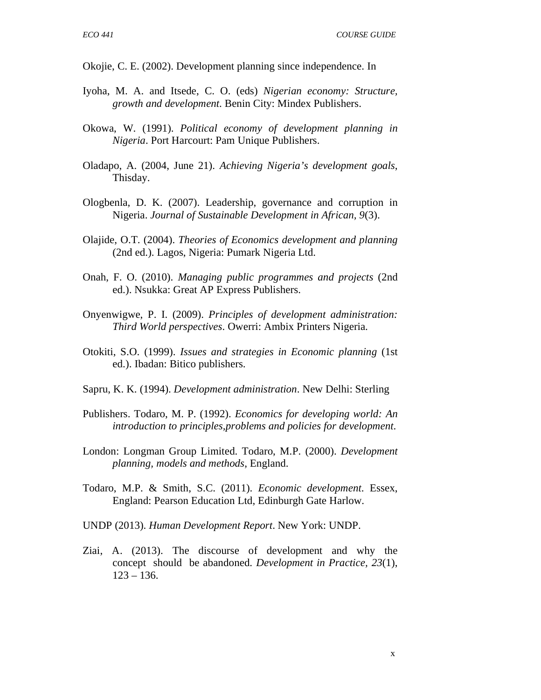- Okojie, C. E. (2002). Development planning since independence. In
- Iyoha, M. A. and Itsede, C. O. (eds) *Nigerian economy: Structure, growth and development*. Benin City: Mindex Publishers.
- Okowa, W. (1991). *Political economy of development planning in Nigeria*. Port Harcourt: Pam Unique Publishers.
- Oladapo, A. (2004, June 21). *Achieving Nigeria's development goals*, Thisday.
- Ologbenla, D. K. (2007). Leadership, governance and corruption in Nigeria. *Journal of Sustainable Development in African, 9*(3).
- Olajide, O.T. (2004). *Theories of Economics development and planning*  (2nd ed.). Lagos, Nigeria: Pumark Nigeria Ltd.
- Onah, F. O. (2010). *Managing public programmes and projects* (2nd ed.). Nsukka: Great AP Express Publishers.
- Onyenwigwe, P. I. (2009). *Principles of development administration: Third World perspectives*. Owerri: Ambix Printers Nigeria.
- Otokiti, S.O. (1999). *Issues and strategies in Economic planning* (1st ed.). Ibadan: Bitico publishers.
- Sapru, K. K. (1994). *Development administration*. New Delhi: Sterling
- Publishers. Todaro, M. P. (1992). *Economics for developing world: An introduction to principles,problems and policies for development*.
- London: Longman Group Limited. Todaro, M.P. (2000). *Development planning, models and methods*, England.
- Todaro, M.P. & Smith, S.C. (2011). *Economic development*. Essex, England: Pearson Education Ltd, Edinburgh Gate Harlow.
- UNDP (2013). *Human Development Report*. New York: UNDP.
- Ziai, A. (2013). The discourse of development and why the concept should be abandoned. *Development in Practice, 23*(1),  $123 - 136.$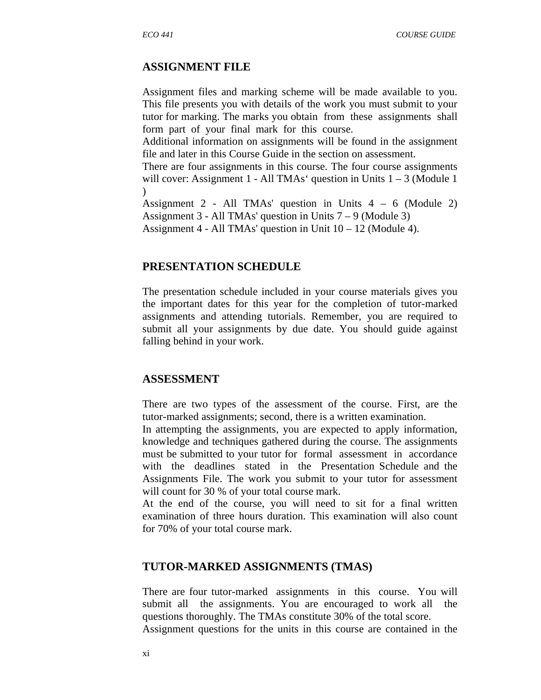#### **ASSIGNMENT FILE**

Assignment files and marking scheme will be made available to you. This file presents you with details of the work you must submit to your tutor for marking. The marks you obtain from these assignments shall form part of your final mark for this course.

Additional information on assignments will be found in the assignment file and later in this Course Guide in the section on assessment.

There are four assignments in this course. The four course assignments will cover: Assignment  $1 - All TMAs'$  question in Units  $1 - 3$  (Module 1)  $\lambda$ 

Assignment 2 - All TMAs' question in Units  $4 - 6$  (Module 2) Assignment 3 - All TMAs' question in Units 7 – 9 (Module 3)

Assignment 4 - All TMAs' question in Unit  $10 - 12$  (Module 4).

#### **PRESENTATION SCHEDULE**

The presentation schedule included in your course materials gives you the important dates for this year for the completion of tutor-marked assignments and attending tutorials. Remember, you are required to submit all your assignments by due date. You should guide against falling behind in your work.

#### **ASSESSMENT**

There are two types of the assessment of the course. First, are the tutor-marked assignments; second, there is a written examination.

In attempting the assignments, you are expected to apply information, knowledge and techniques gathered during the course. The assignments must be submitted to your tutor for formal assessment in accordance with the deadlines stated in the Presentation Schedule and the Assignments File. The work you submit to your tutor for assessment will count for 30 % of your total course mark.

At the end of the course, you will need to sit for a final written examination of three hours duration. This examination will also count for 70% of your total course mark.

#### **TUTOR-MARKED ASSIGNMENTS (TMAS)**

There are four tutor-marked assignments in this course. You will submit all the assignments. You are encouraged to work all the questions thoroughly. The TMAs constitute 30% of the total score.

Assignment questions for the units in this course are contained in the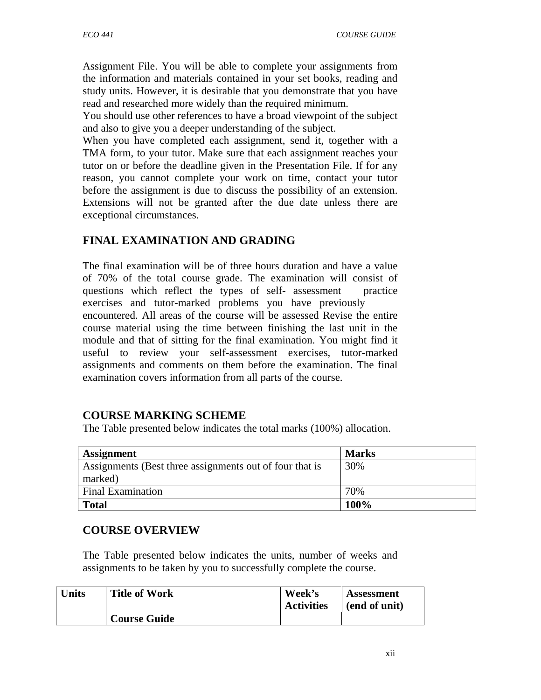Assignment File. You will be able to complete your assignments from the information and materials contained in your set books, reading and study units. However, it is desirable that you demonstrate that you have read and researched more widely than the required minimum.

You should use other references to have a broad viewpoint of the subject and also to give you a deeper understanding of the subject.

When you have completed each assignment, send it, together with a TMA form, to your tutor. Make sure that each assignment reaches your tutor on or before the deadline given in the Presentation File. If for any reason, you cannot complete your work on time, contact your tutor before the assignment is due to discuss the possibility of an extension. Extensions will not be granted after the due date unless there are exceptional circumstances.

# **FINAL EXAMINATION AND GRADING**

The final examination will be of three hours duration and have a value of 70% of the total course grade. The examination will consist of questions which reflect the types of self- assessment practice exercises and tutor-marked problems you have previously encountered. All areas of the course will be assessed Revise the entire course material using the time between finishing the last unit in the module and that of sitting for the final examination. You might find it useful to review your self-assessment exercises, tutor-marked assignments and comments on them before the examination. The final examination covers information from all parts of the course.

# **COURSE MARKING SCHEME**

The Table presented below indicates the total marks (100%) allocation.

| <b>Assignment</b>                                       | <b>Marks</b> |
|---------------------------------------------------------|--------------|
| Assignments (Best three assignments out of four that is | 30%          |
| marked)                                                 |              |
| <b>Final Examination</b>                                | 70%          |
| <b>Total</b>                                            | 100%         |

# **COURSE OVERVIEW**

The Table presented below indicates the units, number of weeks and assignments to be taken by you to successfully complete the course.

| <b>Units</b> | <b>Title of Work</b> | Week's<br><b>Activities</b> | Assessment<br>(end of unit) |
|--------------|----------------------|-----------------------------|-----------------------------|
|              | <b>Course Guide</b>  |                             |                             |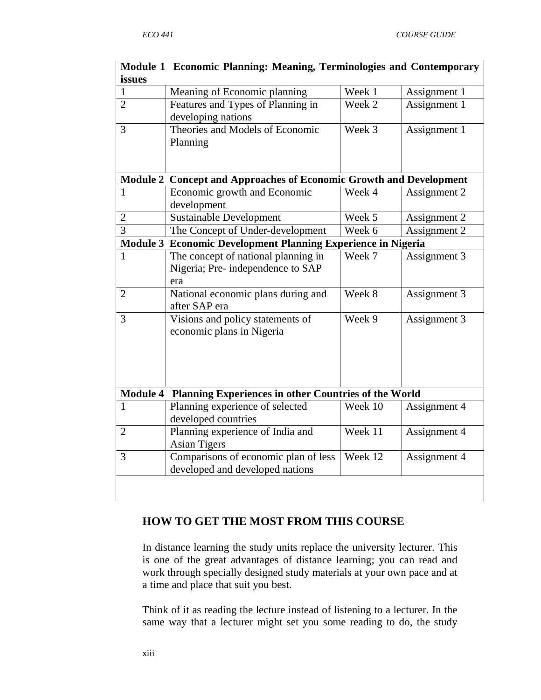| Module 1 Economic Planning: Meaning, Terminologies and Contemporary |                                                                    |         |              |
|---------------------------------------------------------------------|--------------------------------------------------------------------|---------|--------------|
| issues                                                              |                                                                    |         |              |
| 1                                                                   | Meaning of Economic planning                                       | Week 1  | Assignment 1 |
| $\overline{2}$                                                      | Features and Types of Planning in                                  | Week 2  | Assignment 1 |
|                                                                     | developing nations                                                 |         |              |
| 3                                                                   | Theories and Models of Economic                                    | Week 3  | Assignment 1 |
|                                                                     | Planning                                                           |         |              |
|                                                                     |                                                                    |         |              |
|                                                                     |                                                                    |         |              |
|                                                                     | Module 2 Concept and Approaches of Economic Growth and Development |         |              |
| 1                                                                   | Economic growth and Economic                                       | Week 4  | Assignment 2 |
|                                                                     | development                                                        |         |              |
| $\overline{2}$                                                      | <b>Sustainable Development</b>                                     | Week 5  | Assignment 2 |
| $\overline{3}$                                                      | The Concept of Under-development                                   | Week 6  | Assignment 2 |
| Module 3 Economic Development Planning Experience in Nigeria        |                                                                    |         |              |
| 1                                                                   | The concept of national planning in                                | Week 7  | Assignment 3 |
|                                                                     | Nigeria; Pre- independence to SAP                                  |         |              |
|                                                                     | era                                                                |         |              |
| $\overline{2}$                                                      | National economic plans during and                                 | Week 8  | Assignment 3 |
|                                                                     | after SAP era                                                      |         |              |
| 3                                                                   | Visions and policy statements of                                   | Week 9  | Assignment 3 |
|                                                                     | economic plans in Nigeria                                          |         |              |
|                                                                     |                                                                    |         |              |
|                                                                     |                                                                    |         |              |
|                                                                     |                                                                    |         |              |
|                                                                     |                                                                    |         |              |
| <b>Module 4</b>                                                     | Planning Experiences in other Countries of the World               |         |              |
| 1                                                                   | Planning experience of selected                                    | Week 10 | Assignment 4 |
|                                                                     | developed countries                                                |         |              |
| $\overline{2}$                                                      | Planning experience of India and                                   | Week 11 | Assignment 4 |
|                                                                     | <b>Asian Tigers</b>                                                |         |              |
| 3                                                                   | Comparisons of economic plan of less                               | Week 12 | Assignment 4 |
|                                                                     | developed and developed nations                                    |         |              |
|                                                                     |                                                                    |         |              |
|                                                                     |                                                                    |         |              |

# **HOW TO GET THE MOST FROM THIS COURSE**

In distance learning the study units replace the university lecturer. This is one of the great advantages of distance learning; you can read and work through specially designed study materials at your own pace and at a time and place that suit you best.

Think of it as reading the lecture instead of listening to a lecturer. In the same way that a lecturer might set you some reading to do, the study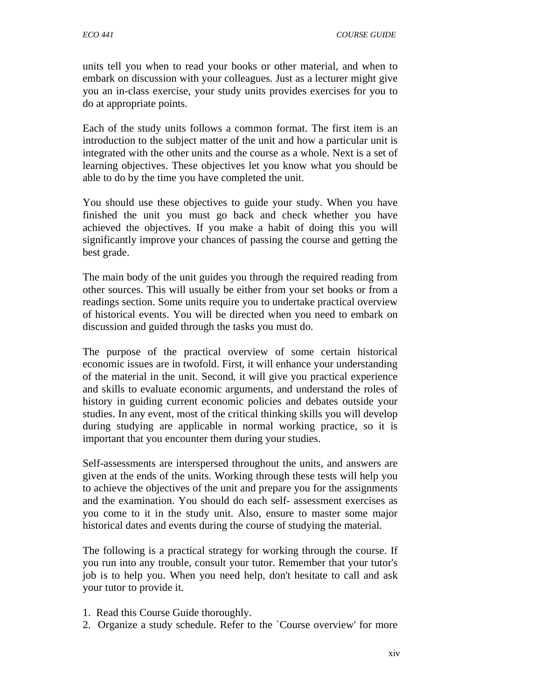units tell you when to read your books or other material, and when to embark on discussion with your colleagues. Just as a lecturer might give you an in-class exercise, your study units provides exercises for you to do at appropriate points.

Each of the study units follows a common format. The first item is an introduction to the subject matter of the unit and how a particular unit is integrated with the other units and the course as a whole. Next is a set of learning objectives. These objectives let you know what you should be able to do by the time you have completed the unit.

You should use these objectives to guide your study. When you have finished the unit you must go back and check whether you have achieved the objectives. If you make a habit of doing this you will significantly improve your chances of passing the course and getting the best grade.

The main body of the unit guides you through the required reading from other sources. This will usually be either from your set books or from a readings section. Some units require you to undertake practical overview of historical events. You will be directed when you need to embark on discussion and guided through the tasks you must do.

The purpose of the practical overview of some certain historical economic issues are in twofold. First, it will enhance your understanding of the material in the unit. Second, it will give you practical experience and skills to evaluate economic arguments, and understand the roles of history in guiding current economic policies and debates outside your studies. In any event, most of the critical thinking skills you will develop during studying are applicable in normal working practice, so it is important that you encounter them during your studies.

Self-assessments are interspersed throughout the units, and answers are given at the ends of the units. Working through these tests will help you to achieve the objectives of the unit and prepare you for the assignments and the examination. You should do each self- assessment exercises as you come to it in the study unit. Also, ensure to master some major historical dates and events during the course of studying the material.

The following is a practical strategy for working through the course. If you run into any trouble, consult your tutor. Remember that your tutor's job is to help you. When you need help, don't hesitate to call and ask your tutor to provide it.

- 1. Read this Course Guide thoroughly.
- 2. Organize a study schedule. Refer to the `Course overview' for more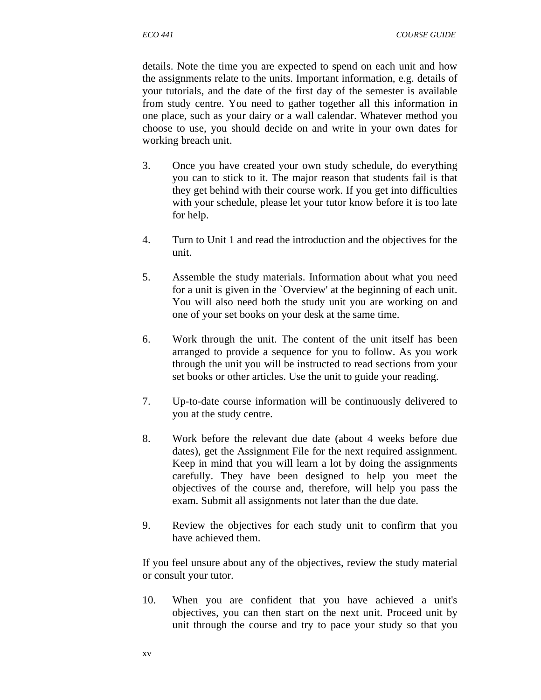details. Note the time you are expected to spend on each unit and how the assignments relate to the units. Important information, e.g. details of your tutorials, and the date of the first day of the semester is available from study centre. You need to gather together all this information in one place, such as your dairy or a wall calendar. Whatever method you choose to use, you should decide on and write in your own dates for working breach unit.

- 3. Once you have created your own study schedule, do everything you can to stick to it. The major reason that students fail is that they get behind with their course work. If you get into difficulties with your schedule, please let your tutor know before it is too late for help.
- 4. Turn to Unit 1 and read the introduction and the objectives for the unit.
- 5. Assemble the study materials. Information about what you need for a unit is given in the `Overview' at the beginning of each unit. You will also need both the study unit you are working on and one of your set books on your desk at the same time.
- 6. Work through the unit. The content of the unit itself has been arranged to provide a sequence for you to follow. As you work through the unit you will be instructed to read sections from your set books or other articles. Use the unit to guide your reading.
- 7. Up-to-date course information will be continuously delivered to you at the study centre.
- 8. Work before the relevant due date (about 4 weeks before due dates), get the Assignment File for the next required assignment. Keep in mind that you will learn a lot by doing the assignments carefully. They have been designed to help you meet the objectives of the course and, therefore, will help you pass the exam. Submit all assignments not later than the due date.
- 9. Review the objectives for each study unit to confirm that you have achieved them.

If you feel unsure about any of the objectives, review the study material or consult your tutor.

10. When you are confident that you have achieved a unit's objectives, you can then start on the next unit. Proceed unit by unit through the course and try to pace your study so that you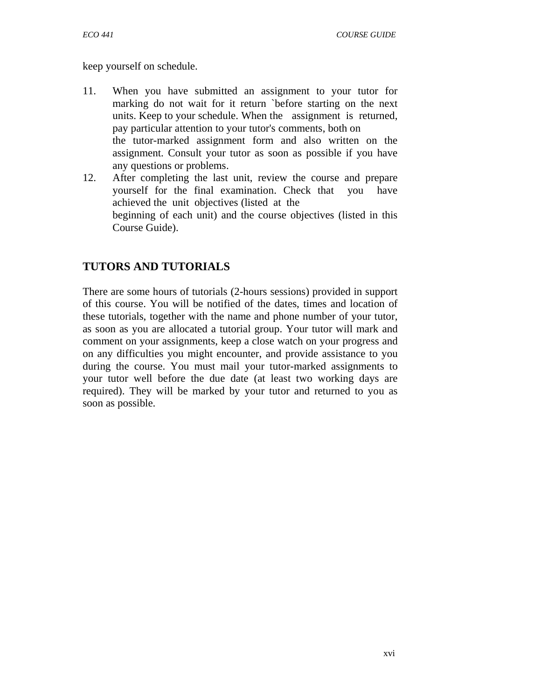keep yourself on schedule.

- 11. When you have submitted an assignment to your tutor for marking do not wait for it return `before starting on the next units. Keep to your schedule. When the assignment is returned, pay particular attention to your tutor's comments, both on the tutor-marked assignment form and also written on the assignment. Consult your tutor as soon as possible if you have any questions or problems.
- 12. After completing the last unit, review the course and prepare yourself for the final examination. Check that you have achieved the unit objectives (listed at the beginning of each unit) and the course objectives (listed in this Course Guide).

# **TUTORS AND TUTORIALS**

There are some hours of tutorials (2-hours sessions) provided in support of this course. You will be notified of the dates, times and location of these tutorials, together with the name and phone number of your tutor, as soon as you are allocated a tutorial group. Your tutor will mark and comment on your assignments, keep a close watch on your progress and on any difficulties you might encounter, and provide assistance to you during the course. You must mail your tutor-marked assignments to your tutor well before the due date (at least two working days are required). They will be marked by your tutor and returned to you as soon as possible.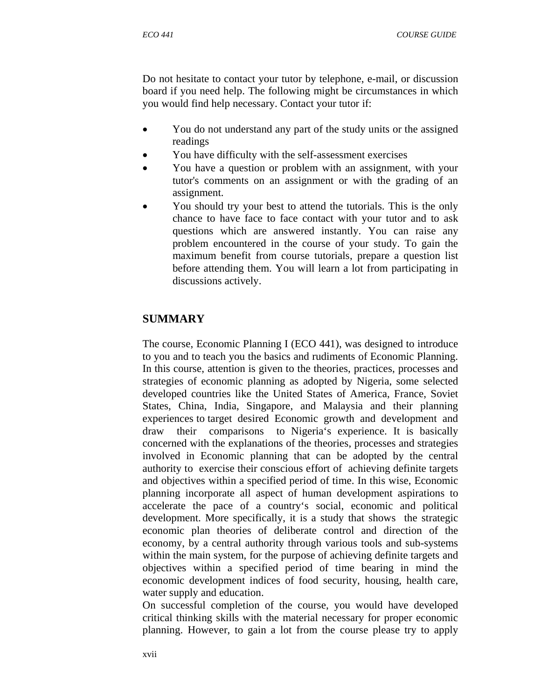Do not hesitate to contact your tutor by telephone, e-mail, or discussion board if you need help. The following might be circumstances in which you would find help necessary. Contact your tutor if:

- You do not understand any part of the study units or the assigned readings
- You have difficulty with the self-assessment exercises
- You have a question or problem with an assignment, with your tutor's comments on an assignment or with the grading of an assignment.
- You should try your best to attend the tutorials. This is the only chance to have face to face contact with your tutor and to ask questions which are answered instantly. You can raise any problem encountered in the course of your study. To gain the maximum benefit from course tutorials, prepare a question list before attending them. You will learn a lot from participating in discussions actively.

# **SUMMARY**

The course, Economic Planning I (ECO 441), was designed to introduce to you and to teach you the basics and rudiments of Economic Planning. In this course, attention is given to the theories, practices, processes and strategies of economic planning as adopted by Nigeria, some selected developed countries like the United States of America, France, Soviet States, China, India, Singapore, and Malaysia and their planning experiences to target desired Economic growth and development and draw their comparisons to Nigeria's experience. It is basically concerned with the explanations of the theories, processes and strategies involved in Economic planning that can be adopted by the central authority to exercise their conscious effort of achieving definite targets and objectives within a specified period of time. In this wise, Economic planning incorporate all aspect of human development aspirations to accelerate the pace of a country's social, economic and political development. More specifically, it is a study that shows the strategic economic plan theories of deliberate control and direction of the economy, by a central authority through various tools and sub-systems within the main system, for the purpose of achieving definite targets and objectives within a specified period of time bearing in mind the economic development indices of food security, housing, health care, water supply and education.

On successful completion of the course, you would have developed critical thinking skills with the material necessary for proper economic planning. However, to gain a lot from the course please try to apply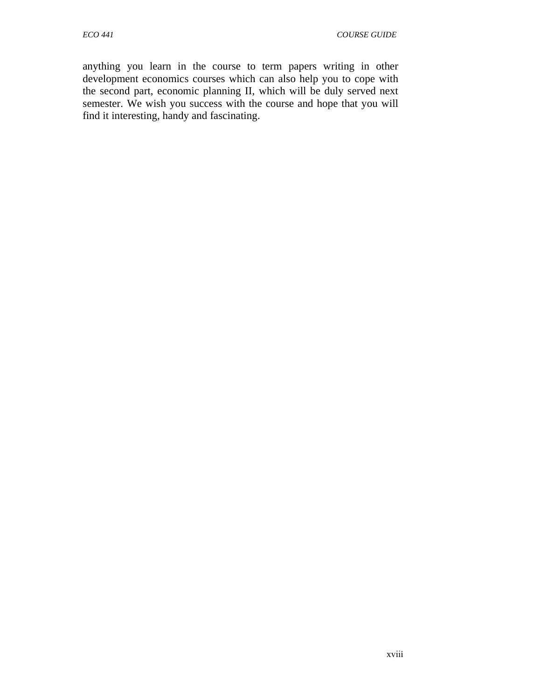anything you learn in the course to term papers writing in other development economics courses which can also help you to cope with the second part, economic planning II, which will be duly served next semester. We wish you success with the course and hope that you will find it interesting, handy and fascinating.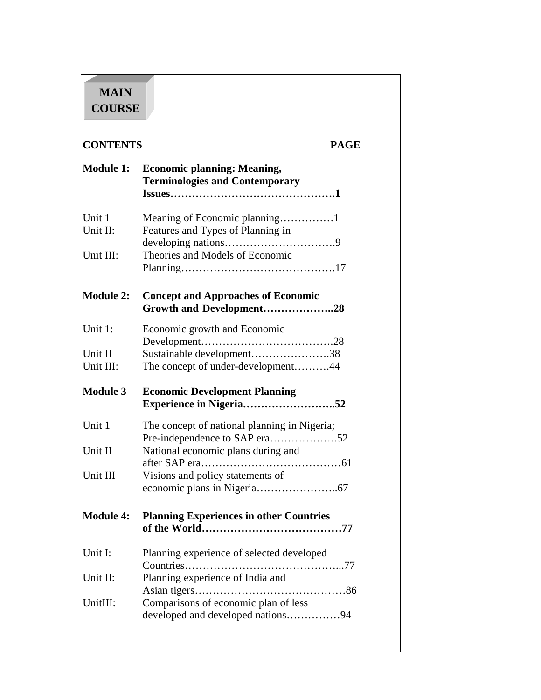# **MAIN COURSE**

# **CONTENTS PAGE**

| <b>Module 1:</b>   | <b>Economic planning: Meaning,</b><br><b>Terminologies and Contemporary</b> |
|--------------------|-----------------------------------------------------------------------------|
| Unit 1<br>Unit II: | Meaning of Economic planning1<br>Features and Types of Planning in          |
| Unit III:          | Theories and Models of Economic                                             |
| <b>Module 2:</b>   | <b>Concept and Approaches of Economic</b><br>Growth and Development28       |
| Unit 1:            | Economic growth and Economic                                                |
| Unit II            | Sustainable development38                                                   |
| Unit III:          | The concept of under-development44                                          |
| <b>Module 3</b>    | <b>Economic Development Planning</b><br><b>Experience in Nigeria52</b>      |
| Unit 1             | The concept of national planning in Nigeria;                                |
| Unit II            | National economic plans during and                                          |
| Unit III           | Visions and policy statements of                                            |
| <b>Module 4:</b>   | <b>Planning Experiences in other Countries</b>                              |
| Unit I:            | Planning experience of selected developed                                   |
| Unit II:           | Planning experience of India and                                            |
| UnitIII:           | Comparisons of economic plan of less<br>developed and developed nations94   |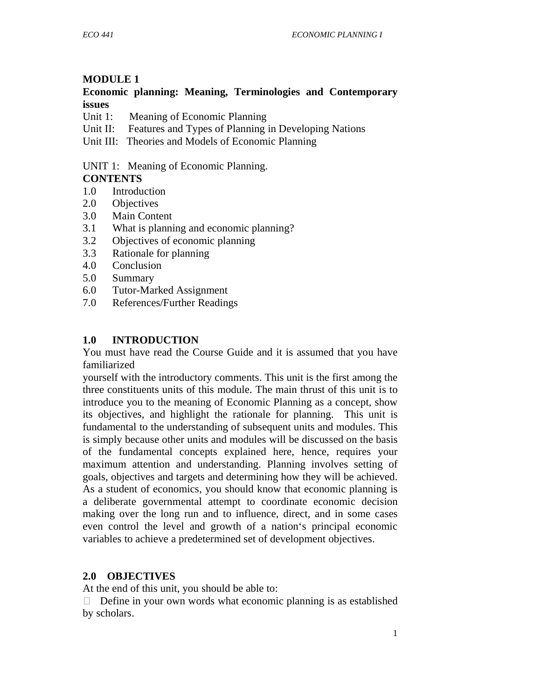# **MODULE 1**

# **Economic planning: Meaning, Terminologies and Contemporary issues**

Unit 1: Meaning of Economic Planning

Unit II: Features and Types of Planning in Developing Nations

Unit III: Theories and Models of Economic Planning

UNIT 1: Meaning of Economic Planning.

### **CONTENTS**

- 1.0 Introduction
- 2.0 Objectives
- 3.0 Main Content
- 3.1 What is planning and economic planning?
- 3.2 Objectives of economic planning
- 3.3 Rationale for planning
- 4.0 Conclusion
- 5.0 Summary
- 6.0 Tutor-Marked Assignment
- 7.0 References/Further Readings

#### **1.0 INTRODUCTION**

You must have read the Course Guide and it is assumed that you have familiarized

yourself with the introductory comments. This unit is the first among the three constituents units of this module. The main thrust of this unit is to introduce you to the meaning of Economic Planning as a concept, show its objectives, and highlight the rationale for planning. This unit is fundamental to the understanding of subsequent units and modules. This is simply because other units and modules will be discussed on the basis of the fundamental concepts explained here, hence, requires your maximum attention and understanding. Planning involves setting of goals, objectives and targets and determining how they will be achieved. As a student of economics, you should know that economic planning is a deliberate governmental attempt to coordinate economic decision making over the long run and to influence, direct, and in some cases even control the level and growth of a nation's principal economic variables to achieve a predetermined set of development objectives.

# **2.0 OBJECTIVES**

At the end of this unit, you should be able to:

 $\Box$  Define in your own words what economic planning is as established by scholars.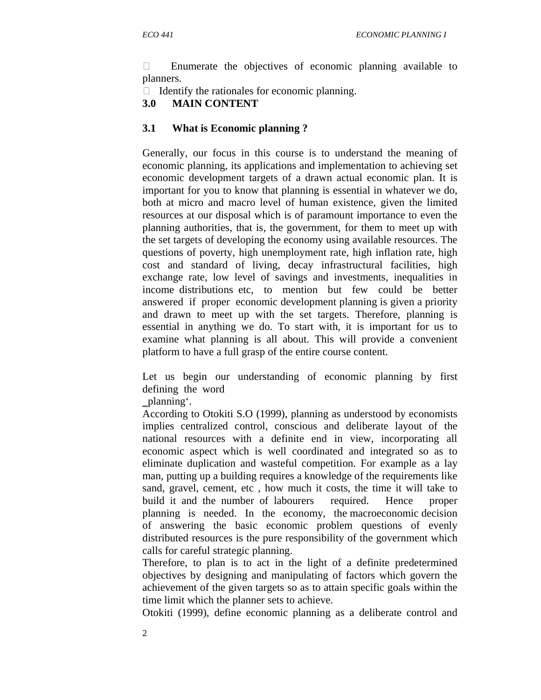$\Box$  Enumerate the objectives of economic planning available to planners.

 $\Box$  Identify the rationales for economic planning.

# **3.0 MAIN CONTENT**

# **3.1 What is Economic planning ?**

Generally, our focus in this course is to understand the meaning of economic planning, its applications and implementation to achieving set economic development targets of a drawn actual economic plan. It is important for you to know that planning is essential in whatever we do, both at micro and macro level of human existence, given the limited resources at our disposal which is of paramount importance to even the planning authorities, that is, the government, for them to meet up with the set targets of developing the economy using available resources. The questions of poverty, high unemployment rate, high inflation rate, high cost and standard of living, decay infrastructural facilities, high exchange rate, low level of savings and investments, inequalities in income distributions etc, to mention but few could be better answered if proper economic development planning is given a priority and drawn to meet up with the set targets. Therefore, planning is essential in anything we do. To start with, it is important for us to examine what planning is all about. This will provide a convenient platform to have a full grasp of the entire course content.

Let us begin our understanding of economic planning by first defining the word

‗planning'.

According to Otokiti S.O (1999), planning as understood by economists implies centralized control, conscious and deliberate layout of the national resources with a definite end in view, incorporating all economic aspect which is well coordinated and integrated so as to eliminate duplication and wasteful competition. For example as a lay man, putting up a building requires a knowledge of the requirements like sand, gravel, cement, etc , how much it costs, the time it will take to build it and the number of labourers required. Hence proper planning is needed. In the economy, the macroeconomic decision of answering the basic economic problem questions of evenly distributed resources is the pure responsibility of the government which calls for careful strategic planning.

Therefore, to plan is to act in the light of a definite predetermined objectives by designing and manipulating of factors which govern the achievement of the given targets so as to attain specific goals within the time limit which the planner sets to achieve.

Otokiti (1999), define economic planning as a deliberate control and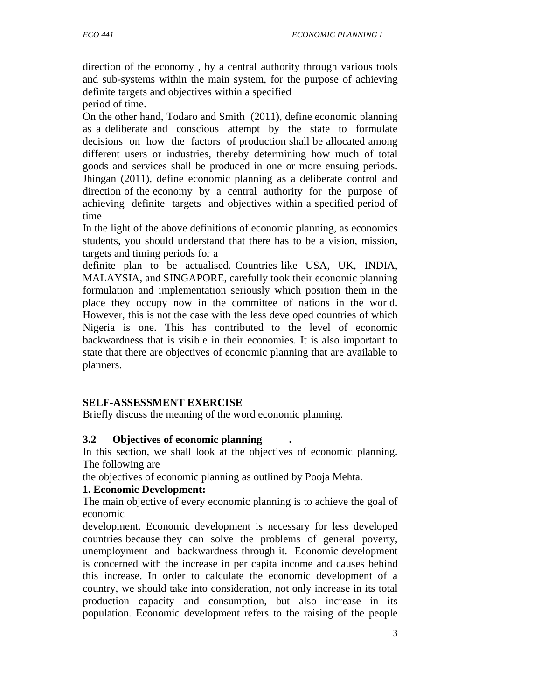*ECO 441 ECONOMIC PLANNING I* 

direction of the economy , by a central authority through various tools and sub-systems within the main system, for the purpose of achieving definite targets and objectives within a specified period of time.

On the other hand, Todaro and Smith (2011), define economic planning as a deliberate and conscious attempt by the state to formulate decisions on how the factors of production shall be allocated among different users or industries, thereby determining how much of total goods and services shall be produced in one or more ensuing periods. Jhingan (2011), define economic planning as a deliberate control and direction of the economy by a central authority for the purpose of achieving definite targets and objectives within a specified period of time

In the light of the above definitions of economic planning, as economics students, you should understand that there has to be a vision, mission, targets and timing periods for a

definite plan to be actualised. Countries like USA, UK, INDIA, MALAYSIA, and SINGAPORE, carefully took their economic planning formulation and implementation seriously which position them in the place they occupy now in the committee of nations in the world. However, this is not the case with the less developed countries of which Nigeria is one. This has contributed to the level of economic backwardness that is visible in their economies. It is also important to state that there are objectives of economic planning that are available to planners.

# **SELF-ASSESSMENT EXERCISE**

Briefly discuss the meaning of the word economic planning.

# **3.2 Objectives of economic planning .**

In this section, we shall look at the objectives of economic planning. The following are

the objectives of economic planning as outlined by Pooja Mehta.

# **1. Economic Development:**

The main objective of every economic planning is to achieve the goal of economic

development. Economic development is necessary for less developed countries because they can solve the problems of general poverty, unemployment and backwardness through it. Economic development is concerned with the increase in per capita income and causes behind this increase. In order to calculate the economic development of a country, we should take into consideration, not only increase in its total production capacity and consumption, but also increase in its population. Economic development refers to the raising of the people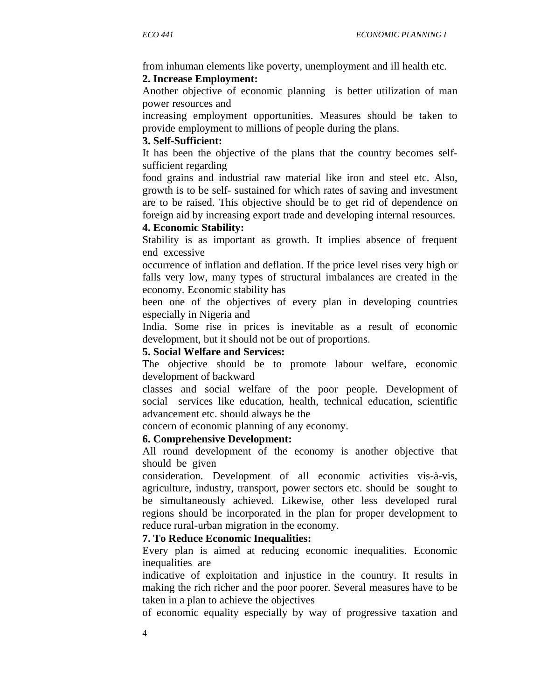from inhuman elements like poverty, unemployment and ill health etc.

#### **2. Increase Employment:**

Another objective of economic planning is better utilization of man power resources and

increasing employment opportunities. Measures should be taken to provide employment to millions of people during the plans.

#### **3. Self-Sufficient:**

It has been the objective of the plans that the country becomes selfsufficient regarding

food grains and industrial raw material like iron and steel etc. Also, growth is to be self- sustained for which rates of saving and investment are to be raised. This objective should be to get rid of dependence on foreign aid by increasing export trade and developing internal resources.

#### **4. Economic Stability:**

Stability is as important as growth. It implies absence of frequent end excessive

occurrence of inflation and deflation. If the price level rises very high or falls very low, many types of structural imbalances are created in the economy. Economic stability has

been one of the objectives of every plan in developing countries especially in Nigeria and

India. Some rise in prices is inevitable as a result of economic development, but it should not be out of proportions.

#### **5. Social Welfare and Services:**

The objective should be to promote labour welfare, economic development of backward

classes and social welfare of the poor people. Development of social services like education, health, technical education, scientific advancement etc. should always be the

concern of economic planning of any economy.

#### **6. Comprehensive Development:**

All round development of the economy is another objective that should be given

consideration. Development of all economic activities vis-à-vis, agriculture, industry, transport, power sectors etc. should be sought to be simultaneously achieved. Likewise, other less developed rural regions should be incorporated in the plan for proper development to reduce rural-urban migration in the economy.

#### **7. To Reduce Economic Inequalities:**

Every plan is aimed at reducing economic inequalities. Economic inequalities are

indicative of exploitation and injustice in the country. It results in making the rich richer and the poor poorer. Several measures have to be taken in a plan to achieve the objectives

of economic equality especially by way of progressive taxation and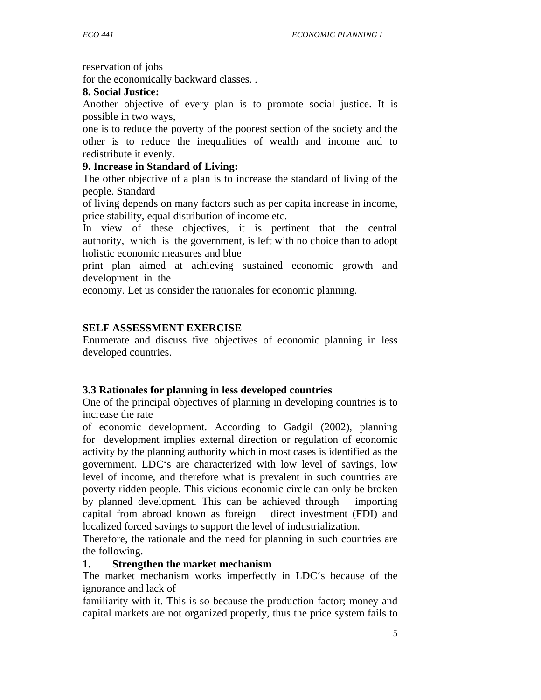reservation of jobs

for the economically backward classes. .

#### **8. Social Justice:**

Another objective of every plan is to promote social justice. It is possible in two ways,

one is to reduce the poverty of the poorest section of the society and the other is to reduce the inequalities of wealth and income and to redistribute it evenly.

#### **9. Increase in Standard of Living:**

The other objective of a plan is to increase the standard of living of the people. Standard

of living depends on many factors such as per capita increase in income, price stability, equal distribution of income etc.

In view of these objectives, it is pertinent that the central authority, which is the government, is left with no choice than to adopt holistic economic measures and blue

print plan aimed at achieving sustained economic growth and development in the

economy. Let us consider the rationales for economic planning.

# **SELF ASSESSMENT EXERCISE**

Enumerate and discuss five objectives of economic planning in less developed countries.

#### **3.3 Rationales for planning in less developed countries**

One of the principal objectives of planning in developing countries is to increase the rate

of economic development. According to Gadgil (2002), planning for development implies external direction or regulation of economic activity by the planning authority which in most cases is identified as the government. LDC's are characterized with low level of savings, low level of income, and therefore what is prevalent in such countries are poverty ridden people. This vicious economic circle can only be broken by planned development. This can be achieved through importing capital from abroad known as foreign direct investment (FDI) and localized forced savings to support the level of industrialization.

Therefore, the rationale and the need for planning in such countries are the following.

#### **1. Strengthen the market mechanism**

The market mechanism works imperfectly in LDC's because of the ignorance and lack of

familiarity with it. This is so because the production factor; money and capital markets are not organized properly, thus the price system fails to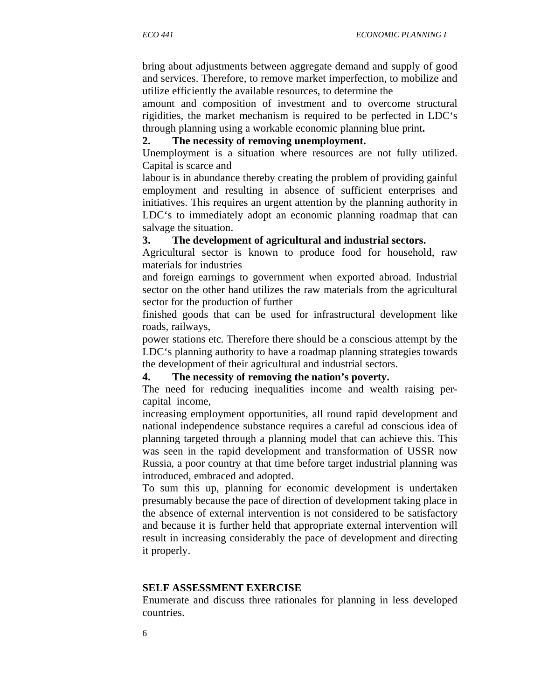bring about adjustments between aggregate demand and supply of good and services. Therefore, to remove market imperfection, to mobilize and utilize efficiently the available resources, to determine the

amount and composition of investment and to overcome structural rigidities, the market mechanism is required to be perfected in LDC's through planning using a workable economic planning blue print**.**

#### **2. The necessity of removing unemployment.**

Unemployment is a situation where resources are not fully utilized. Capital is scarce and

labour is in abundance thereby creating the problem of providing gainful employment and resulting in absence of sufficient enterprises and initiatives. This requires an urgent attention by the planning authority in LDC's to immediately adopt an economic planning roadmap that can salvage the situation.

### **3. The development of agricultural and industrial sectors.**

Agricultural sector is known to produce food for household, raw materials for industries

and foreign earnings to government when exported abroad. Industrial sector on the other hand utilizes the raw materials from the agricultural sector for the production of further

finished goods that can be used for infrastructural development like roads, railways,

power stations etc. Therefore there should be a conscious attempt by the LDC's planning authority to have a roadmap planning strategies towards the development of their agricultural and industrial sectors.

#### **4. The necessity of removing the nation's poverty.**

The need for reducing inequalities income and wealth raising percapital income,

increasing employment opportunities, all round rapid development and national independence substance requires a careful ad conscious idea of planning targeted through a planning model that can achieve this. This was seen in the rapid development and transformation of USSR now Russia, a poor country at that time before target industrial planning was introduced, embraced and adopted.

To sum this up, planning for economic development is undertaken presumably because the pace of direction of development taking place in the absence of external intervention is not considered to be satisfactory and because it is further held that appropriate external intervention will result in increasing considerably the pace of development and directing it properly.

#### **SELF ASSESSMENT EXERCISE**

Enumerate and discuss three rationales for planning in less developed countries.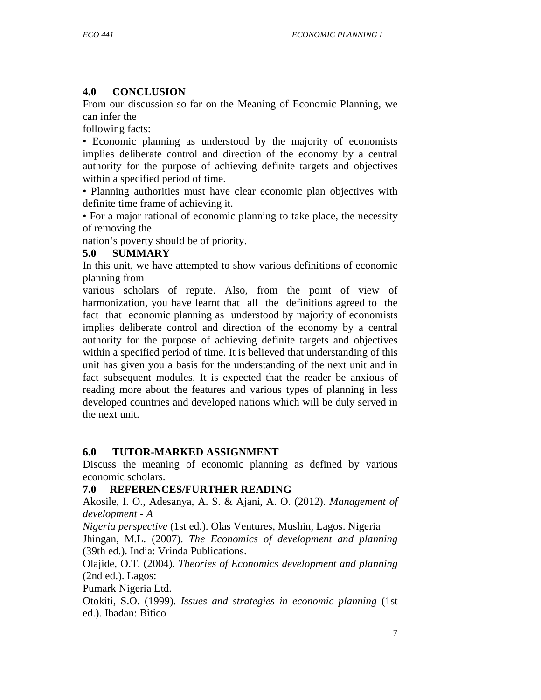# **4.0 CONCLUSION**

From our discussion so far on the Meaning of Economic Planning, we can infer the

following facts:

• Economic planning as understood by the majority of economists implies deliberate control and direction of the economy by a central authority for the purpose of achieving definite targets and objectives within a specified period of time.

• Planning authorities must have clear economic plan objectives with definite time frame of achieving it.

• For a major rational of economic planning to take place, the necessity of removing the

nation's poverty should be of priority.

### **5.0 SUMMARY**

In this unit, we have attempted to show various definitions of economic planning from

various scholars of repute. Also, from the point of view of harmonization, you have learnt that all the definitions agreed to the fact that economic planning as understood by majority of economists implies deliberate control and direction of the economy by a central authority for the purpose of achieving definite targets and objectives within a specified period of time. It is believed that understanding of this unit has given you a basis for the understanding of the next unit and in fact subsequent modules. It is expected that the reader be anxious of reading more about the features and various types of planning in less developed countries and developed nations which will be duly served in the next unit.

# **6.0 TUTOR-MARKED ASSIGNMENT**

Discuss the meaning of economic planning as defined by various economic scholars.

#### **7.0 REFERENCES/FURTHER READING**

Akosile, I. O., Adesanya, A. S. & Ajani, A. O. (2012). *Management of development - A*

*Nigeria perspective* (1st ed.). Olas Ventures, Mushin, Lagos. Nigeria

Jhingan, M.L. (2007). *The Economics of development and planning*  (39th ed.). India: Vrinda Publications.

Olajide, O.T. (2004). *Theories of Economics development and planning*  (2nd ed.). Lagos:

Pumark Nigeria Ltd.

Otokiti, S.O. (1999). *Issues and strategies in economic planning* (1st ed.). Ibadan: Bitico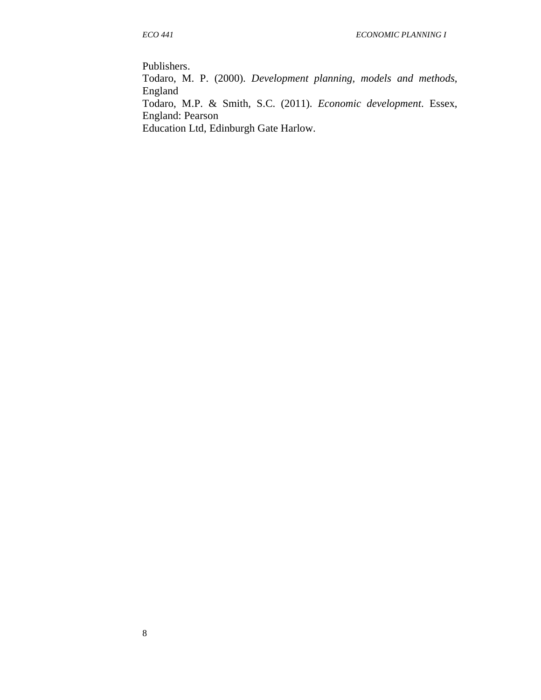Publishers.

Todaro, M. P. (2000). *Development planning, models and methods*, England

Todaro, M.P. & Smith, S.C. (2011). *Economic development*. Essex, England: Pearson

Education Ltd, Edinburgh Gate Harlow.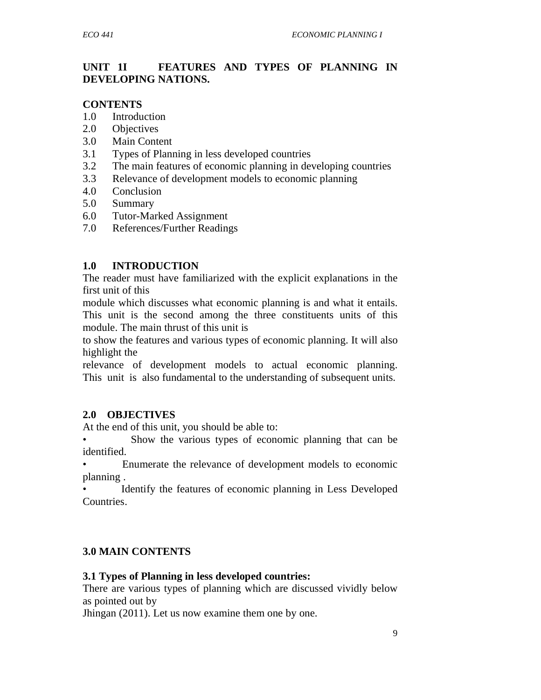# **UNIT 1I FEATURES AND TYPES OF PLANNING IN DEVELOPING NATIONS.**

#### **CONTENTS**

- 1.0 Introduction
- 2.0 Objectives
- 3.0 Main Content
- 3.1 Types of Planning in less developed countries
- 3.2 The main features of economic planning in developing countries
- 3.3 Relevance of development models to economic planning
- 4.0 Conclusion
- 5.0 Summary
- 6.0 Tutor-Marked Assignment
- 7.0 References/Further Readings

### **1.0 INTRODUCTION**

The reader must have familiarized with the explicit explanations in the first unit of this

module which discusses what economic planning is and what it entails. This unit is the second among the three constituents units of this module. The main thrust of this unit is

to show the features and various types of economic planning. It will also highlight the

relevance of development models to actual economic planning. This unit is also fundamental to the understanding of subsequent units.

#### **2.0 OBJECTIVES**

At the end of this unit, you should be able to:

• Show the various types of economic planning that can be identified.

• Enumerate the relevance of development models to economic planning .

Identify the features of economic planning in Less Developed Countries.

#### **3.0 MAIN CONTENTS**

#### **3.1 Types of Planning in less developed countries:**

There are various types of planning which are discussed vividly below as pointed out by

Jhingan (2011). Let us now examine them one by one.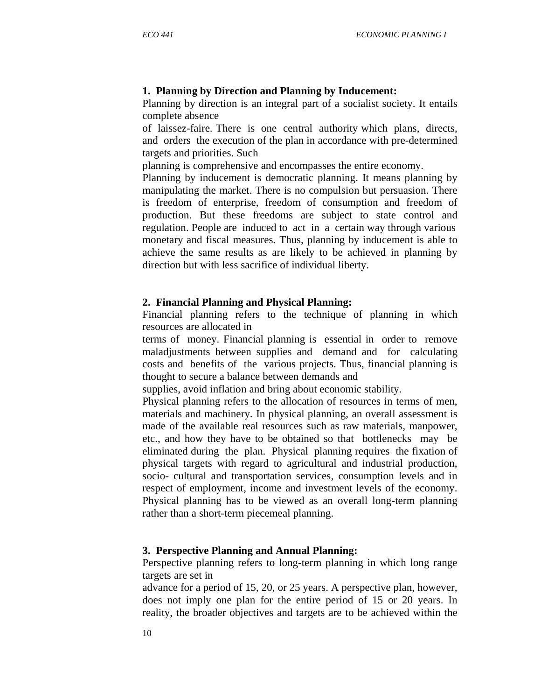#### **1. Planning by Direction and Planning by Inducement:**

Planning by direction is an integral part of a socialist society. It entails complete absence

of laissez-faire. There is one central authority which plans, directs, and orders the execution of the plan in accordance with pre-determined targets and priorities. Such

planning is comprehensive and encompasses the entire economy.

Planning by inducement is democratic planning. It means planning by manipulating the market. There is no compulsion but persuasion. There is freedom of enterprise, freedom of consumption and freedom of production. But these freedoms are subject to state control and regulation. People are induced to act in a certain way through various monetary and fiscal measures. Thus, planning by inducement is able to achieve the same results as are likely to be achieved in planning by direction but with less sacrifice of individual liberty.

### **2. Financial Planning and Physical Planning:**

Financial planning refers to the technique of planning in which resources are allocated in

terms of money. Financial planning is essential in order to remove maladjustments between supplies and demand and for calculating costs and benefits of the various projects. Thus, financial planning is thought to secure a balance between demands and

supplies, avoid inflation and bring about economic stability.

Physical planning refers to the allocation of resources in terms of men, materials and machinery. In physical planning, an overall assessment is made of the available real resources such as raw materials, manpower, etc., and how they have to be obtained so that bottlenecks may be eliminated during the plan. Physical planning requires the fixation of physical targets with regard to agricultural and industrial production, socio- cultural and transportation services, consumption levels and in respect of employment, income and investment levels of the economy. Physical planning has to be viewed as an overall long-term planning rather than a short-term piecemeal planning.

#### **3. Perspective Planning and Annual Planning:**

Perspective planning refers to long-term planning in which long range targets are set in

advance for a period of 15, 20, or 25 years. A perspective plan, however, does not imply one plan for the entire period of 15 or 20 years. In reality, the broader objectives and targets are to be achieved within the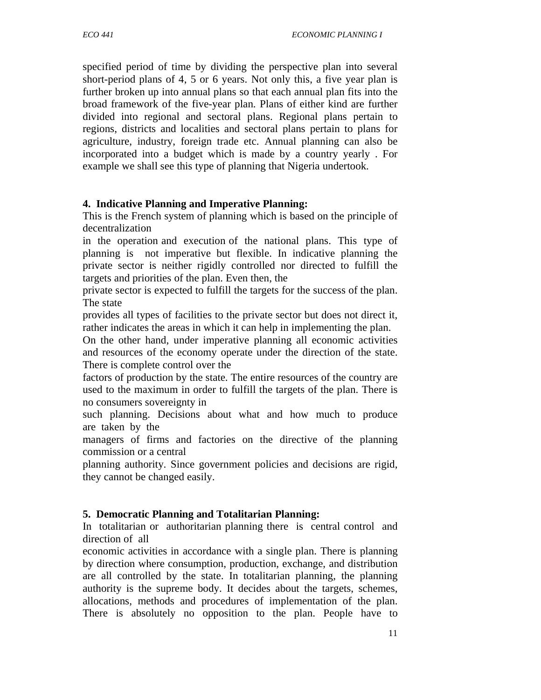specified period of time by dividing the perspective plan into several short-period plans of 4, 5 or 6 years. Not only this, a five year plan is further broken up into annual plans so that each annual plan fits into the broad framework of the five-year plan. Plans of either kind are further divided into regional and sectoral plans. Regional plans pertain to regions, districts and localities and sectoral plans pertain to plans for agriculture, industry, foreign trade etc. Annual planning can also be incorporated into a budget which is made by a country yearly . For example we shall see this type of planning that Nigeria undertook.

#### **4. Indicative Planning and Imperative Planning:**

This is the French system of planning which is based on the principle of decentralization

in the operation and execution of the national plans. This type of planning is not imperative but flexible. In indicative planning the private sector is neither rigidly controlled nor directed to fulfill the targets and priorities of the plan. Even then, the

private sector is expected to fulfill the targets for the success of the plan. The state

provides all types of facilities to the private sector but does not direct it, rather indicates the areas in which it can help in implementing the plan.

On the other hand, under imperative planning all economic activities and resources of the economy operate under the direction of the state. There is complete control over the

factors of production by the state. The entire resources of the country are used to the maximum in order to fulfill the targets of the plan. There is no consumers sovereignty in

such planning. Decisions about what and how much to produce are taken by the

managers of firms and factories on the directive of the planning commission or a central

planning authority. Since government policies and decisions are rigid, they cannot be changed easily.

# **5. Democratic Planning and Totalitarian Planning:**

In totalitarian or authoritarian planning there is central control and direction of all

economic activities in accordance with a single plan. There is planning by direction where consumption, production, exchange, and distribution are all controlled by the state. In totalitarian planning, the planning authority is the supreme body. It decides about the targets, schemes, allocations, methods and procedures of implementation of the plan. There is absolutely no opposition to the plan. People have to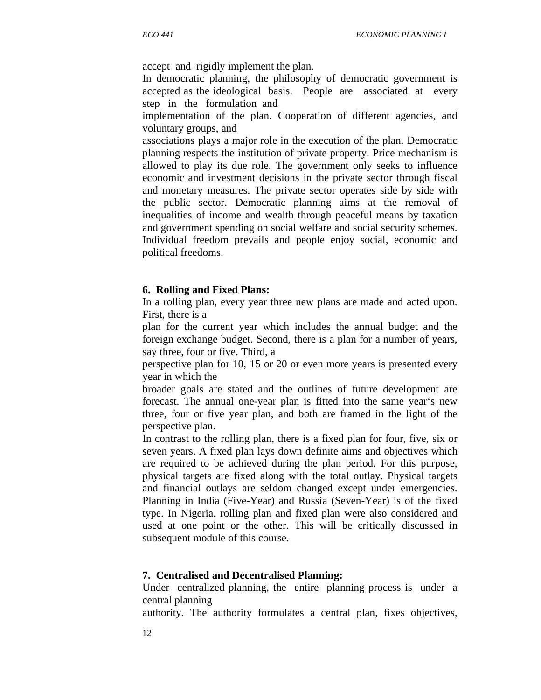accept and rigidly implement the plan.

In democratic planning, the philosophy of democratic government is accepted as the ideological basis. People are associated at every step in the formulation and

implementation of the plan. Cooperation of different agencies, and voluntary groups, and

associations plays a major role in the execution of the plan. Democratic planning respects the institution of private property. Price mechanism is allowed to play its due role. The government only seeks to influence economic and investment decisions in the private sector through fiscal and monetary measures. The private sector operates side by side with the public sector. Democratic planning aims at the removal of inequalities of income and wealth through peaceful means by taxation and government spending on social welfare and social security schemes. Individual freedom prevails and people enjoy social, economic and political freedoms.

#### **6. Rolling and Fixed Plans:**

In a rolling plan, every year three new plans are made and acted upon. First, there is a

plan for the current year which includes the annual budget and the foreign exchange budget. Second, there is a plan for a number of years, say three, four or five. Third, a

perspective plan for 10, 15 or 20 or even more years is presented every year in which the

broader goals are stated and the outlines of future development are forecast. The annual one-year plan is fitted into the same year's new three, four or five year plan, and both are framed in the light of the perspective plan.

In contrast to the rolling plan, there is a fixed plan for four, five, six or seven years. A fixed plan lays down definite aims and objectives which are required to be achieved during the plan period. For this purpose, physical targets are fixed along with the total outlay. Physical targets and financial outlays are seldom changed except under emergencies. Planning in India (Five-Year) and Russia (Seven-Year) is of the fixed type. In Nigeria, rolling plan and fixed plan were also considered and used at one point or the other. This will be critically discussed in subsequent module of this course.

#### **7. Centralised and Decentralised Planning:**

Under centralized planning, the entire planning process is under a central planning

authority. The authority formulates a central plan, fixes objectives,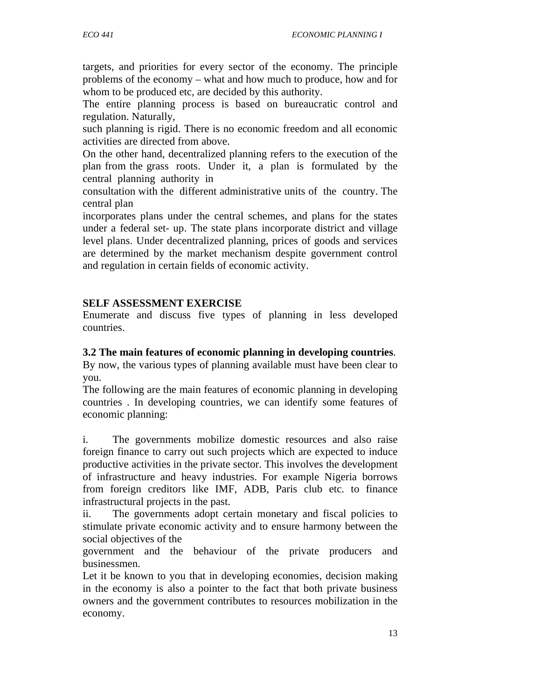*ECO 441 ECONOMIC PLANNING I* 

targets, and priorities for every sector of the economy. The principle problems of the economy – what and how much to produce, how and for whom to be produced etc, are decided by this authority.

The entire planning process is based on bureaucratic control and regulation. Naturally,

such planning is rigid. There is no economic freedom and all economic activities are directed from above.

On the other hand, decentralized planning refers to the execution of the plan from the grass roots. Under it, a plan is formulated by the central planning authority in

consultation with the different administrative units of the country. The central plan

incorporates plans under the central schemes, and plans for the states under a federal set- up. The state plans incorporate district and village level plans. Under decentralized planning, prices of goods and services are determined by the market mechanism despite government control and regulation in certain fields of economic activity.

# **SELF ASSESSMENT EXERCISE**

Enumerate and discuss five types of planning in less developed countries.

# **3.2 The main features of economic planning in developing countries**.

By now, the various types of planning available must have been clear to you.

The following are the main features of economic planning in developing countries . In developing countries, we can identify some features of economic planning:

i. The governments mobilize domestic resources and also raise foreign finance to carry out such projects which are expected to induce productive activities in the private sector. This involves the development of infrastructure and heavy industries. For example Nigeria borrows from foreign creditors like IMF, ADB, Paris club etc. to finance infrastructural projects in the past.

ii. The governments adopt certain monetary and fiscal policies to stimulate private economic activity and to ensure harmony between the social objectives of the

government and the behaviour of the private producers and businessmen.

Let it be known to you that in developing economies, decision making in the economy is also a pointer to the fact that both private business owners and the government contributes to resources mobilization in the economy.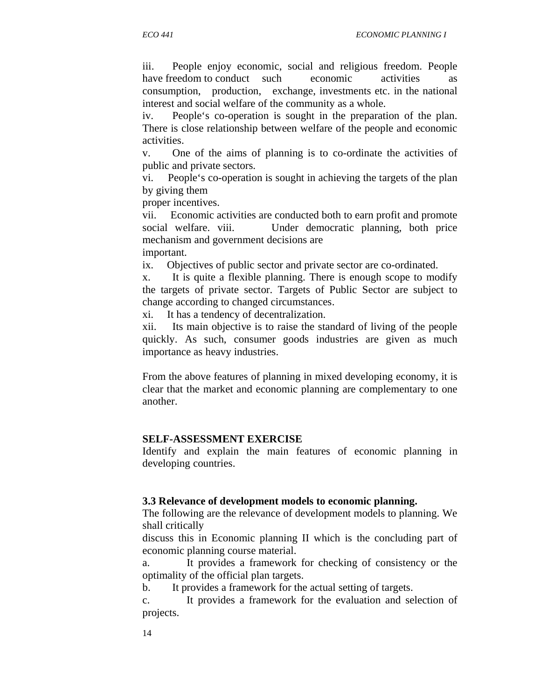iii. People enjoy economic, social and religious freedom. People have freedom to conduct such economic activities as consumption, production, exchange, investments etc. in the national interest and social welfare of the community as a whole.

iv. People's co-operation is sought in the preparation of the plan. There is close relationship between welfare of the people and economic activities.

v. One of the aims of planning is to co-ordinate the activities of public and private sectors.

vi. People's co-operation is sought in achieving the targets of the plan by giving them

proper incentives.

vii. Economic activities are conducted both to earn profit and promote social welfare. viii. Under democratic planning, both price mechanism and government decisions are

important.

ix. Objectives of public sector and private sector are co-ordinated.

x. It is quite a flexible planning. There is enough scope to modify the targets of private sector. Targets of Public Sector are subject to change according to changed circumstances.

xi. It has a tendency of decentralization.

xii. Its main objective is to raise the standard of living of the people quickly. As such, consumer goods industries are given as much importance as heavy industries.

From the above features of planning in mixed developing economy, it is clear that the market and economic planning are complementary to one another.

#### **SELF-ASSESSMENT EXERCISE**

Identify and explain the main features of economic planning in developing countries.

#### **3.3 Relevance of development models to economic planning.**

The following are the relevance of development models to planning. We shall critically

discuss this in Economic planning II which is the concluding part of economic planning course material.

a. It provides a framework for checking of consistency or the optimality of the official plan targets.

b. It provides a framework for the actual setting of targets.

c. It provides a framework for the evaluation and selection of projects.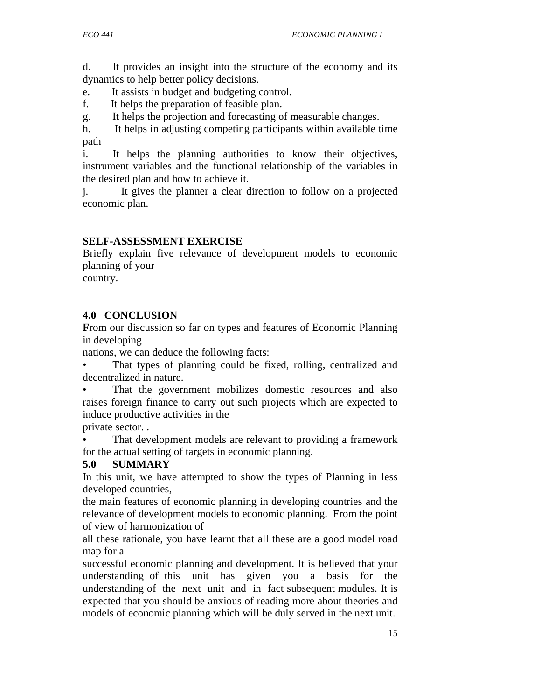d. It provides an insight into the structure of the economy and its dynamics to help better policy decisions.

e. It assists in budget and budgeting control.

f. It helps the preparation of feasible plan.

g. It helps the projection and forecasting of measurable changes.

h. It helps in adjusting competing participants within available time path

i. It helps the planning authorities to know their objectives, instrument variables and the functional relationship of the variables in the desired plan and how to achieve it.

j. It gives the planner a clear direction to follow on a projected economic plan.

# **SELF-ASSESSMENT EXERCISE**

Briefly explain five relevance of development models to economic planning of your

country.

# **4.0 CONCLUSION**

**F**rom our discussion so far on types and features of Economic Planning in developing

nations, we can deduce the following facts:

That types of planning could be fixed, rolling, centralized and decentralized in nature.

That the government mobilizes domestic resources and also raises foreign finance to carry out such projects which are expected to induce productive activities in the

private sector. .

• That development models are relevant to providing a framework for the actual setting of targets in economic planning.

# **5.0 SUMMARY**

In this unit, we have attempted to show the types of Planning in less developed countries,

the main features of economic planning in developing countries and the relevance of development models to economic planning. From the point of view of harmonization of

all these rationale, you have learnt that all these are a good model road map for a

successful economic planning and development. It is believed that your understanding of this unit has given you a basis for the understanding of the next unit and in fact subsequent modules. It is expected that you should be anxious of reading more about theories and models of economic planning which will be duly served in the next unit.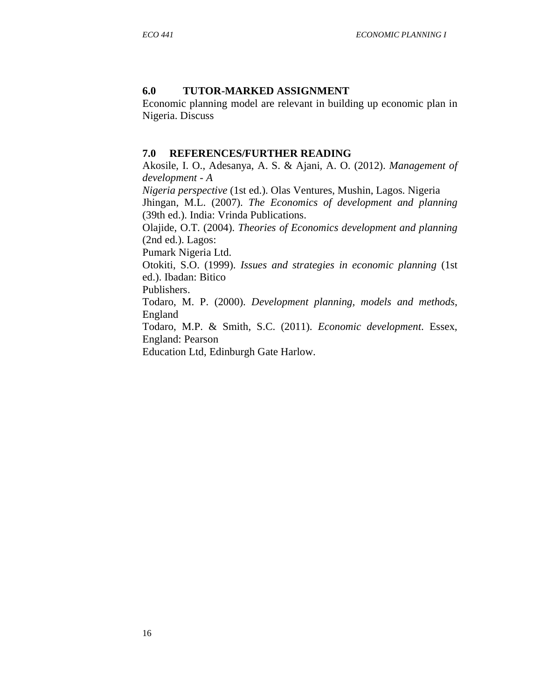### **6.0 TUTOR-MARKED ASSIGNMENT**

Economic planning model are relevant in building up economic plan in Nigeria. Discuss

# **7.0 REFERENCES/FURTHER READING**

Akosile, I. O., Adesanya, A. S. & Ajani, A. O. (2012). *Management of development - A Nigeria perspective* (1st ed.). Olas Ventures, Mushin, Lagos. Nigeria Jhingan, M.L. (2007). *The Economics of development and planning*  (39th ed.). India: Vrinda Publications. Olajide, O.T. (2004). *Theories of Economics development and planning*  (2nd ed.). Lagos: Pumark Nigeria Ltd. Otokiti, S.O. (1999). *Issues and strategies in economic planning* (1st ed.). Ibadan: Bitico Publishers. Todaro, M. P. (2000). *Development planning, models and methods*, England Todaro, M.P. & Smith, S.C. (2011). *Economic development*. Essex,

England: Pearson

Education Ltd, Edinburgh Gate Harlow.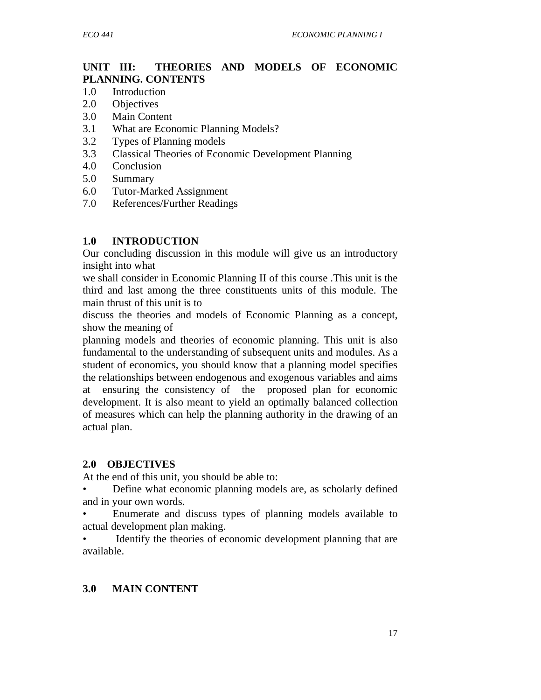# **UNIT III: THEORIES AND MODELS OF ECONOMIC PLANNING. CONTENTS**

- 1.0 Introduction
- 2.0 Objectives
- 3.0 Main Content
- 3.1 What are Economic Planning Models?
- 3.2 Types of Planning models
- 3.3 Classical Theories of Economic Development Planning
- 4.0 Conclusion
- 5.0 Summary
- 6.0 Tutor-Marked Assignment
- 7.0 References/Further Readings

# **1.0 INTRODUCTION**

Our concluding discussion in this module will give us an introductory insight into what

we shall consider in Economic Planning II of this course .This unit is the third and last among the three constituents units of this module. The main thrust of this unit is to

discuss the theories and models of Economic Planning as a concept, show the meaning of

planning models and theories of economic planning. This unit is also fundamental to the understanding of subsequent units and modules. As a student of economics, you should know that a planning model specifies the relationships between endogenous and exogenous variables and aims at ensuring the consistency of the proposed plan for economic development. It is also meant to yield an optimally balanced collection of measures which can help the planning authority in the drawing of an actual plan.

# **2.0 OBJECTIVES**

At the end of this unit, you should be able to:

• Define what economic planning models are, as scholarly defined and in your own words.

• Enumerate and discuss types of planning models available to actual development plan making.

Identify the theories of economic development planning that are available.

# **3.0 MAIN CONTENT**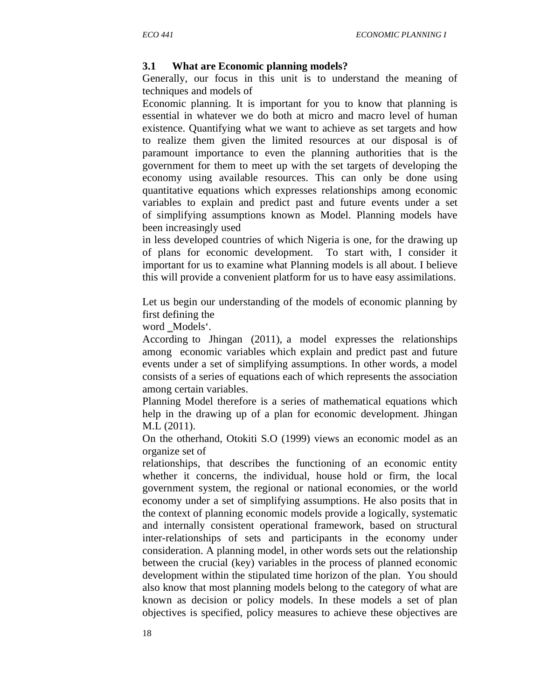#### **3.1 What are Economic planning models?**

Generally, our focus in this unit is to understand the meaning of techniques and models of

Economic planning. It is important for you to know that planning is essential in whatever we do both at micro and macro level of human existence. Quantifying what we want to achieve as set targets and how to realize them given the limited resources at our disposal is of paramount importance to even the planning authorities that is the government for them to meet up with the set targets of developing the economy using available resources. This can only be done using quantitative equations which expresses relationships among economic variables to explain and predict past and future events under a set of simplifying assumptions known as Model. Planning models have been increasingly used

in less developed countries of which Nigeria is one, for the drawing up of plans for economic development. To start with, I consider it important for us to examine what Planning models is all about. I believe this will provide a convenient platform for us to have easy assimilations.

Let us begin our understanding of the models of economic planning by first defining the

word \_Models'.

According to Jhingan (2011), a model expresses the relationships among economic variables which explain and predict past and future events under a set of simplifying assumptions. In other words, a model consists of a series of equations each of which represents the association among certain variables.

Planning Model therefore is a series of mathematical equations which help in the drawing up of a plan for economic development. Jhingan M.L (2011).

On the otherhand, Otokiti S.O (1999) views an economic model as an organize set of

relationships, that describes the functioning of an economic entity whether it concerns, the individual, house hold or firm, the local government system, the regional or national economies, or the world economy under a set of simplifying assumptions. He also posits that in the context of planning economic models provide a logically, systematic and internally consistent operational framework, based on structural inter-relationships of sets and participants in the economy under consideration. A planning model, in other words sets out the relationship between the crucial (key) variables in the process of planned economic development within the stipulated time horizon of the plan. You should also know that most planning models belong to the category of what are known as decision or policy models. In these models a set of plan objectives is specified, policy measures to achieve these objectives are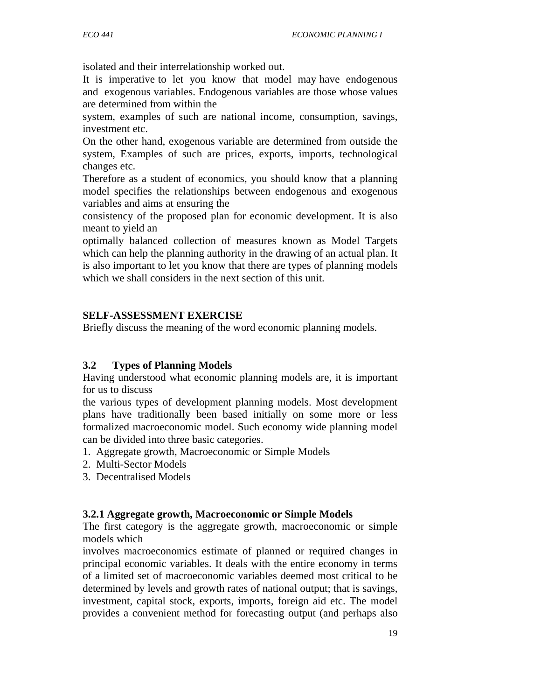isolated and their interrelationship worked out.

It is imperative to let you know that model may have endogenous and exogenous variables. Endogenous variables are those whose values are determined from within the

system, examples of such are national income, consumption, savings, investment etc.

On the other hand, exogenous variable are determined from outside the system, Examples of such are prices, exports, imports, technological changes etc.

Therefore as a student of economics, you should know that a planning model specifies the relationships between endogenous and exogenous variables and aims at ensuring the

consistency of the proposed plan for economic development. It is also meant to yield an

optimally balanced collection of measures known as Model Targets which can help the planning authority in the drawing of an actual plan. It is also important to let you know that there are types of planning models which we shall considers in the next section of this unit.

# **SELF-ASSESSMENT EXERCISE**

Briefly discuss the meaning of the word economic planning models.

# **3.2 Types of Planning Models**

Having understood what economic planning models are, it is important for us to discuss

the various types of development planning models. Most development plans have traditionally been based initially on some more or less formalized macroeconomic model. Such economy wide planning model can be divided into three basic categories.

- 1. Aggregate growth, Macroeconomic or Simple Models
- 2. Multi-Sector Models
- 3. Decentralised Models

## **3.2.1 Aggregate growth, Macroeconomic or Simple Models**

The first category is the aggregate growth, macroeconomic or simple models which

involves macroeconomics estimate of planned or required changes in principal economic variables. It deals with the entire economy in terms of a limited set of macroeconomic variables deemed most critical to be determined by levels and growth rates of national output; that is savings, investment, capital stock, exports, imports, foreign aid etc. The model provides a convenient method for forecasting output (and perhaps also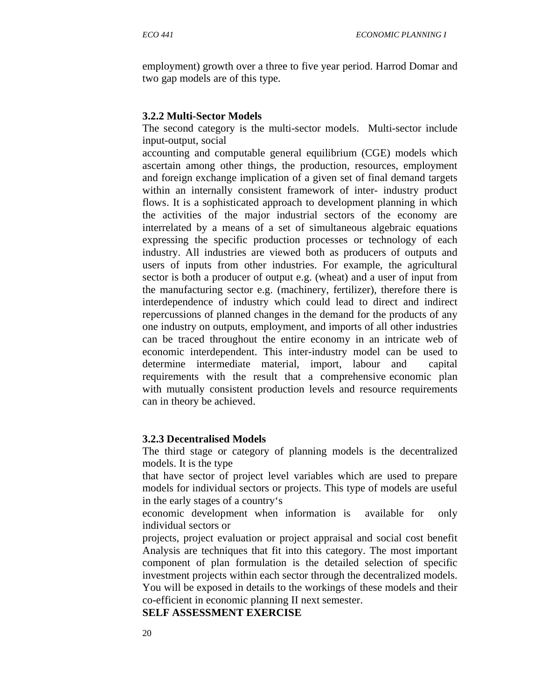employment) growth over a three to five year period. Harrod Domar and two gap models are of this type.

## **3.2.2 Multi-Sector Models**

The second category is the multi-sector models. Multi-sector include input-output, social

accounting and computable general equilibrium (CGE) models which ascertain among other things, the production, resources, employment and foreign exchange implication of a given set of final demand targets within an internally consistent framework of inter- industry product flows. It is a sophisticated approach to development planning in which the activities of the major industrial sectors of the economy are interrelated by a means of a set of simultaneous algebraic equations expressing the specific production processes or technology of each industry. All industries are viewed both as producers of outputs and users of inputs from other industries. For example, the agricultural sector is both a producer of output e.g. (wheat) and a user of input from the manufacturing sector e.g. (machinery, fertilizer), therefore there is interdependence of industry which could lead to direct and indirect repercussions of planned changes in the demand for the products of any one industry on outputs, employment, and imports of all other industries can be traced throughout the entire economy in an intricate web of economic interdependent. This inter-industry model can be used to determine intermediate material, import, labour and capital requirements with the result that a comprehensive economic plan with mutually consistent production levels and resource requirements can in theory be achieved.

#### **3.2.3 Decentralised Models**

The third stage or category of planning models is the decentralized models. It is the type

that have sector of project level variables which are used to prepare models for individual sectors or projects. This type of models are useful in the early stages of a country's

economic development when information is available for only individual sectors or

projects, project evaluation or project appraisal and social cost benefit Analysis are techniques that fit into this category. The most important component of plan formulation is the detailed selection of specific investment projects within each sector through the decentralized models. You will be exposed in details to the workings of these models and their co-efficient in economic planning II next semester.

## **SELF ASSESSMENT EXERCISE**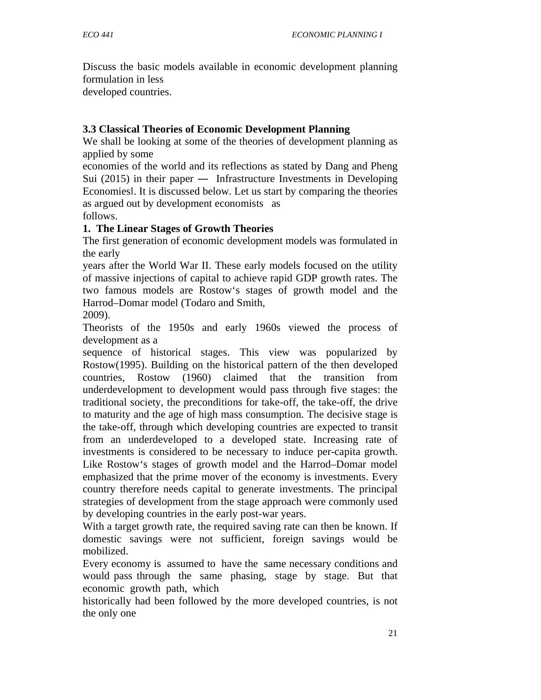Discuss the basic models available in economic development planning formulation in less

developed countries.

# **3.3 Classical Theories of Economic Development Planning**

We shall be looking at some of the theories of development planning as applied by some

economies of the world and its reflections as stated by Dang and Pheng Sui (2015) in their paper ― Infrastructure Investments in Developing Economies‖. It is discussed below. Let us start by comparing the theories as argued out by development economists as

follows.

# **1. The Linear Stages of Growth Theories**

The first generation of economic development models was formulated in the early

years after the World War II. These early models focused on the utility of massive injections of capital to achieve rapid GDP growth rates. The two famous models are Rostow's stages of growth model and the Harrod–Domar model (Todaro and Smith,

2009).

Theorists of the 1950s and early 1960s viewed the process of development as a

sequence of historical stages. This view was popularized by Rostow(1995). Building on the historical pattern of the then developed countries, Rostow (1960) claimed that the transition from underdevelopment to development would pass through five stages: the traditional society, the preconditions for take-off, the take-off, the drive to maturity and the age of high mass consumption. The decisive stage is the take-off, through which developing countries are expected to transit from an underdeveloped to a developed state. Increasing rate of investments is considered to be necessary to induce per-capita growth. Like Rostow's stages of growth model and the Harrod–Domar model emphasized that the prime mover of the economy is investments. Every country therefore needs capital to generate investments. The principal strategies of development from the stage approach were commonly used by developing countries in the early post-war years.

With a target growth rate, the required saving rate can then be known. If domestic savings were not sufficient, foreign savings would be mobilized.

Every economy is assumed to have the same necessary conditions and would pass through the same phasing, stage by stage. But that economic growth path, which

historically had been followed by the more developed countries, is not the only one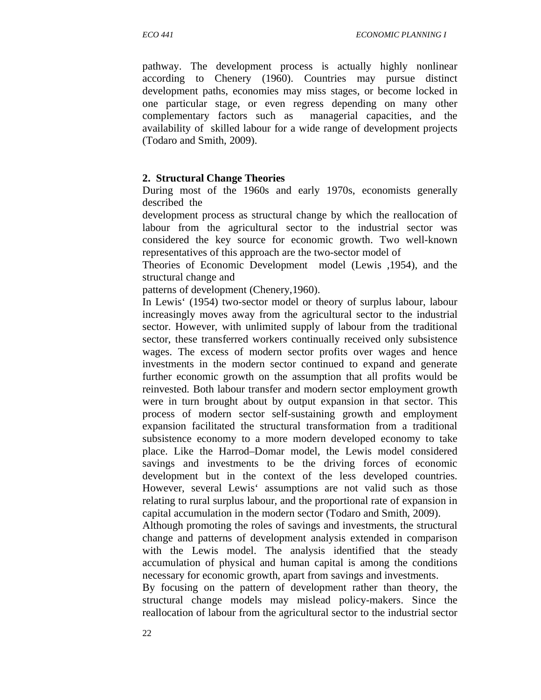pathway. The development process is actually highly nonlinear according to Chenery (1960). Countries may pursue distinct development paths, economies may miss stages, or become locked in one particular stage, or even regress depending on many other complementary factors such as managerial capacities, and the availability of skilled labour for a wide range of development projects (Todaro and Smith, 2009).

#### **2. Structural Change Theories**

During most of the 1960s and early 1970s, economists generally described the

development process as structural change by which the reallocation of labour from the agricultural sector to the industrial sector was considered the key source for economic growth. Two well-known representatives of this approach are the two-sector model of

Theories of Economic Development model (Lewis ,1954), and the structural change and

patterns of development (Chenery,1960).

In Lewis' (1954) two-sector model or theory of surplus labour, labour increasingly moves away from the agricultural sector to the industrial sector. However, with unlimited supply of labour from the traditional sector, these transferred workers continually received only subsistence wages. The excess of modern sector profits over wages and hence investments in the modern sector continued to expand and generate further economic growth on the assumption that all profits would be reinvested. Both labour transfer and modern sector employment growth were in turn brought about by output expansion in that sector. This process of modern sector self-sustaining growth and employment expansion facilitated the structural transformation from a traditional subsistence economy to a more modern developed economy to take place. Like the Harrod–Domar model, the Lewis model considered savings and investments to be the driving forces of economic development but in the context of the less developed countries. However, several Lewis' assumptions are not valid such as those relating to rural surplus labour, and the proportional rate of expansion in capital accumulation in the modern sector (Todaro and Smith, 2009).

Although promoting the roles of savings and investments, the structural change and patterns of development analysis extended in comparison with the Lewis model. The analysis identified that the steady accumulation of physical and human capital is among the conditions necessary for economic growth, apart from savings and investments.

By focusing on the pattern of development rather than theory, the structural change models may mislead policy-makers. Since the reallocation of labour from the agricultural sector to the industrial sector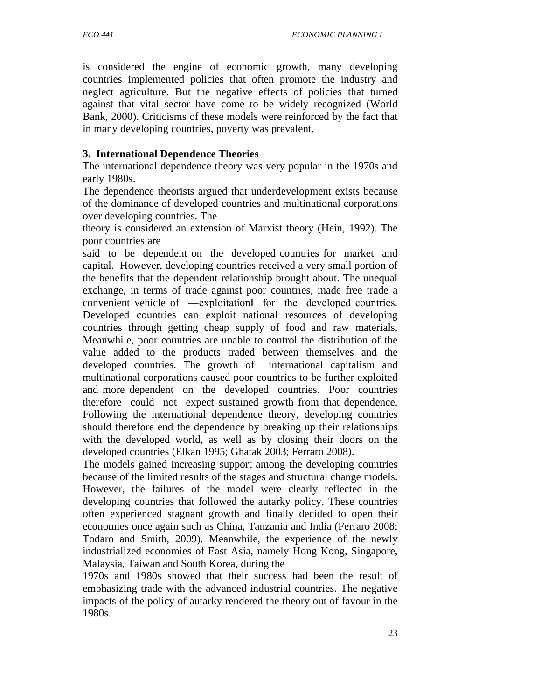is considered the engine of economic growth, many developing countries implemented policies that often promote the industry and neglect agriculture. But the negative effects of policies that turned against that vital sector have come to be widely recognized (World Bank, 2000). Criticisms of these models were reinforced by the fact that in many developing countries, poverty was prevalent.

## **3. International Dependence Theories**

The international dependence theory was very popular in the 1970s and early 1980s.

The dependence theorists argued that underdevelopment exists because of the dominance of developed countries and multinational corporations over developing countries. The

theory is considered an extension of Marxist theory (Hein, 1992). The poor countries are

said to be dependent on the developed countries for market and capital. However, developing countries received a very small portion of the benefits that the dependent relationship brought about. The unequal exchange, in terms of trade against poor countries, made free trade a convenient vehicle of ―exploitation‖ for the developed countries. Developed countries can exploit national resources of developing countries through getting cheap supply of food and raw materials. Meanwhile, poor countries are unable to control the distribution of the value added to the products traded between themselves and the developed countries. The growth of international capitalism and multinational corporations caused poor countries to be further exploited and more dependent on the developed countries. Poor countries therefore could not expect sustained growth from that dependence. Following the international dependence theory, developing countries should therefore end the dependence by breaking up their relationships with the developed world, as well as by closing their doors on the developed countries (Elkan 1995; Ghatak 2003; Ferraro 2008).

The models gained increasing support among the developing countries because of the limited results of the stages and structural change models. However, the failures of the model were clearly reflected in the developing countries that followed the autarky policy. These countries often experienced stagnant growth and finally decided to open their economies once again such as China, Tanzania and India (Ferraro 2008; Todaro and Smith, 2009). Meanwhile, the experience of the newly industrialized economies of East Asia, namely Hong Kong, Singapore, Malaysia, Taiwan and South Korea, during the

1970s and 1980s showed that their success had been the result of emphasizing trade with the advanced industrial countries. The negative impacts of the policy of autarky rendered the theory out of favour in the 1980s.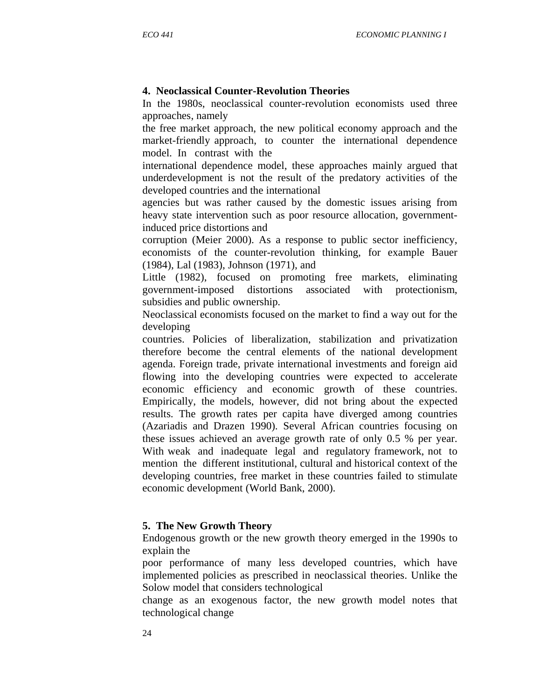#### **4. Neoclassical Counter-Revolution Theories**

In the 1980s, neoclassical counter-revolution economists used three approaches, namely

the free market approach, the new political economy approach and the market-friendly approach, to counter the international dependence model. In contrast with the

international dependence model, these approaches mainly argued that underdevelopment is not the result of the predatory activities of the developed countries and the international

agencies but was rather caused by the domestic issues arising from heavy state intervention such as poor resource allocation, governmentinduced price distortions and

corruption (Meier 2000). As a response to public sector inefficiency, economists of the counter-revolution thinking, for example Bauer (1984), Lal (1983), Johnson (1971), and

Little (1982), focused on promoting free markets, eliminating government-imposed distortions associated with protectionism, subsidies and public ownership.

Neoclassical economists focused on the market to find a way out for the developing

countries. Policies of liberalization, stabilization and privatization therefore become the central elements of the national development agenda. Foreign trade, private international investments and foreign aid flowing into the developing countries were expected to accelerate economic efficiency and economic growth of these countries. Empirically, the models, however, did not bring about the expected results. The growth rates per capita have diverged among countries (Azariadis and Drazen 1990). Several African countries focusing on these issues achieved an average growth rate of only 0.5 % per year. With weak and inadequate legal and regulatory framework, not to mention the different institutional, cultural and historical context of the developing countries, free market in these countries failed to stimulate economic development (World Bank, 2000).

## **5. The New Growth Theory**

Endogenous growth or the new growth theory emerged in the 1990s to explain the

poor performance of many less developed countries, which have implemented policies as prescribed in neoclassical theories. Unlike the Solow model that considers technological

change as an exogenous factor, the new growth model notes that technological change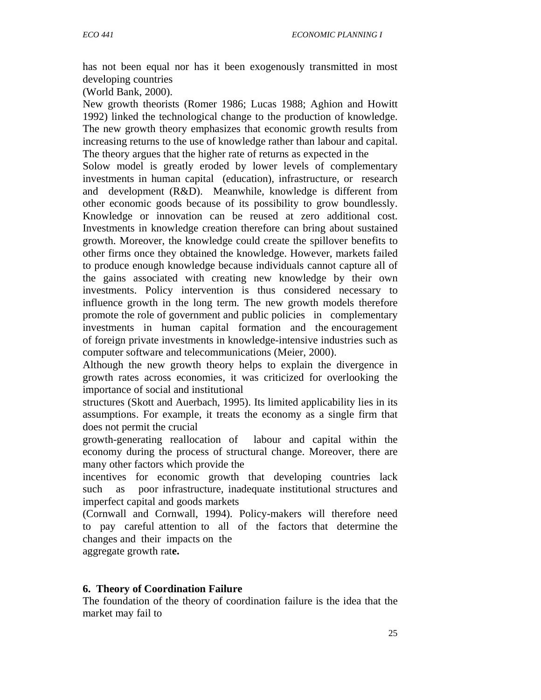has not been equal nor has it been exogenously transmitted in most developing countries

(World Bank, 2000).

New growth theorists (Romer 1986; Lucas 1988; Aghion and Howitt 1992) linked the technological change to the production of knowledge. The new growth theory emphasizes that economic growth results from increasing returns to the use of knowledge rather than labour and capital. The theory argues that the higher rate of returns as expected in the

Solow model is greatly eroded by lower levels of complementary investments in human capital (education), infrastructure, or research and development (R&D). Meanwhile, knowledge is different from other economic goods because of its possibility to grow boundlessly. Knowledge or innovation can be reused at zero additional cost. Investments in knowledge creation therefore can bring about sustained growth. Moreover, the knowledge could create the spillover benefits to other firms once they obtained the knowledge. However, markets failed to produce enough knowledge because individuals cannot capture all of the gains associated with creating new knowledge by their own investments. Policy intervention is thus considered necessary to influence growth in the long term. The new growth models therefore promote the role of government and public policies in complementary investments in human capital formation and the encouragement of foreign private investments in knowledge-intensive industries such as computer software and telecommunications (Meier, 2000).

Although the new growth theory helps to explain the divergence in growth rates across economies, it was criticized for overlooking the importance of social and institutional

structures (Skott and Auerbach, 1995). Its limited applicability lies in its assumptions. For example, it treats the economy as a single firm that does not permit the crucial

growth-generating reallocation of labour and capital within the economy during the process of structural change. Moreover, there are many other factors which provide the

incentives for economic growth that developing countries lack such as poor infrastructure, inadequate institutional structures and imperfect capital and goods markets

(Cornwall and Cornwall, 1994). Policy-makers will therefore need to pay careful attention to all of the factors that determine the changes and their impacts on the

aggregate growth rat**e.**

# **6. Theory of Coordination Failure**

The foundation of the theory of coordination failure is the idea that the market may fail to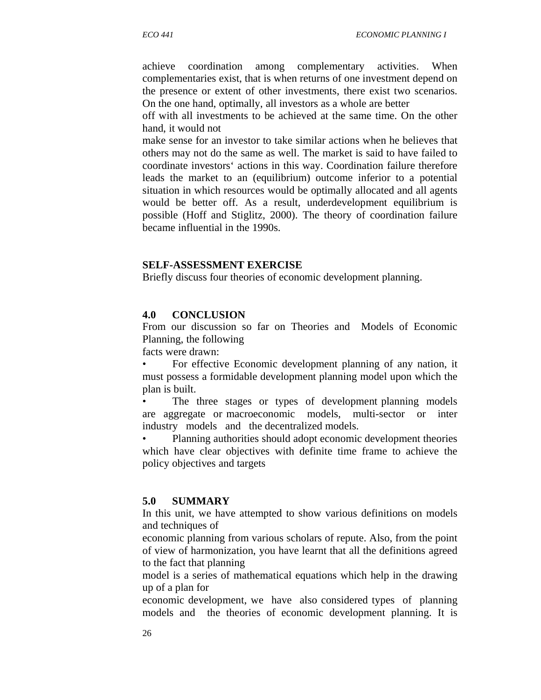achieve coordination among complementary activities. When complementaries exist, that is when returns of one investment depend on the presence or extent of other investments, there exist two scenarios. On the one hand, optimally, all investors as a whole are better

off with all investments to be achieved at the same time. On the other hand, it would not

make sense for an investor to take similar actions when he believes that others may not do the same as well. The market is said to have failed to coordinate investors' actions in this way. Coordination failure therefore leads the market to an (equilibrium) outcome inferior to a potential situation in which resources would be optimally allocated and all agents would be better off. As a result, underdevelopment equilibrium is possible (Hoff and Stiglitz, 2000). The theory of coordination failure became influential in the 1990s.

### **SELF-ASSESSMENT EXERCISE**

Briefly discuss four theories of economic development planning.

#### **4.0 CONCLUSION**

From our discussion so far on Theories and Models of Economic Planning, the following

facts were drawn:

• For effective Economic development planning of any nation, it must possess a formidable development planning model upon which the plan is built.

The three stages or types of development planning models are aggregate or macroeconomic models, multi-sector or inter industry models and the decentralized models.

• Planning authorities should adopt economic development theories which have clear objectives with definite time frame to achieve the policy objectives and targets

## **5.0 SUMMARY**

In this unit, we have attempted to show various definitions on models and techniques of

economic planning from various scholars of repute. Also, from the point of view of harmonization, you have learnt that all the definitions agreed to the fact that planning

model is a series of mathematical equations which help in the drawing up of a plan for

economic development, we have also considered types of planning models and the theories of economic development planning. It is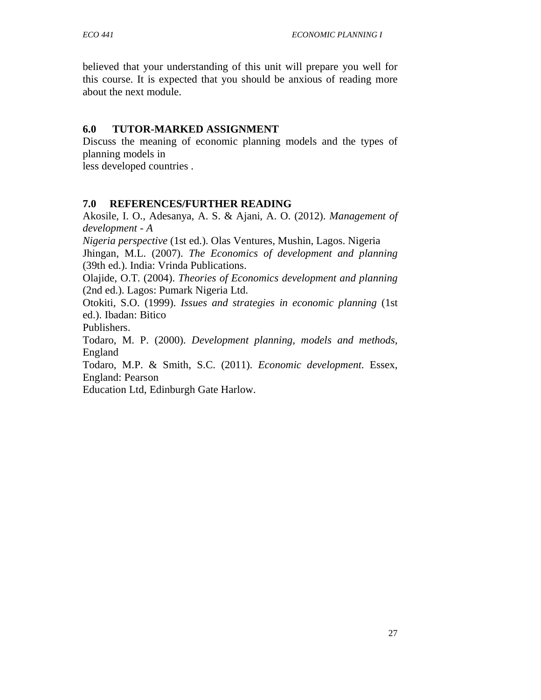believed that your understanding of this unit will prepare you well for this course. It is expected that you should be anxious of reading more about the next module.

# **6.0 TUTOR-MARKED ASSIGNMENT**

Discuss the meaning of economic planning models and the types of planning models in

less developed countries .

# **7.0 REFERENCES/FURTHER READING**

Akosile, I. O., Adesanya, A. S. & Ajani, A. O. (2012). *Management of development - A*

*Nigeria perspective* (1st ed.). Olas Ventures, Mushin, Lagos. Nigeria

Jhingan, M.L. (2007). *The Economics of development and planning*  (39th ed.). India: Vrinda Publications.

Olajide, O.T. (2004). *Theories of Economics development and planning*  (2nd ed.). Lagos: Pumark Nigeria Ltd.

Otokiti, S.O. (1999). *Issues and strategies in economic planning* (1st ed.). Ibadan: Bitico

Publishers.

Todaro, M. P. (2000). *Development planning, models and methods*, England

Todaro, M.P. & Smith, S.C. (2011). *Economic development*. Essex, England: Pearson

Education Ltd, Edinburgh Gate Harlow.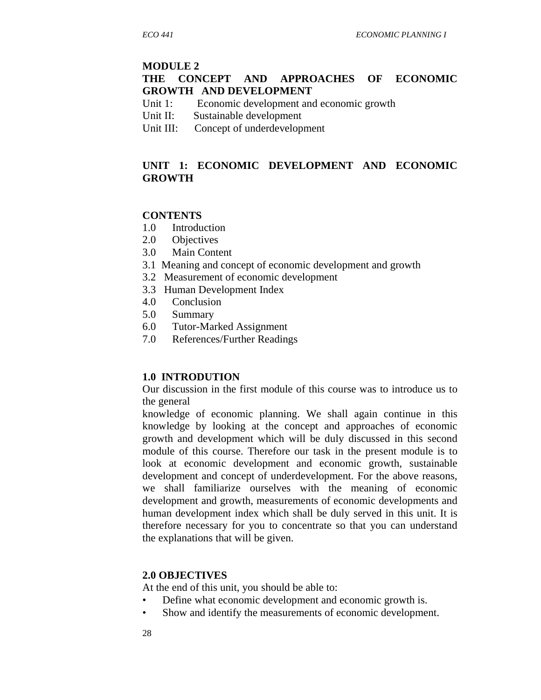#### **MODULE 2**

### **THE CONCEPT AND APPROACHES OF ECONOMIC GROWTH AND DEVELOPMENT**

- Unit 1: Economic development and economic growth
- Unit II: Sustainable development
- Unit III: Concept of underdevelopment

## **UNIT 1: ECONOMIC DEVELOPMENT AND ECONOMIC GROWTH**

#### **CONTENTS**

- 1.0 Introduction
- 2.0 Objectives
- 3.0 Main Content
- 3.1 Meaning and concept of economic development and growth
- 3.2 Measurement of economic development
- 3.3 Human Development Index
- 4.0 Conclusion
- 5.0 Summary
- 6.0 Tutor-Marked Assignment
- 7.0 References/Further Readings

#### **1.0 INTRODUTION**

Our discussion in the first module of this course was to introduce us to the general

knowledge of economic planning. We shall again continue in this knowledge by looking at the concept and approaches of economic growth and development which will be duly discussed in this second module of this course. Therefore our task in the present module is to look at economic development and economic growth, sustainable development and concept of underdevelopment. For the above reasons, we shall familiarize ourselves with the meaning of economic development and growth, measurements of economic developments and human development index which shall be duly served in this unit. It is therefore necessary for you to concentrate so that you can understand the explanations that will be given.

#### **2.0 OBJECTIVES**

At the end of this unit, you should be able to:

- Define what economic development and economic growth is.
- Show and identify the measurements of economic development.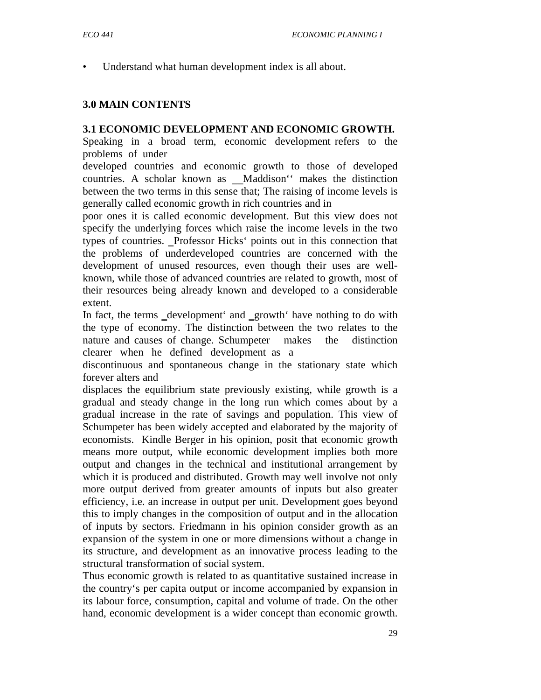• Understand what human development index is all about.

# **3.0 MAIN CONTENTS**

## **3.1 ECONOMIC DEVELOPMENT AND ECONOMIC GROWTH.**

Speaking in a broad term, economic development refers to the problems of under

developed countries and economic growth to those of developed countries. A scholar known as Maddison" makes the distinction between the two terms in this sense that; The raising of income levels is generally called economic growth in rich countries and in

poor ones it is called economic development. But this view does not specify the underlying forces which raise the income levels in the two types of countries. Professor Hicks' points out in this connection that the problems of underdeveloped countries are concerned with the development of unused resources, even though their uses are wellknown, while those of advanced countries are related to growth, most of their resources being already known and developed to a considerable extent.

In fact, the terms \_development' and \_growth' have nothing to do with the type of economy. The distinction between the two relates to the nature and causes of change. Schumpeter makes the distinction clearer when he defined development as a

discontinuous and spontaneous change in the stationary state which forever alters and

displaces the equilibrium state previously existing, while growth is a gradual and steady change in the long run which comes about by a gradual increase in the rate of savings and population. This view of Schumpeter has been widely accepted and elaborated by the majority of economists. Kindle Berger in his opinion, posit that economic growth means more output, while economic development implies both more output and changes in the technical and institutional arrangement by which it is produced and distributed. Growth may well involve not only more output derived from greater amounts of inputs but also greater efficiency, i.e. an increase in output per unit. Development goes beyond this to imply changes in the composition of output and in the allocation of inputs by sectors. Friedmann in his opinion consider growth as an expansion of the system in one or more dimensions without a change in its structure, and development as an innovative process leading to the structural transformation of social system.

Thus economic growth is related to as quantitative sustained increase in the country's per capita output or income accompanied by expansion in its labour force, consumption, capital and volume of trade. On the other hand, economic development is a wider concept than economic growth.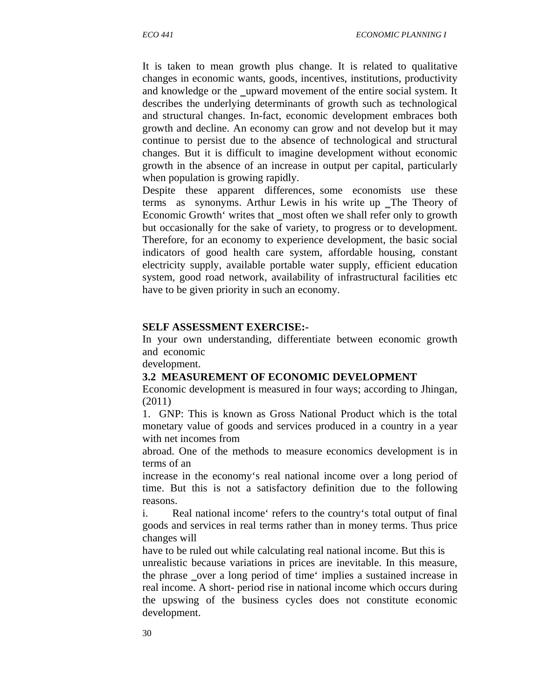It is taken to mean growth plus change. It is related to qualitative changes in economic wants, goods, incentives, institutions, productivity and knowledge or the upward movement of the entire social system. It describes the underlying determinants of growth such as technological and structural changes. In-fact, economic development embraces both growth and decline. An economy can grow and not develop but it may continue to persist due to the absence of technological and structural changes. But it is difficult to imagine development without economic growth in the absence of an increase in output per capital, particularly when population is growing rapidly.

Despite these apparent differences, some economists use these terms as synonyms. Arthur Lewis in his write up The Theory of Economic Growth' writes that most often we shall refer only to growth but occasionally for the sake of variety, to progress or to development. Therefore, for an economy to experience development, the basic social indicators of good health care system, affordable housing, constant electricity supply, available portable water supply, efficient education system, good road network, availability of infrastructural facilities etc have to be given priority in such an economy.

#### **SELF ASSESSMENT EXERCISE:-**

In your own understanding, differentiate between economic growth and economic

development.

#### **3.2 MEASUREMENT OF ECONOMIC DEVELOPMENT**

Economic development is measured in four ways; according to Jhingan, (2011)

1. GNP: This is known as Gross National Product which is the total monetary value of goods and services produced in a country in a year with net incomes from

abroad. One of the methods to measure economics development is in terms of an

increase in the economy's real national income over a long period of time. But this is not a satisfactory definition due to the following reasons.

i. Real national income' refers to the country's total output of final goods and services in real terms rather than in money terms. Thus price changes will

have to be ruled out while calculating real national income. But this is unrealistic because variations in prices are inevitable. In this measure, the phrase <u>over</u> a long period of time' implies a sustained increase in real income. A short- period rise in national income which occurs during the upswing of the business cycles does not constitute economic development.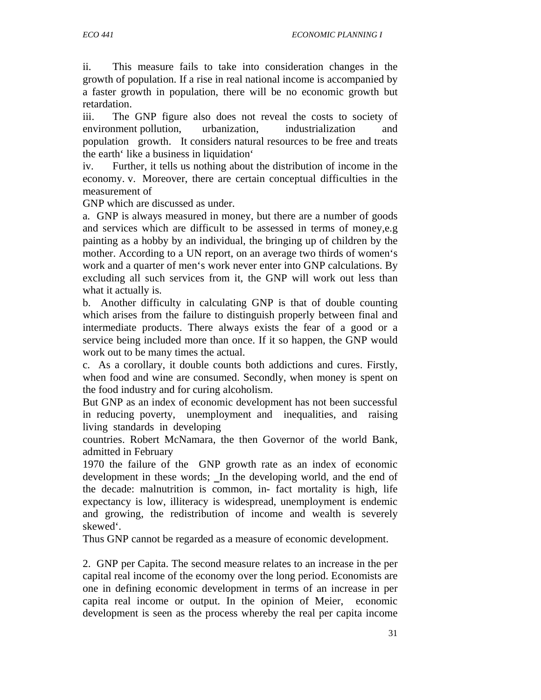ii. This measure fails to take into consideration changes in the growth of population. If a rise in real national income is accompanied by a faster growth in population, there will be no economic growth but retardation.

iii. The GNP figure also does not reveal the costs to society of environment pollution, urbanization, industrialization and population growth. It considers natural resources to be free and treats the earth' like a business in liquidation'

iv. Further, it tells us nothing about the distribution of income in the economy. v. Moreover, there are certain conceptual difficulties in the measurement of

GNP which are discussed as under.

a. GNP is always measured in money, but there are a number of goods and services which are difficult to be assessed in terms of money,e.g painting as a hobby by an individual, the bringing up of children by the mother. According to a UN report, on an average two thirds of women's work and a quarter of men's work never enter into GNP calculations. By excluding all such services from it, the GNP will work out less than what it actually is.

b. Another difficulty in calculating GNP is that of double counting which arises from the failure to distinguish properly between final and intermediate products. There always exists the fear of a good or a service being included more than once. If it so happen, the GNP would work out to be many times the actual.

c. As a corollary, it double counts both addictions and cures. Firstly, when food and wine are consumed. Secondly, when money is spent on the food industry and for curing alcoholism.

But GNP as an index of economic development has not been successful in reducing poverty, unemployment and inequalities, and raising living standards in developing

countries. Robert McNamara, the then Governor of the world Bank, admitted in February

1970 the failure of the GNP growth rate as an index of economic development in these words; In the developing world, and the end of the decade: malnutrition is common, in- fact mortality is high, life expectancy is low, illiteracy is widespread, unemployment is endemic and growing, the redistribution of income and wealth is severely skewed'.

Thus GNP cannot be regarded as a measure of economic development.

2. GNP per Capita. The second measure relates to an increase in the per capital real income of the economy over the long period. Economists are one in defining economic development in terms of an increase in per capita real income or output. In the opinion of Meier, economic development is seen as the process whereby the real per capita income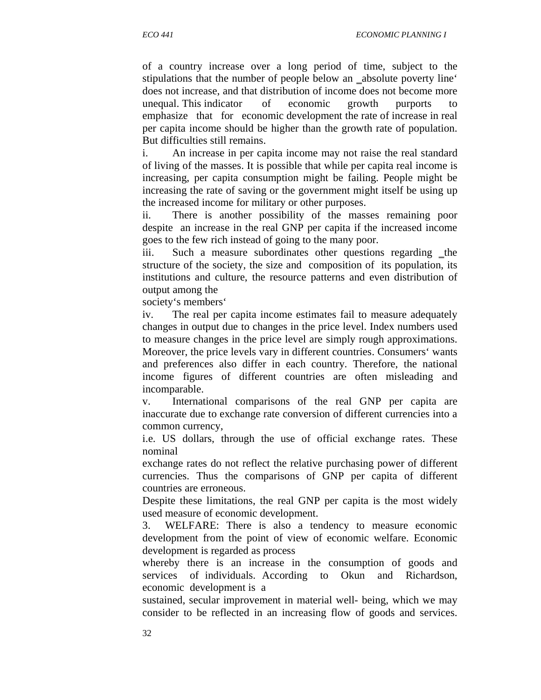of a country increase over a long period of time, subject to the stipulations that the number of people below an absolute poverty line' does not increase, and that distribution of income does not become more unequal. This indicator of economic growth purports to emphasize that for economic development the rate of increase in real per capita income should be higher than the growth rate of population. But difficulties still remains.

i. An increase in per capita income may not raise the real standard of living of the masses. It is possible that while per capita real income is increasing, per capita consumption might be failing. People might be increasing the rate of saving or the government might itself be using up the increased income for military or other purposes.

ii. There is another possibility of the masses remaining poor despite an increase in the real GNP per capita if the increased income goes to the few rich instead of going to the many poor.

iii. Such a measure subordinates other questions regarding the structure of the society, the size and composition of its population, its institutions and culture, the resource patterns and even distribution of output among the

society's members'

iv. The real per capita income estimates fail to measure adequately changes in output due to changes in the price level. Index numbers used to measure changes in the price level are simply rough approximations. Moreover, the price levels vary in different countries. Consumers' wants and preferences also differ in each country. Therefore, the national income figures of different countries are often misleading and incomparable.

v. International comparisons of the real GNP per capita are inaccurate due to exchange rate conversion of different currencies into a common currency,

i.e. US dollars, through the use of official exchange rates. These nominal

exchange rates do not reflect the relative purchasing power of different currencies. Thus the comparisons of GNP per capita of different countries are erroneous.

Despite these limitations, the real GNP per capita is the most widely used measure of economic development.

3. WELFARE: There is also a tendency to measure economic development from the point of view of economic welfare. Economic development is regarded as process

whereby there is an increase in the consumption of goods and services of individuals. According to Okun and Richardson, economic development is a

sustained, secular improvement in material well- being, which we may consider to be reflected in an increasing flow of goods and services.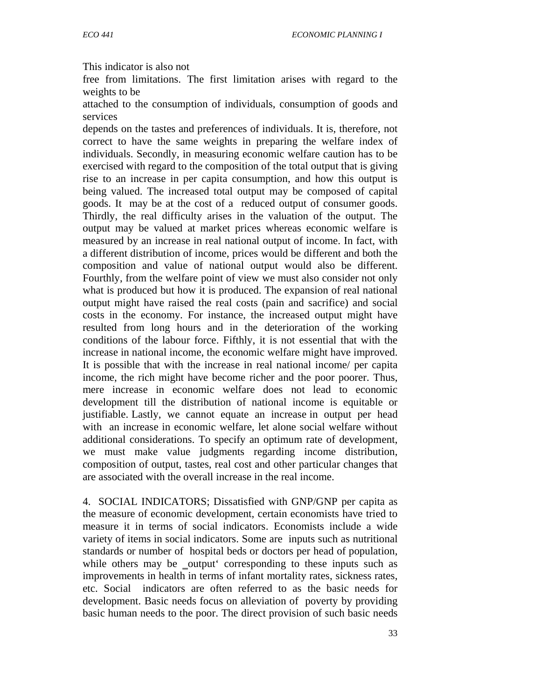This indicator is also not

free from limitations. The first limitation arises with regard to the weights to be

attached to the consumption of individuals, consumption of goods and services

depends on the tastes and preferences of individuals. It is, therefore, not correct to have the same weights in preparing the welfare index of individuals. Secondly, in measuring economic welfare caution has to be exercised with regard to the composition of the total output that is giving rise to an increase in per capita consumption, and how this output is being valued. The increased total output may be composed of capital goods. It may be at the cost of a reduced output of consumer goods. Thirdly, the real difficulty arises in the valuation of the output. The output may be valued at market prices whereas economic welfare is measured by an increase in real national output of income. In fact, with a different distribution of income, prices would be different and both the composition and value of national output would also be different. Fourthly, from the welfare point of view we must also consider not only what is produced but how it is produced. The expansion of real national output might have raised the real costs (pain and sacrifice) and social costs in the economy. For instance, the increased output might have resulted from long hours and in the deterioration of the working conditions of the labour force. Fifthly, it is not essential that with the increase in national income, the economic welfare might have improved. It is possible that with the increase in real national income/ per capita income, the rich might have become richer and the poor poorer. Thus, mere increase in economic welfare does not lead to economic development till the distribution of national income is equitable or justifiable. Lastly, we cannot equate an increase in output per head with an increase in economic welfare, let alone social welfare without additional considerations. To specify an optimum rate of development, we must make value judgments regarding income distribution, composition of output, tastes, real cost and other particular changes that are associated with the overall increase in the real income.

4. SOCIAL INDICATORS; Dissatisfied with GNP/GNP per capita as the measure of economic development, certain economists have tried to measure it in terms of social indicators. Economists include a wide variety of items in social indicators. Some are inputs such as nutritional standards or number of hospital beds or doctors per head of population, while others may be \_output' corresponding to these inputs such as improvements in health in terms of infant mortality rates, sickness rates, etc. Social indicators are often referred to as the basic needs for development. Basic needs focus on alleviation of poverty by providing basic human needs to the poor. The direct provision of such basic needs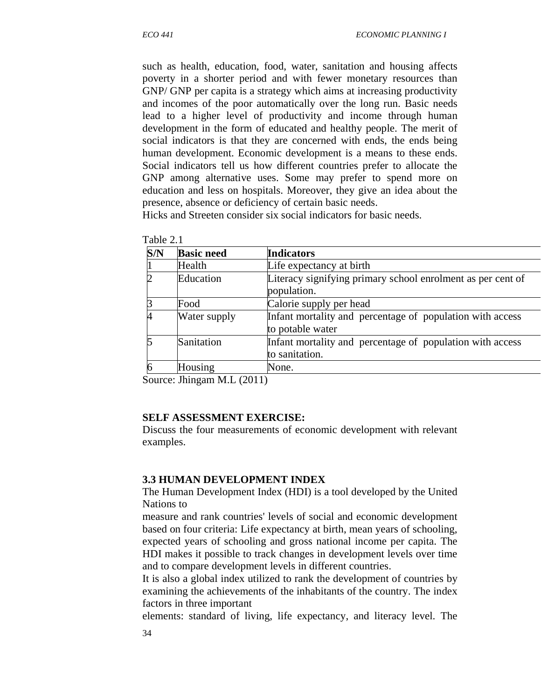such as health, education, food, water, sanitation and housing affects poverty in a shorter period and with fewer monetary resources than GNP/ GNP per capita is a strategy which aims at increasing productivity and incomes of the poor automatically over the long run. Basic needs lead to a higher level of productivity and income through human development in the form of educated and healthy people. The merit of social indicators is that they are concerned with ends, the ends being human development. Economic development is a means to these ends. Social indicators tell us how different countries prefer to allocate the GNP among alternative uses. Some may prefer to spend more on education and less on hospitals. Moreover, they give an idea about the presence, absence or deficiency of certain basic needs.

Hicks and Streeten consider six social indicators for basic needs.

| S/N | <b>Basic need</b> | <b>Indicators</b>                                                             |
|-----|-------------------|-------------------------------------------------------------------------------|
|     | Health            | Life expectancy at birth                                                      |
|     | Education         | Literacy signifying primary school enrolment as per cent of<br>population.    |
|     | Food              | Calorie supply per head                                                       |
| 4   | Water supply      | Infant mortality and percentage of population with access<br>to potable water |
|     | Sanitation        | Infant mortality and percentage of population with access<br>to sanitation.   |
|     | Housing           | None.                                                                         |

Table 2.1

Source: Jhingam M.L (2011)

#### **SELF ASSESSMENT EXERCISE:**

Discuss the four measurements of economic development with relevant examples.

#### **3.3 HUMAN DEVELOPMENT INDEX**

The Human Development Index (HDI) is a tool developed by the United Nations to

measure and rank countries' levels of social and economic development based on four criteria: Life expectancy at birth, mean years of schooling, expected years of schooling and gross national income per capita. The HDI makes it possible to track changes in development levels over time and to compare development levels in different countries.

It is also a global index utilized to rank the development of countries by examining the achievements of the inhabitants of the country. The index factors in three important

elements: standard of living, life expectancy, and literacy level. The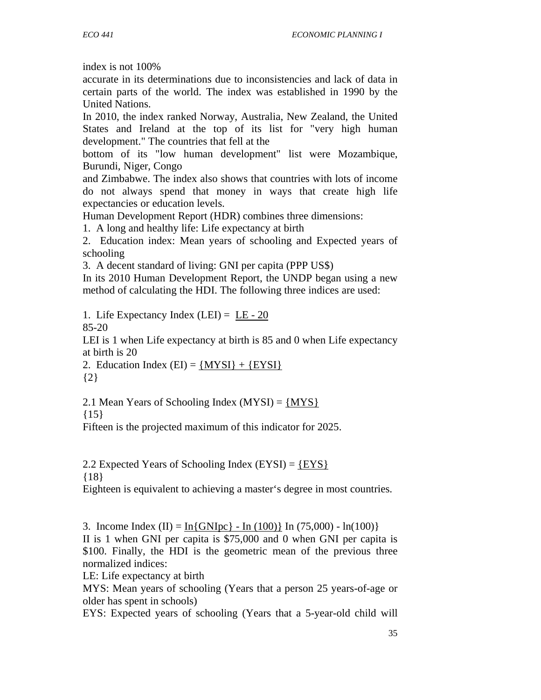index is not 100%

accurate in its determinations due to inconsistencies and lack of data in certain parts of the world. The index was established in 1990 by the United Nations.

In 2010, the index ranked Norway, Australia, New Zealand, the United States and Ireland at the top of its list for "very high human development." The countries that fell at the

bottom of its "low human development" list were Mozambique, Burundi, Niger, Congo

and Zimbabwe. The index also shows that countries with lots of income do not always spend that money in ways that create high life expectancies or education levels.

Human Development Report (HDR) combines three dimensions:

1. A long and healthy life: Life expectancy at birth

2. Education index: Mean years of schooling and Expected years of schooling

3. A decent standard of living: GNI per capita (PPP US\$)

In its 2010 Human Development Report, the UNDP began using a new method of calculating the HDI. The following three indices are used:

1. Life Expectancy Index (LEI) =  $LE - 20$ 85-20 LEI is 1 when Life expectancy at birth is 85 and 0 when Life expectancy

at birth is 20

2. Education Index  $(EI) = \{MYSI\} + \{EYSI\}$ {2}

2.1 Mean Years of Schooling Index (MYSI) =  ${MYS}$ 

{15}

Fifteen is the projected maximum of this indicator for 2025.

2.2 Expected Years of Schooling Index  $(EYSI) = \{EYS\}$ {18}

Eighteen is equivalent to achieving a master's degree in most countries.

3. Income Index (II) = In{GNIpc} - In (100)} In (75,000) - ln(100)}

II is 1 when GNI per capita is \$75,000 and 0 when GNI per capita is \$100. Finally, the HDI is the geometric mean of the previous three normalized indices:

LE: Life expectancy at birth

MYS: Mean years of schooling (Years that a person 25 years-of-age or older has spent in schools)

EYS: Expected years of schooling (Years that a 5-year-old child will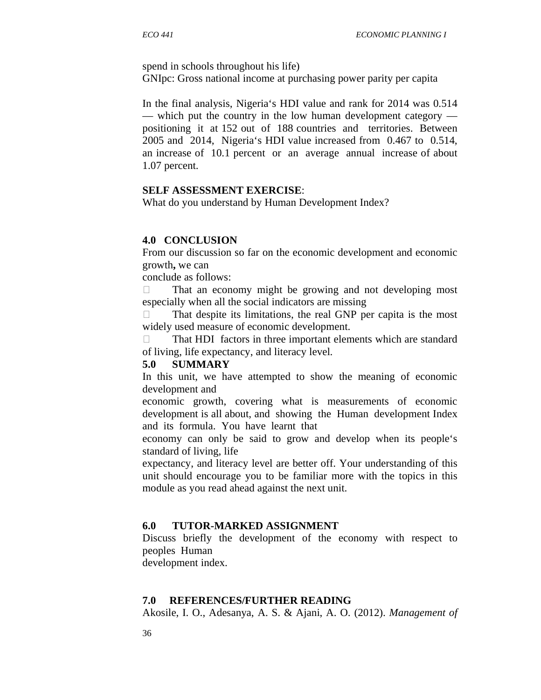spend in schools throughout his life)

GNIpc: Gross national income at purchasing power parity per capita

In the final analysis, Nigeria's HDI value and rank for 2014 was 0.514 — which put the country in the low human development category positioning it at 152 out of 188 countries and territories. Between 2005 and 2014, Nigeria's HDI value increased from 0.467 to 0.514, an increase of 10.1 percent or an average annual increase of about 1.07 percent.

## **SELF ASSESSMENT EXERCISE**:

What do you understand by Human Development Index?

## **4.0 CONCLUSION**

From our discussion so far on the economic development and economic growth**,** we can

conclude as follows:

 $\Box$  That an economy might be growing and not developing most especially when all the social indicators are missing

 That despite its limitations, the real GNP per capita is the most widely used measure of economic development.

 That HDI factors in three important elements which are standard of living, life expectancy, and literacy level.

## **5.0 SUMMARY**

In this unit, we have attempted to show the meaning of economic development and

economic growth, covering what is measurements of economic development is all about, and showing the Human development Index and its formula. You have learnt that

economy can only be said to grow and develop when its people's standard of living, life

expectancy, and literacy level are better off. Your understanding of this unit should encourage you to be familiar more with the topics in this module as you read ahead against the next unit.

# **6.0 TUTOR-MARKED ASSIGNMENT**

Discuss briefly the development of the economy with respect to peoples Human

development index.

# **7.0 REFERENCES/FURTHER READING**

Akosile, I. O., Adesanya, A. S. & Ajani, A. O. (2012). *Management of*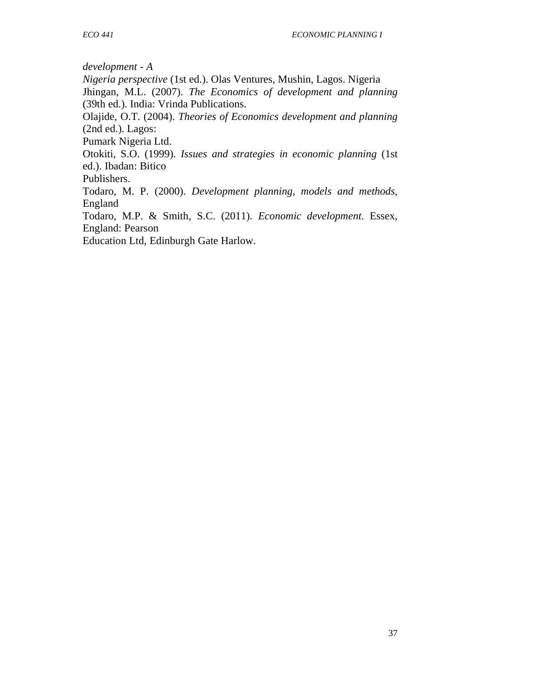*development - A*

*Nigeria perspective* (1st ed.). Olas Ventures, Mushin, Lagos. Nigeria

Jhingan, M.L. (2007). *The Economics of development and planning*  (39th ed.). India: Vrinda Publications.

Olajide, O.T. (2004). *Theories of Economics development and planning*  (2nd ed.). Lagos:

Pumark Nigeria Ltd.

Otokiti, S.O. (1999). *Issues and strategies in economic planning* (1st ed.). Ibadan: Bitico

Publishers.

Todaro, M. P. (2000). *Development planning, models and methods*, England

Todaro, M.P. & Smith, S.C. (2011). *Economic development*. Essex, England: Pearson

Education Ltd, Edinburgh Gate Harlow.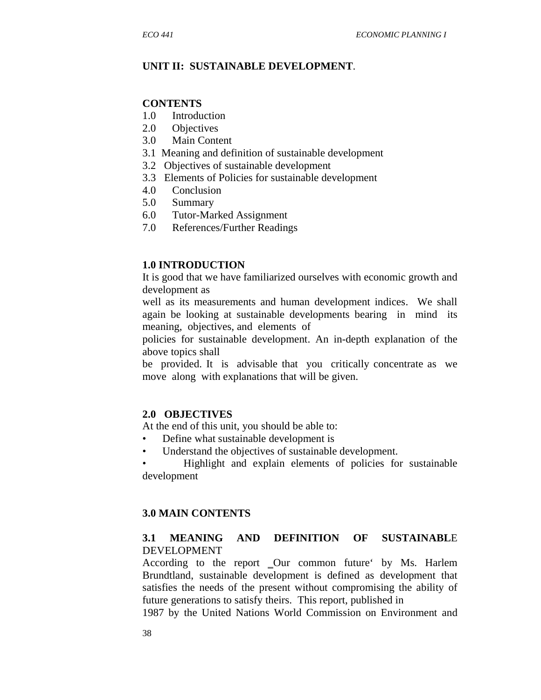#### **UNIT II: SUSTAINABLE DEVELOPMENT**.

#### **CONTENTS**

- 1.0 Introduction
- 2.0 Objectives
- 3.0 Main Content
- 3.1 Meaning and definition of sustainable development
- 3.2 Objectives of sustainable development
- 3.3 Elements of Policies for sustainable development
- 4.0 Conclusion
- 5.0 Summary
- 6.0 Tutor-Marked Assignment
- 7.0 References/Further Readings

### **1.0 INTRODUCTION**

It is good that we have familiarized ourselves with economic growth and development as

well as its measurements and human development indices. We shall again be looking at sustainable developments bearing in mind its meaning, objectives, and elements of

policies for sustainable development. An in-depth explanation of the above topics shall

be provided. It is advisable that you critically concentrate as we move along with explanations that will be given.

#### **2.0 OBJECTIVES**

At the end of this unit, you should be able to:

- Define what sustainable development is
- Understand the objectives of sustainable development.

• Highlight and explain elements of policies for sustainable development

#### **3.0 MAIN CONTENTS**

## **3.1 MEANING AND DEFINITION OF SUSTAINABL**E DEVELOPMENT

According to the report Our common future' by Ms. Harlem Brundtland, sustainable development is defined as development that satisfies the needs of the present without compromising the ability of future generations to satisfy theirs. This report, published in

1987 by the United Nations World Commission on Environment and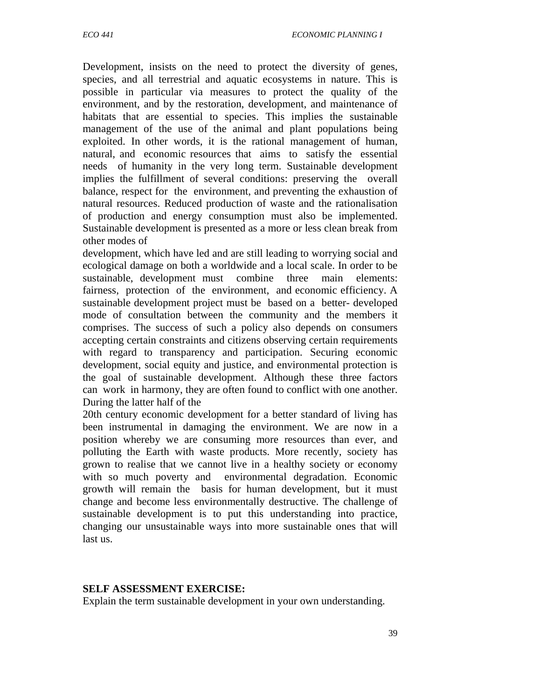Development, insists on the need to protect the diversity of genes, species, and all terrestrial and aquatic ecosystems in nature. This is possible in particular via measures to protect the quality of the environment, and by the restoration, development, and maintenance of habitats that are essential to species. This implies the sustainable management of the use of the animal and plant populations being exploited. In other words, it is the rational management of human, natural, and economic resources that aims to satisfy the essential needs of humanity in the very long term. Sustainable development implies the fulfillment of several conditions: preserving the overall balance, respect for the environment, and preventing the exhaustion of natural resources. Reduced production of waste and the rationalisation of production and energy consumption must also be implemented. Sustainable development is presented as a more or less clean break from other modes of

development, which have led and are still leading to worrying social and ecological damage on both a worldwide and a local scale. In order to be sustainable, development must combine three main elements: fairness, protection of the environment, and economic efficiency. A sustainable development project must be based on a better- developed mode of consultation between the community and the members it comprises. The success of such a policy also depends on consumers accepting certain constraints and citizens observing certain requirements with regard to transparency and participation. Securing economic development, social equity and justice, and environmental protection is the goal of sustainable development. Although these three factors can work in harmony, they are often found to conflict with one another. During the latter half of the

20th century economic development for a better standard of living has been instrumental in damaging the environment. We are now in a position whereby we are consuming more resources than ever, and polluting the Earth with waste products. More recently, society has grown to realise that we cannot live in a healthy society or economy with so much poverty and environmental degradation. Economic growth will remain the basis for human development, but it must change and become less environmentally destructive. The challenge of sustainable development is to put this understanding into practice, changing our unsustainable ways into more sustainable ones that will last us.

#### **SELF ASSESSMENT EXERCISE:**

Explain the term sustainable development in your own understanding.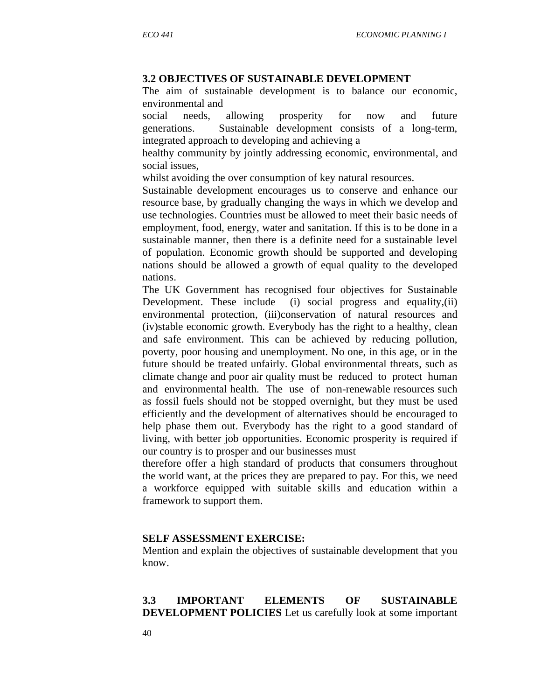### **3.2 OBJECTIVES OF SUSTAINABLE DEVELOPMENT**

The aim of sustainable development is to balance our economic, environmental and

social needs, allowing prosperity for now and future generations. Sustainable development consists of a long-term, integrated approach to developing and achieving a

healthy community by jointly addressing economic, environmental, and social issues,

whilst avoiding the over consumption of key natural resources.

Sustainable development encourages us to conserve and enhance our resource base, by gradually changing the ways in which we develop and use technologies. Countries must be allowed to meet their basic needs of employment, food, energy, water and sanitation. If this is to be done in a sustainable manner, then there is a definite need for a sustainable level of population. Economic growth should be supported and developing nations should be allowed a growth of equal quality to the developed nations.

The UK Government has recognised four objectives for Sustainable Development. These include (i) social progress and equality,(ii) environmental protection, (iii)conservation of natural resources and (iv)stable economic growth. Everybody has the right to a healthy, clean and safe environment. This can be achieved by reducing pollution, poverty, poor housing and unemployment. No one, in this age, or in the future should be treated unfairly. Global environmental threats, such as climate change and poor air quality must be reduced to protect human and environmental health. The use of non-renewable resources such as fossil fuels should not be stopped overnight, but they must be used efficiently and the development of alternatives should be encouraged to help phase them out. Everybody has the right to a good standard of living, with better job opportunities. Economic prosperity is required if our country is to prosper and our businesses must

therefore offer a high standard of products that consumers throughout the world want, at the prices they are prepared to pay. For this, we need a workforce equipped with suitable skills and education within a framework to support them.

#### **SELF ASSESSMENT EXERCISE:**

Mention and explain the objectives of sustainable development that you know.

### **3.3 IMPORTANT ELEMENTS OF SUSTAINABLE DEVELOPMENT POLICIES** Let us carefully look at some important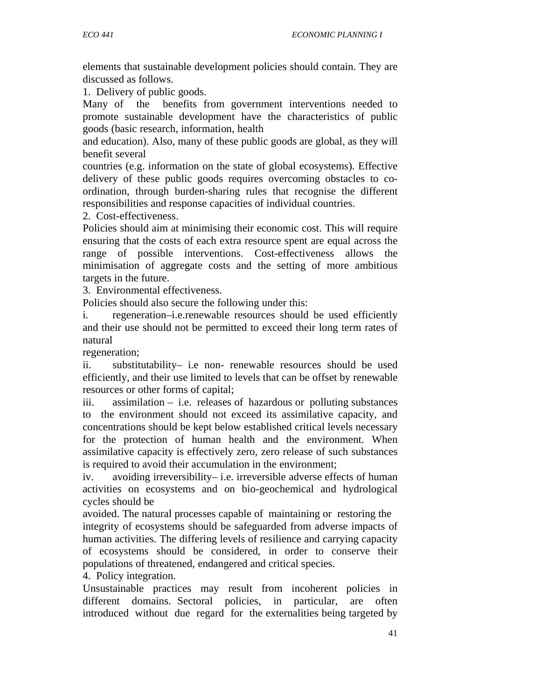elements that sustainable development policies should contain. They are discussed as follows.

1. Delivery of public goods.

Many of the benefits from government interventions needed to promote sustainable development have the characteristics of public goods (basic research, information, health

and education). Also, many of these public goods are global, as they will benefit several

countries (e.g. information on the state of global ecosystems). Effective delivery of these public goods requires overcoming obstacles to coordination, through burden-sharing rules that recognise the different responsibilities and response capacities of individual countries.

2. Cost-effectiveness.

Policies should aim at minimising their economic cost. This will require ensuring that the costs of each extra resource spent are equal across the range of possible interventions. Cost-effectiveness allows the minimisation of aggregate costs and the setting of more ambitious targets in the future.

3. Environmental effectiveness.

Policies should also secure the following under this:

i. regeneration–i.e.renewable resources should be used efficiently and their use should not be permitted to exceed their long term rates of natural

regeneration;

ii. substitutability– i.e non- renewable resources should be used efficiently, and their use limited to levels that can be offset by renewable resources or other forms of capital;

iii. assimilation – i.e. releases of hazardous or polluting substances to the environment should not exceed its assimilative capacity, and concentrations should be kept below established critical levels necessary for the protection of human health and the environment. When assimilative capacity is effectively zero, zero release of such substances is required to avoid their accumulation in the environment:

iv. avoiding irreversibility– i.e. irreversible adverse effects of human activities on ecosystems and on bio-geochemical and hydrological cycles should be

avoided. The natural processes capable of maintaining or restoring the integrity of ecosystems should be safeguarded from adverse impacts of human activities. The differing levels of resilience and carrying capacity of ecosystems should be considered, in order to conserve their populations of threatened, endangered and critical species.

4. Policy integration.

Unsustainable practices may result from incoherent policies in different domains. Sectoral policies, in particular, are often introduced without due regard for the externalities being targeted by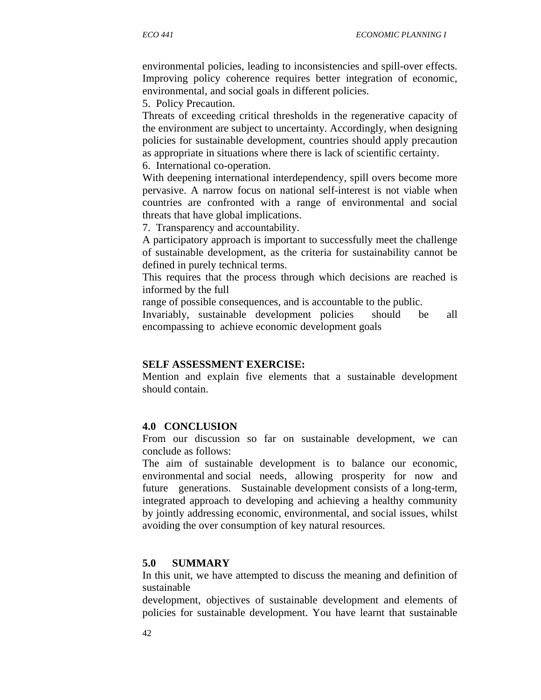environmental policies, leading to inconsistencies and spill-over effects. Improving policy coherence requires better integration of economic, environmental, and social goals in different policies.

5. Policy Precaution.

Threats of exceeding critical thresholds in the regenerative capacity of the environment are subject to uncertainty. Accordingly, when designing policies for sustainable development, countries should apply precaution as appropriate in situations where there is lack of scientific certainty.

6. International co-operation.

With deepening international interdependency, spill overs become more pervasive. A narrow focus on national self-interest is not viable when countries are confronted with a range of environmental and social threats that have global implications.

7. Transparency and accountability.

A participatory approach is important to successfully meet the challenge of sustainable development, as the criteria for sustainability cannot be defined in purely technical terms.

This requires that the process through which decisions are reached is informed by the full

range of possible consequences, and is accountable to the public.

Invariably, sustainable development policies should be all encompassing to achieve economic development goals

## **SELF ASSESSMENT EXERCISE:**

Mention and explain five elements that a sustainable development should contain.

#### **4.0 CONCLUSION**

From our discussion so far on sustainable development, we can conclude as follows:

The aim of sustainable development is to balance our economic, environmental and social needs, allowing prosperity for now and future generations. Sustainable development consists of a long-term, integrated approach to developing and achieving a healthy community by jointly addressing economic, environmental, and social issues, whilst avoiding the over consumption of key natural resources.

## **5.0 SUMMARY**

In this unit, we have attempted to discuss the meaning and definition of sustainable

development, objectives of sustainable development and elements of policies for sustainable development. You have learnt that sustainable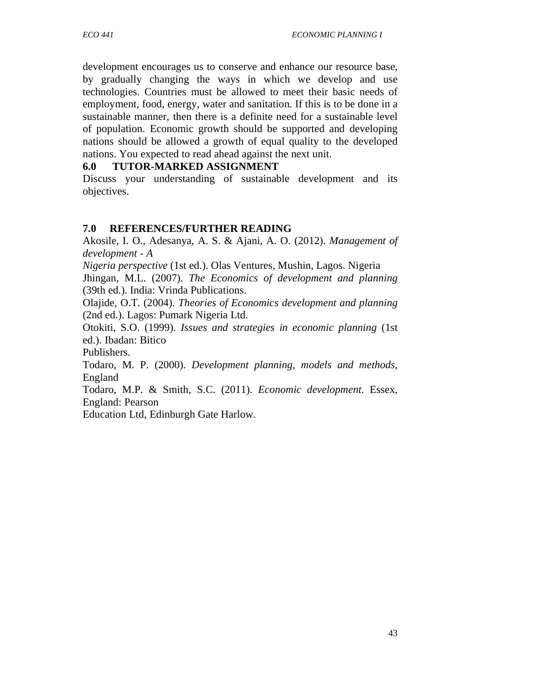development encourages us to conserve and enhance our resource base, by gradually changing the ways in which we develop and use technologies. Countries must be allowed to meet their basic needs of employment, food, energy, water and sanitation. If this is to be done in a sustainable manner, then there is a definite need for a sustainable level of population. Economic growth should be supported and developing nations should be allowed a growth of equal quality to the developed nations. You expected to read ahead against the next unit.

## **6.0 TUTOR-MARKED ASSIGNMENT**

Discuss your understanding of sustainable development and its objectives.

# **7.0 REFERENCES/FURTHER READING**

Akosile, I. O., Adesanya, A. S. & Ajani, A. O. (2012). *Management of development - A*

*Nigeria perspective* (1st ed.). Olas Ventures, Mushin, Lagos. Nigeria

Jhingan, M.L. (2007). *The Economics of development and planning*  (39th ed.). India: Vrinda Publications.

Olajide, O.T. (2004). *Theories of Economics development and planning*  (2nd ed.). Lagos: Pumark Nigeria Ltd.

Otokiti, S.O. (1999). *Issues and strategies in economic planning* (1st ed.). Ibadan: Bitico

Publishers.

Todaro, M. P. (2000). *Development planning, models and methods*, England

Todaro, M.P. & Smith, S.C. (2011). *Economic development*. Essex, England: Pearson

Education Ltd, Edinburgh Gate Harlow.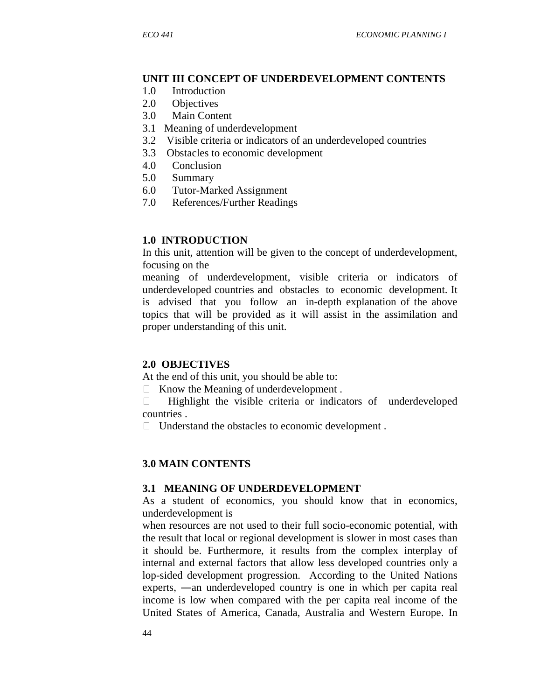## **UNIT III CONCEPT OF UNDERDEVELOPMENT CONTENTS**

- 1.0 Introduction
- 2.0 Objectives
- 3.0 Main Content
- 3.1 Meaning of underdevelopment
- 3.2 Visible criteria or indicators of an underdeveloped countries
- 3.3 Obstacles to economic development
- 4.0 Conclusion
- 5.0 Summary
- 6.0 Tutor-Marked Assignment
- 7.0 References/Further Readings

### **1.0 INTRODUCTION**

In this unit, attention will be given to the concept of underdevelopment, focusing on the

meaning of underdevelopment, visible criteria or indicators of underdeveloped countries and obstacles to economic development. It is advised that you follow an in-depth explanation of the above topics that will be provided as it will assist in the assimilation and proper understanding of this unit.

## **2.0 OBJECTIVES**

At the end of this unit, you should be able to:

 $\Box$  Know the Meaning of underdevelopment.

 $\Box$  Highlight the visible criteria or indicators of underdeveloped countries .

 $\Box$  Understand the obstacles to economic development.

## **3.0 MAIN CONTENTS**

#### **3.1 MEANING OF UNDERDEVELOPMENT**

As a student of economics, you should know that in economics, underdevelopment is

when resources are not used to their full socio-economic potential, with the result that local or regional development is slower in most cases than it should be. Furthermore, it results from the complex interplay of internal and external factors that allow less developed countries only a lop-sided development progression. According to the United Nations experts, ―an underdeveloped country is one in which per capita real income is low when compared with the per capita real income of the United States of America, Canada, Australia and Western Europe. In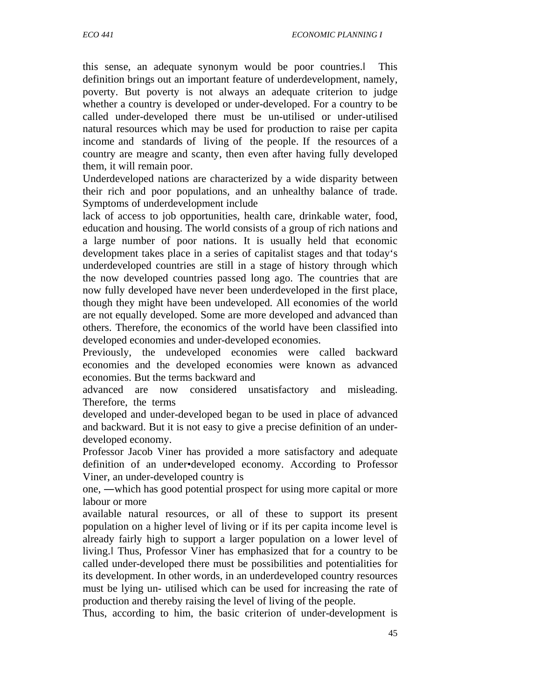this sense, an adequate synonym would be poor countries.‖ This definition brings out an important feature of underdevelopment, namely, poverty. But poverty is not always an adequate criterion to judge whether a country is developed or under-developed. For a country to be called under-developed there must be un-utilised or under-utilised natural resources which may be used for production to raise per capita income and standards of living of the people. If the resources of a country are meagre and scanty, then even after having fully developed them, it will remain poor.

Underdeveloped nations are characterized by a wide disparity between their rich and poor populations, and an unhealthy balance of trade. Symptoms of underdevelopment include

lack of access to job opportunities, health care, drinkable water, food, education and housing. The world consists of a group of rich nations and a large number of poor nations. It is usually held that economic development takes place in a series of capitalist stages and that today's underdeveloped countries are still in a stage of history through which the now developed countries passed long ago. The countries that are now fully developed have never been underdeveloped in the first place, though they might have been undeveloped. All economies of the world are not equally developed. Some are more developed and advanced than others. Therefore, the economics of the world have been classified into developed economies and under-developed economies.

Previously, the undeveloped economies were called backward economies and the developed economies were known as advanced economies. But the terms backward and

advanced are now considered unsatisfactory and misleading. Therefore, the terms

developed and under-developed began to be used in place of advanced and backward. But it is not easy to give a precise definition of an underdeveloped economy.

Professor Jacob Viner has provided a more satisfactory and adequate definition of an under•developed economy. According to Professor Viner, an under-developed country is

one, ―which has good potential prospect for using more capital or more labour or more

available natural resources, or all of these to support its present population on a higher level of living or if its per capita income level is already fairly high to support a larger population on a lower level of living.‖ Thus, Professor Viner has emphasized that for a country to be called under-developed there must be possibilities and potentialities for its development. In other words, in an underdeveloped country resources must be lying un- utilised which can be used for increasing the rate of production and thereby raising the level of living of the people.

Thus, according to him, the basic criterion of under-development is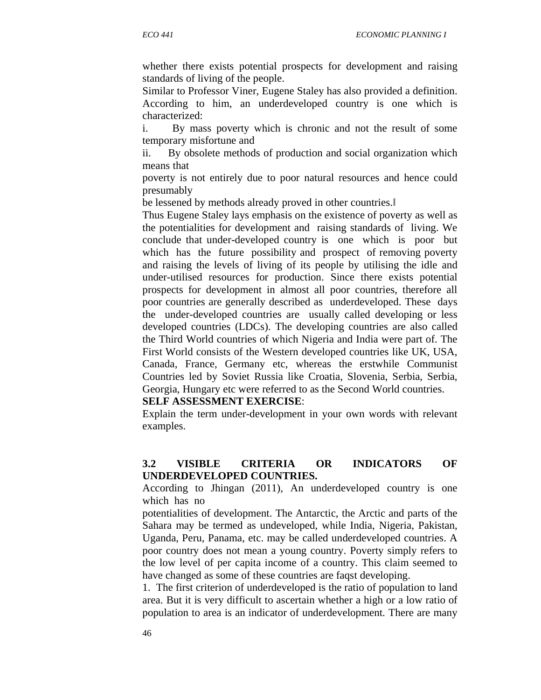whether there exists potential prospects for development and raising standards of living of the people.

Similar to Professor Viner, Eugene Staley has also provided a definition. According to him, an underdeveloped country is one which is characterized:

i. By mass poverty which is chronic and not the result of some temporary misfortune and

ii. By obsolete methods of production and social organization which means that

poverty is not entirely due to poor natural resources and hence could presumably

be lessened by methods already proved in other countries.‖

Thus Eugene Staley lays emphasis on the existence of poverty as well as the potentialities for development and raising standards of living. We conclude that under-developed country is one which is poor but which has the future possibility and prospect of removing poverty and raising the levels of living of its people by utilising the idle and under-utilised resources for production. Since there exists potential prospects for development in almost all poor countries, therefore all poor countries are generally described as underdeveloped. These days the under-developed countries are usually called developing or less developed countries (LDCs). The developing countries are also called the Third World countries of which Nigeria and India were part of. The First World consists of the Western developed countries like UK, USA, Canada, France, Germany etc, whereas the erstwhile Communist Countries led by Soviet Russia like Croatia, Slovenia, Serbia, Serbia, Georgia, Hungary etc were referred to as the Second World countries.

#### **SELF ASSESSMENT EXERCISE**:

Explain the term under-development in your own words with relevant examples.

## **3.2 VISIBLE CRITERIA OR INDICATORS OF UNDERDEVELOPED COUNTRIES.**

According to Jhingan (2011), An underdeveloped country is one which has no

potentialities of development. The Antarctic, the Arctic and parts of the Sahara may be termed as undeveloped, while India, Nigeria, Pakistan, Uganda, Peru, Panama, etc. may be called underdeveloped countries. A poor country does not mean a young country. Poverty simply refers to the low level of per capita income of a country. This claim seemed to have changed as some of these countries are faqst developing.

1. The first criterion of underdeveloped is the ratio of population to land area. But it is very difficult to ascertain whether a high or a low ratio of population to area is an indicator of underdevelopment. There are many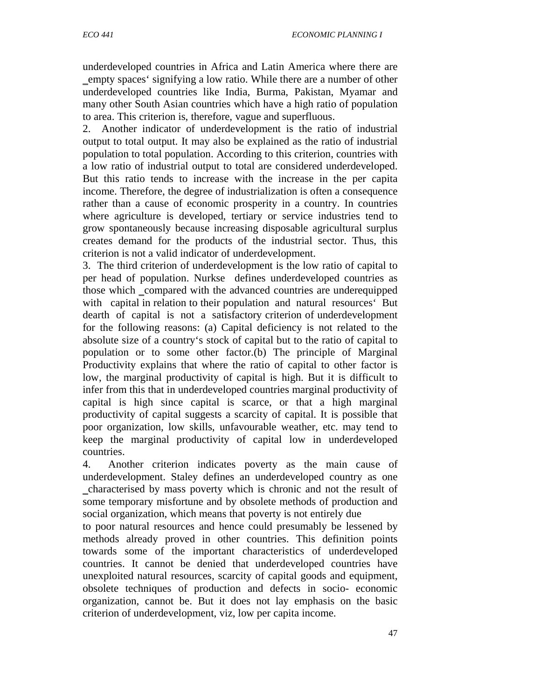underdeveloped countries in Africa and Latin America where there are empty spaces' signifying a low ratio. While there are a number of other underdeveloped countries like India, Burma, Pakistan, Myamar and many other South Asian countries which have a high ratio of population to area. This criterion is, therefore, vague and superfluous.

2. Another indicator of underdevelopment is the ratio of industrial output to total output. It may also be explained as the ratio of industrial population to total population. According to this criterion, countries with a low ratio of industrial output to total are considered underdeveloped. But this ratio tends to increase with the increase in the per capita income. Therefore, the degree of industrialization is often a consequence rather than a cause of economic prosperity in a country. In countries where agriculture is developed, tertiary or service industries tend to grow spontaneously because increasing disposable agricultural surplus creates demand for the products of the industrial sector. Thus, this criterion is not a valid indicator of underdevelopment.

3. The third criterion of underdevelopment is the low ratio of capital to per head of population. Nurkse defines underdeveloped countries as those which compared with the advanced countries are underequipped with capital in relation to their population and natural resources' But dearth of capital is not a satisfactory criterion of underdevelopment for the following reasons: (a) Capital deficiency is not related to the absolute size of a country's stock of capital but to the ratio of capital to population or to some other factor.(b) The principle of Marginal Productivity explains that where the ratio of capital to other factor is low, the marginal productivity of capital is high. But it is difficult to infer from this that in underdeveloped countries marginal productivity of capital is high since capital is scarce, or that a high marginal productivity of capital suggests a scarcity of capital. It is possible that poor organization, low skills, unfavourable weather, etc. may tend to keep the marginal productivity of capital low in underdeveloped countries.

4. Another criterion indicates poverty as the main cause of underdevelopment. Staley defines an underdeveloped country as one ‗characterised by mass poverty which is chronic and not the result of some temporary misfortune and by obsolete methods of production and social organization, which means that poverty is not entirely due

to poor natural resources and hence could presumably be lessened by methods already proved in other countries. This definition points towards some of the important characteristics of underdeveloped countries. It cannot be denied that underdeveloped countries have unexploited natural resources, scarcity of capital goods and equipment, obsolete techniques of production and defects in socio- economic organization, cannot be. But it does not lay emphasis on the basic criterion of underdevelopment, viz, low per capita income.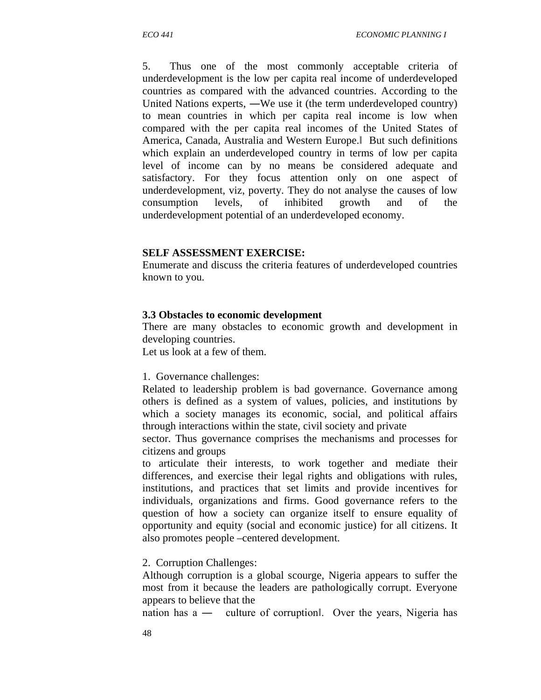5. Thus one of the most commonly acceptable criteria of underdevelopment is the low per capita real income of underdeveloped countries as compared with the advanced countries. According to the United Nations experts, ―We use it (the term underdeveloped country) to mean countries in which per capita real income is low when compared with the per capita real incomes of the United States of America, Canada, Australia and Western Europe.<sup>|</sup> But such definitions which explain an underdeveloped country in terms of low per capita level of income can by no means be considered adequate and satisfactory. For they focus attention only on one aspect of underdevelopment, viz, poverty. They do not analyse the causes of low consumption levels, of inhibited growth and of the underdevelopment potential of an underdeveloped economy.

### **SELF ASSESSMENT EXERCISE:**

Enumerate and discuss the criteria features of underdeveloped countries known to you.

#### **3.3 Obstacles to economic development**

There are many obstacles to economic growth and development in developing countries.

Let us look at a few of them.

1. Governance challenges:

Related to leadership problem is bad governance. Governance among others is defined as a system of values, policies, and institutions by which a society manages its economic, social, and political affairs through interactions within the state, civil society and private

sector. Thus governance comprises the mechanisms and processes for citizens and groups

to articulate their interests, to work together and mediate their differences, and exercise their legal rights and obligations with rules, institutions, and practices that set limits and provide incentives for individuals, organizations and firms. Good governance refers to the question of how a society can organize itself to ensure equality of opportunity and equity (social and economic justice) for all citizens. It also promotes people –centered development.

2. Corruption Challenges:

Although corruption is a global scourge, Nigeria appears to suffer the most from it because the leaders are pathologically corrupt. Everyone appears to believe that the

nation has a — culture of corruption. Over the years, Nigeria has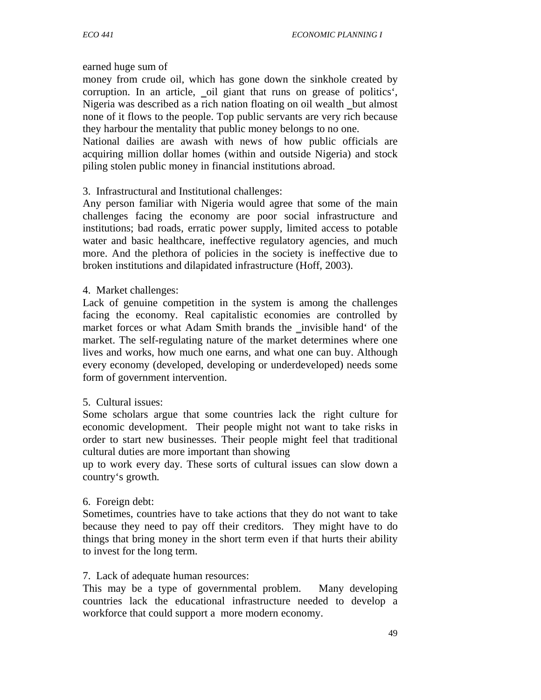## earned huge sum of

money from crude oil, which has gone down the sinkhole created by corruption. In an article, oil giant that runs on grease of politics', Nigeria was described as a rich nation floating on oil wealth but almost none of it flows to the people. Top public servants are very rich because they harbour the mentality that public money belongs to no one.

National dailies are awash with news of how public officials are acquiring million dollar homes (within and outside Nigeria) and stock piling stolen public money in financial institutions abroad.

## 3. Infrastructural and Institutional challenges:

Any person familiar with Nigeria would agree that some of the main challenges facing the economy are poor social infrastructure and institutions; bad roads, erratic power supply, limited access to potable water and basic healthcare, ineffective regulatory agencies, and much more. And the plethora of policies in the society is ineffective due to broken institutions and dilapidated infrastructure (Hoff, 2003).

## 4. Market challenges:

Lack of genuine competition in the system is among the challenges facing the economy. Real capitalistic economies are controlled by market forces or what Adam Smith brands the invisible hand' of the market. The self-regulating nature of the market determines where one lives and works, how much one earns, and what one can buy. Although every economy (developed, developing or underdeveloped) needs some form of government intervention.

## 5. Cultural issues:

Some scholars argue that some countries lack the right culture for economic development. Their people might not want to take risks in order to start new businesses. Their people might feel that traditional cultural duties are more important than showing

up to work every day. These sorts of cultural issues can slow down a country's growth.

# 6. Foreign debt:

Sometimes, countries have to take actions that they do not want to take because they need to pay off their creditors. They might have to do things that bring money in the short term even if that hurts their ability to invest for the long term.

## 7. Lack of adequate human resources:

This may be a type of governmental problem. Many developing countries lack the educational infrastructure needed to develop a workforce that could support a more modern economy.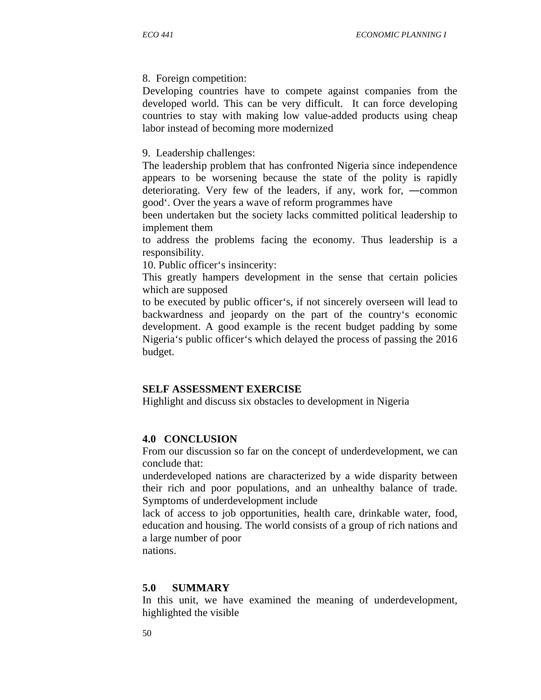#### 8. Foreign competition:

Developing countries have to compete against companies from the developed world. This can be very difficult. It can force developing countries to stay with making low value-added products using cheap labor instead of becoming more modernized

### 9. Leadership challenges:

The leadership problem that has confronted Nigeria since independence appears to be worsening because the state of the polity is rapidly deteriorating. Very few of the leaders, if any, work for, ―common good'. Over the years a wave of reform programmes have

been undertaken but the society lacks committed political leadership to implement them

to address the problems facing the economy. Thus leadership is a responsibility.

10. Public officer's insincerity:

This greatly hampers development in the sense that certain policies which are supposed

to be executed by public officer's, if not sincerely overseen will lead to backwardness and jeopardy on the part of the country's economic development. A good example is the recent budget padding by some Nigeria's public officer's which delayed the process of passing the 2016 budget.

#### **SELF ASSESSMENT EXERCISE**

Highlight and discuss six obstacles to development in Nigeria

#### **4.0 CONCLUSION**

From our discussion so far on the concept of underdevelopment, we can conclude that:

underdeveloped nations are characterized by a wide disparity between their rich and poor populations, and an unhealthy balance of trade. Symptoms of underdevelopment include

lack of access to job opportunities, health care, drinkable water, food, education and housing. The world consists of a group of rich nations and a large number of poor

nations.

#### **5.0 SUMMARY**

In this unit, we have examined the meaning of underdevelopment, highlighted the visible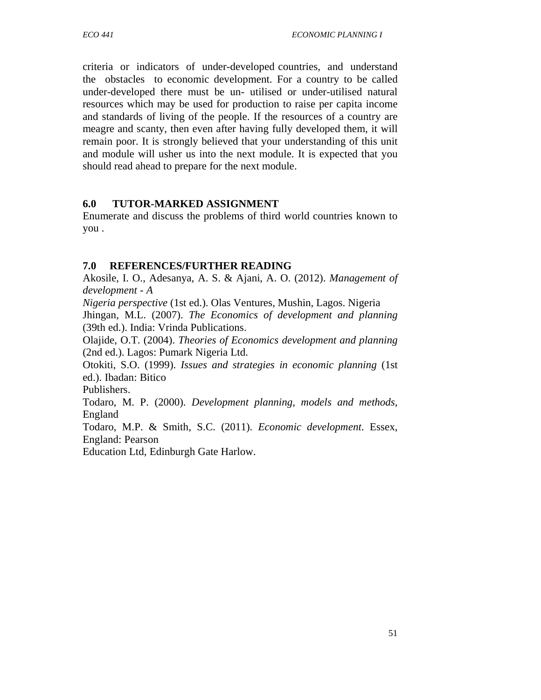criteria or indicators of under-developed countries, and understand the obstacles to economic development. For a country to be called under-developed there must be un- utilised or under-utilised natural resources which may be used for production to raise per capita income and standards of living of the people. If the resources of a country are meagre and scanty, then even after having fully developed them, it will remain poor. It is strongly believed that your understanding of this unit and module will usher us into the next module. It is expected that you should read ahead to prepare for the next module.

# **6.0 TUTOR-MARKED ASSIGNMENT**

Enumerate and discuss the problems of third world countries known to you .

## **7.0 REFERENCES/FURTHER READING**

Akosile, I. O., Adesanya, A. S. & Ajani, A. O. (2012). *Management of development - A*

*Nigeria perspective* (1st ed.). Olas Ventures, Mushin, Lagos. Nigeria Jhingan, M.L. (2007). *The Economics of development and planning*  (39th ed.). India: Vrinda Publications.

Olajide, O.T. (2004). *Theories of Economics development and planning*  (2nd ed.). Lagos: Pumark Nigeria Ltd.

Otokiti, S.O. (1999). *Issues and strategies in economic planning* (1st ed.). Ibadan: Bitico

Publishers.

Todaro, M. P. (2000). *Development planning, models and methods*, England

Todaro, M.P. & Smith, S.C. (2011). *Economic development*. Essex, England: Pearson

Education Ltd, Edinburgh Gate Harlow.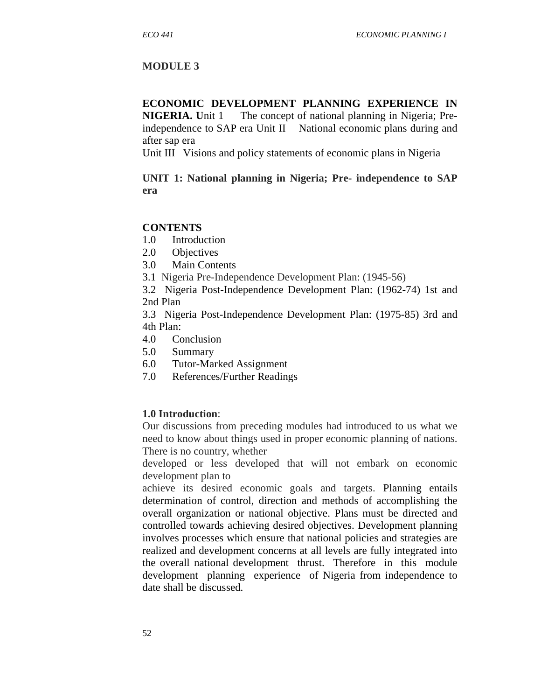#### **MODULE 3**

**ECONOMIC DEVELOPMENT PLANNING EXPERIENCE IN NIGERIA. U**nit 1 The concept of national planning in Nigeria; Preindependence to SAP era Unit II National economic plans during and after sap era

Unit III Visions and policy statements of economic plans in Nigeria

**UNIT 1: National planning in Nigeria; Pre- independence to SAP era**

#### **CONTENTS**

1.0 Introduction

- 2.0 Objectives
- 3.0 Main Contents
- 3.1 Nigeria Pre-Independence Development Plan: (1945-56)
- 3.2 Nigeria Post-Independence Development Plan: (1962-74) 1st and 2nd Plan

3.3 Nigeria Post-Independence Development Plan: (1975-85) 3rd and 4th Plan:

- 4.0 Conclusion
- 5.0 Summary
- 6.0 Tutor-Marked Assignment
- 7.0 References/Further Readings

#### **1.0 Introduction**:

Our discussions from preceding modules had introduced to us what we need to know about things used in proper economic planning of nations. There is no country, whether

developed or less developed that will not embark on economic development plan to

achieve its desired economic goals and targets. Planning entails determination of control, direction and methods of accomplishing the overall organization or national objective. Plans must be directed and controlled towards achieving desired objectives. Development planning involves processes which ensure that national policies and strategies are realized and development concerns at all levels are fully integrated into the overall national development thrust. Therefore in this module development planning experience of Nigeria from independence to date shall be discussed.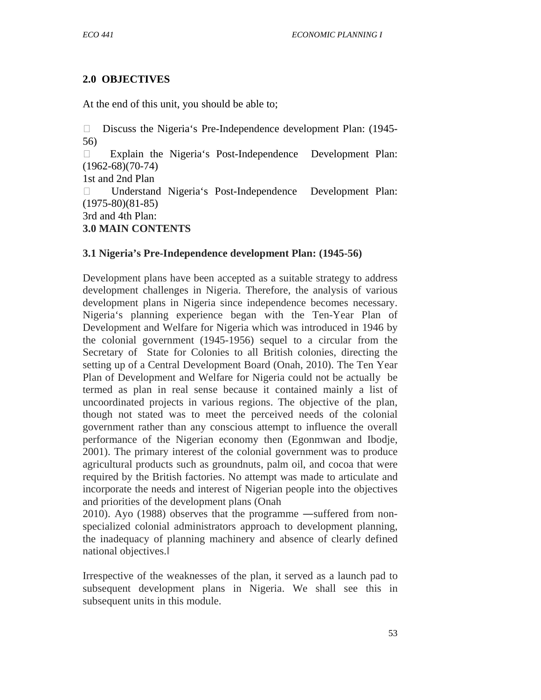## **2.0 OBJECTIVES**

At the end of this unit, you should be able to;

 Discuss the Nigeria's Pre-Independence development Plan: (1945- 56) Explain the Nigeria's Post-Independence Development Plan: (1962-68)(70-74) 1st and 2nd Plan Understand Nigeria's Post-Independence Development Plan: (1975-80)(81-85) 3rd and 4th Plan: **3.0 MAIN CONTENTS**

### **3.1 Nigeria's Pre-Independence development Plan: (1945-56)**

Development plans have been accepted as a suitable strategy to address development challenges in Nigeria. Therefore, the analysis of various development plans in Nigeria since independence becomes necessary. Nigeria's planning experience began with the Ten-Year Plan of Development and Welfare for Nigeria which was introduced in 1946 by the colonial government (1945-1956) sequel to a circular from the Secretary of State for Colonies to all British colonies, directing the setting up of a Central Development Board (Onah, 2010). The Ten Year Plan of Development and Welfare for Nigeria could not be actually be termed as plan in real sense because it contained mainly a list of uncoordinated projects in various regions. The objective of the plan, though not stated was to meet the perceived needs of the colonial government rather than any conscious attempt to influence the overall performance of the Nigerian economy then (Egonmwan and Ibodje, 2001). The primary interest of the colonial government was to produce agricultural products such as groundnuts, palm oil, and cocoa that were required by the British factories. No attempt was made to articulate and incorporate the needs and interest of Nigerian people into the objectives and priorities of the development plans (Onah

2010). Ayo (1988) observes that the programme ―suffered from nonspecialized colonial administrators approach to development planning, the inadequacy of planning machinery and absence of clearly defined national objectives.‖

Irrespective of the weaknesses of the plan, it served as a launch pad to subsequent development plans in Nigeria. We shall see this in subsequent units in this module.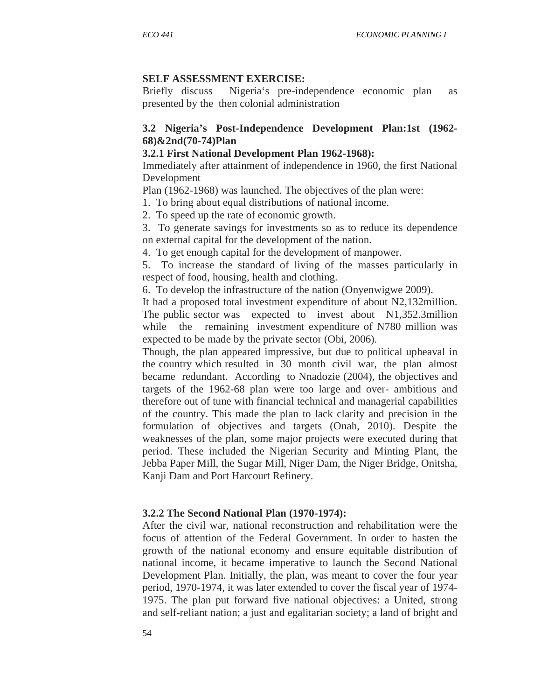# **SELF ASSESSMENT EXERCISE:**

Briefly discuss Nigeria's pre-independence economic plan as presented by the then colonial administration

## **3.2 Nigeria's Post-Independence Development Plan:1st (1962- 68)&2nd(70-74)Plan**

### **3.2.1 First National Development Plan 1962-1968):**

Immediately after attainment of independence in 1960, the first National Development

Plan (1962-1968) was launched. The objectives of the plan were:

1. To bring about equal distributions of national income.

2. To speed up the rate of economic growth.

3. To generate savings for investments so as to reduce its dependence on external capital for the development of the nation.

4. To get enough capital for the development of manpower.

5. To increase the standard of living of the masses particularly in respect of food, housing, health and clothing.

6. To develop the infrastructure of the nation (Onyenwigwe 2009).

It had a proposed total investment expenditure of about N2,132million. The public sector was expected to invest about N1,352.3million while the remaining investment expenditure of N780 million was expected to be made by the private sector (Obi, 2006).

Though, the plan appeared impressive, but due to political upheaval in the country which resulted in 30 month civil war, the plan almost became redundant. According to Nnadozie (2004), the objectives and targets of the 1962-68 plan were too large and over- ambitious and therefore out of tune with financial technical and managerial capabilities of the country. This made the plan to lack clarity and precision in the formulation of objectives and targets (Onah, 2010). Despite the weaknesses of the plan, some major projects were executed during that period. These included the Nigerian Security and Minting Plant, the Jebba Paper Mill, the Sugar Mill, Niger Dam, the Niger Bridge, Onitsha, Kanji Dam and Port Harcourt Refinery.

### **3.2.2 The Second National Plan (1970-1974):**

After the civil war, national reconstruction and rehabilitation were the focus of attention of the Federal Government. In order to hasten the growth of the national economy and ensure equitable distribution of national income, it became imperative to launch the Second National Development Plan. Initially, the plan, was meant to cover the four year period, 1970-1974, it was later extended to cover the fiscal year of 1974- 1975. The plan put forward five national objectives: a United, strong and self-reliant nation; a just and egalitarian society; a land of bright and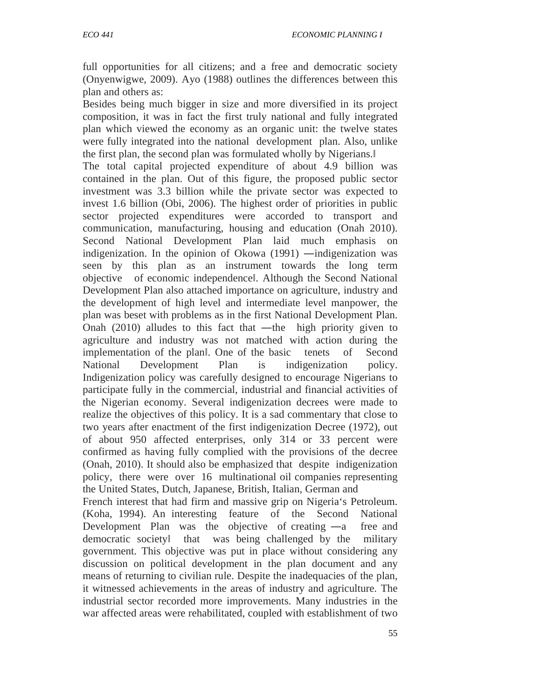*ECO 441 ECONOMIC PLANNING I* 

full opportunities for all citizens; and a free and democratic society (Onyenwigwe, 2009). Ayo (1988) outlines the differences between this plan and others as:

Besides being much bigger in size and more diversified in its project composition, it was in fact the first truly national and fully integrated plan which viewed the economy as an organic unit: the twelve states were fully integrated into the national development plan. Also, unlike the first plan, the second plan was formulated wholly by Nigerians.‖

The total capital projected expenditure of about 4.9 billion was contained in the plan. Out of this figure, the proposed public sector investment was 3.3 billion while the private sector was expected to invest 1.6 billion (Obi, 2006). The highest order of priorities in public sector projected expenditures were accorded to transport and communication, manufacturing, housing and education (Onah 2010). Second National Development Plan laid much emphasis on indigenization. In the opinion of Okowa (1991) ―indigenization was seen by this plan as an instrument towards the long term objective of economic independence‖. Although the Second National Development Plan also attached importance on agriculture, industry and the development of high level and intermediate level manpower, the plan was beset with problems as in the first National Development Plan. Onah  $(2010)$  alludes to this fact that —the high priority given to agriculture and industry was not matched with action during the implementation of the plan‖. One of the basic tenets of Second National Development Plan is indigenization policy. Indigenization policy was carefully designed to encourage Nigerians to participate fully in the commercial, industrial and financial activities of the Nigerian economy. Several indigenization decrees were made to realize the objectives of this policy. It is a sad commentary that close to two years after enactment of the first indigenization Decree (1972), out of about 950 affected enterprises, only 314 or 33 percent were confirmed as having fully complied with the provisions of the decree (Onah, 2010). It should also be emphasized that despite indigenization policy, there were over 16 multinational oil companies representing the United States, Dutch, Japanese, British, Italian, German and

French interest that had firm and massive grip on Nigeria's Petroleum. (Koha, 1994). An interesting feature of the Second National Development Plan was the objective of creating ―a free and democratic society‖ that was being challenged by the military government. This objective was put in place without considering any discussion on political development in the plan document and any means of returning to civilian rule. Despite the inadequacies of the plan, it witnessed achievements in the areas of industry and agriculture. The industrial sector recorded more improvements. Many industries in the war affected areas were rehabilitated, coupled with establishment of two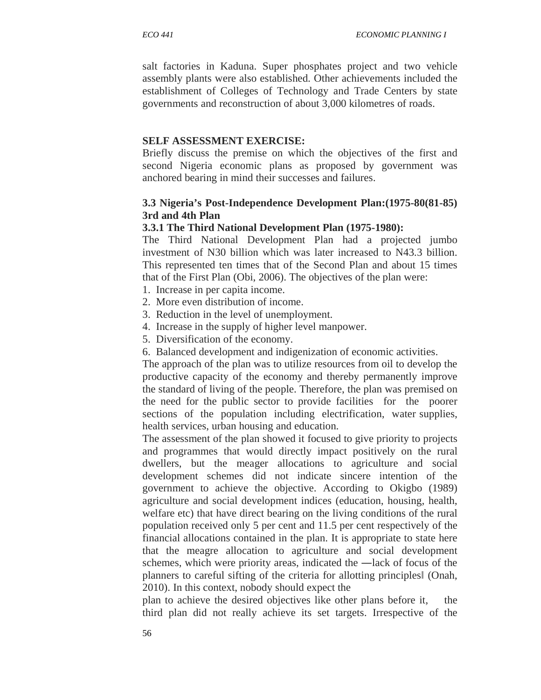salt factories in Kaduna. Super phosphates project and two vehicle assembly plants were also established. Other achievements included the establishment of Colleges of Technology and Trade Centers by state governments and reconstruction of about 3,000 kilometres of roads.

## **SELF ASSESSMENT EXERCISE:**

Briefly discuss the premise on which the objectives of the first and second Nigeria economic plans as proposed by government was anchored bearing in mind their successes and failures.

# **3.3 Nigeria's Post-Independence Development Plan:(1975-80(81-85) 3rd and 4th Plan**

## **3.3.1 The Third National Development Plan (1975-1980):**

The Third National Development Plan had a projected jumbo investment of N30 billion which was later increased to N43.3 billion. This represented ten times that of the Second Plan and about 15 times that of the First Plan (Obi, 2006). The objectives of the plan were:

- 1. Increase in per capita income.
- 2. More even distribution of income.
- 3. Reduction in the level of unemployment.
- 4. Increase in the supply of higher level manpower.
- 5. Diversification of the economy.
- 6. Balanced development and indigenization of economic activities.

The approach of the plan was to utilize resources from oil to develop the productive capacity of the economy and thereby permanently improve the standard of living of the people. Therefore, the plan was premised on the need for the public sector to provide facilities for the poorer sections of the population including electrification, water supplies, health services, urban housing and education.

The assessment of the plan showed it focused to give priority to projects and programmes that would directly impact positively on the rural dwellers, but the meager allocations to agriculture and social development schemes did not indicate sincere intention of the government to achieve the objective. According to Okigbo (1989) agriculture and social development indices (education, housing, health, welfare etc) that have direct bearing on the living conditions of the rural population received only 5 per cent and 11.5 per cent respectively of the financial allocations contained in the plan. It is appropriate to state here that the meagre allocation to agriculture and social development schemes, which were priority areas, indicated the ―lack of focus of the planners to careful sifting of the criteria for allotting principles‖ (Onah, 2010). In this context, nobody should expect the

plan to achieve the desired objectives like other plans before it, the third plan did not really achieve its set targets. Irrespective of the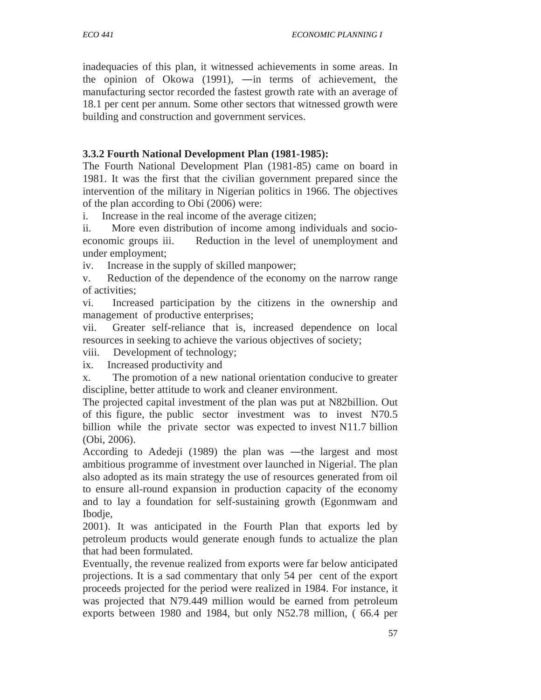inadequacies of this plan, it witnessed achievements in some areas. In the opinion of Okowa (1991), ―in terms of achievement, the manufacturing sector recorded the fastest growth rate with an average of 18.1 per cent per annum. Some other sectors that witnessed growth were building and construction and government services.

## **3.3.2 Fourth National Development Plan (1981-1985):**

The Fourth National Development Plan (1981-85) came on board in 1981. It was the first that the civilian government prepared since the intervention of the military in Nigerian politics in 1966. The objectives of the plan according to Obi (2006) were:

i. Increase in the real income of the average citizen;

ii. More even distribution of income among individuals and socioeconomic groups iii. Reduction in the level of unemployment and under employment;

iv. Increase in the supply of skilled manpower;

v. Reduction of the dependence of the economy on the narrow range of activities;

vi. Increased participation by the citizens in the ownership and management of productive enterprises;

vii. Greater self-reliance that is, increased dependence on local resources in seeking to achieve the various objectives of society;

viii. Development of technology;

ix. Increased productivity and

x. The promotion of a new national orientation conducive to greater discipline, better attitude to work and cleaner environment.

The projected capital investment of the plan was put at N82billion. Out of this figure, the public sector investment was to invest N70.5 billion while the private sector was expected to invest N11.7 billion (Obi, 2006).

According to Adedeji (1989) the plan was ―the largest and most ambitious programme of investment over launched in Nigeria‖. The plan also adopted as its main strategy the use of resources generated from oil to ensure all-round expansion in production capacity of the economy and to lay a foundation for self-sustaining growth (Egonmwam and Ibodje,

2001). It was anticipated in the Fourth Plan that exports led by petroleum products would generate enough funds to actualize the plan that had been formulated.

Eventually, the revenue realized from exports were far below anticipated projections. It is a sad commentary that only 54 per cent of the export proceeds projected for the period were realized in 1984. For instance, it was projected that N79.449 million would be earned from petroleum exports between 1980 and 1984, but only N52.78 million, ( 66.4 per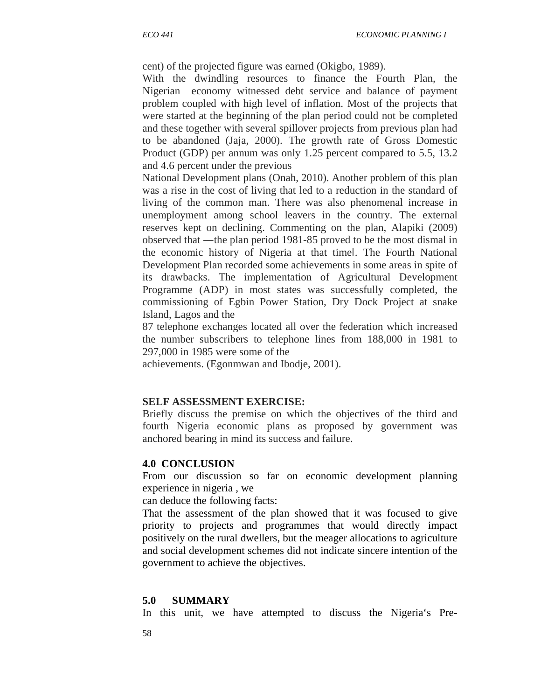cent) of the projected figure was earned (Okigbo, 1989).

With the dwindling resources to finance the Fourth Plan, the Nigerian economy witnessed debt service and balance of payment problem coupled with high level of inflation. Most of the projects that were started at the beginning of the plan period could not be completed and these together with several spillover projects from previous plan had to be abandoned (Jaja, 2000). The growth rate of Gross Domestic Product (GDP) per annum was only 1.25 percent compared to 5.5, 13.2 and 4.6 percent under the previous

National Development plans (Onah, 2010). Another problem of this plan was a rise in the cost of living that led to a reduction in the standard of living of the common man. There was also phenomenal increase in unemployment among school leavers in the country. The external reserves kept on declining. Commenting on the plan, Alapiki (2009) observed that ―the plan period 1981-85 proved to be the most dismal in the economic history of Nigeria at that time‖. The Fourth National Development Plan recorded some achievements in some areas in spite of its drawbacks. The implementation of Agricultural Development Programme (ADP) in most states was successfully completed, the commissioning of Egbin Power Station, Dry Dock Project at snake Island, Lagos and the

87 telephone exchanges located all over the federation which increased the number subscribers to telephone lines from 188,000 in 1981 to 297,000 in 1985 were some of the

achievements. (Egonmwan and Ibodje, 2001).

### **SELF ASSESSMENT EXERCISE:**

Briefly discuss the premise on which the objectives of the third and fourth Nigeria economic plans as proposed by government was anchored bearing in mind its success and failure.

#### **4.0 CONCLUSION**

From our discussion so far on economic development planning experience in nigeria , we

can deduce the following facts:

That the assessment of the plan showed that it was focused to give priority to projects and programmes that would directly impact positively on the rural dwellers, but the meager allocations to agriculture and social development schemes did not indicate sincere intention of the government to achieve the objectives.

#### **5.0 SUMMARY**

In this unit, we have attempted to discuss the Nigeria's Pre-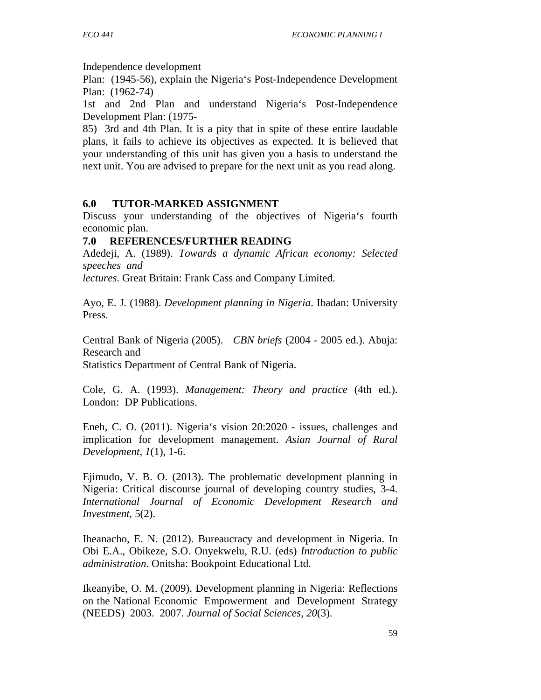## Independence development

Plan: (1945-56), explain the Nigeria's Post-Independence Development Plan: (1962-74)

1st and 2nd Plan and understand Nigeria's Post-Independence Development Plan: (1975-

85) 3rd and 4th Plan. It is a pity that in spite of these entire laudable plans, it fails to achieve its objectives as expected. It is believed that your understanding of this unit has given you a basis to understand the next unit. You are advised to prepare for the next unit as you read along.

## **6.0 TUTOR-MARKED ASSIGNMENT**

Discuss your understanding of the objectives of Nigeria's fourth economic plan.

## **7.0 REFERENCES/FURTHER READING**

Adedeji, A. (1989). *Towards a dynamic African economy: Selected speeches and*

*lectures*. Great Britain: Frank Cass and Company Limited.

Ayo, E. J. (1988). *Development planning in Nigeria*. Ibadan: University Press.

Central Bank of Nigeria (2005). *CBN briefs* (2004 - 2005 ed.). Abuja: Research and Statistics Department of Central Bank of Nigeria.

Cole, G. A. (1993). *Management: Theory and practice* (4th ed.). London: DP Publications.

Eneh, C. O. (2011). Nigeria's vision 20:2020 - issues, challenges and implication for development management. *Asian Journal of Rural Development, 1*(1), 1-6.

Ejimudo, V. B. O. (2013). The problematic development planning in Nigeria: Critical discourse journal of developing country studies, 3-4. *International Journal of Economic Development Research and Investment*, 5(2).

Iheanacho, E. N. (2012). Bureaucracy and development in Nigeria. In Obi E.A., Obikeze, S.O. Onyekwelu, R.U. (eds) *Introduction to public administration*. Onitsha: Bookpoint Educational Ltd.

Ikeanyibe, O. M. (2009). Development planning in Nigeria: Reflections on the National Economic Empowerment and Development Strategy (NEEDS) 2003. 2007. *Journal of Social Sciences, 20*(3).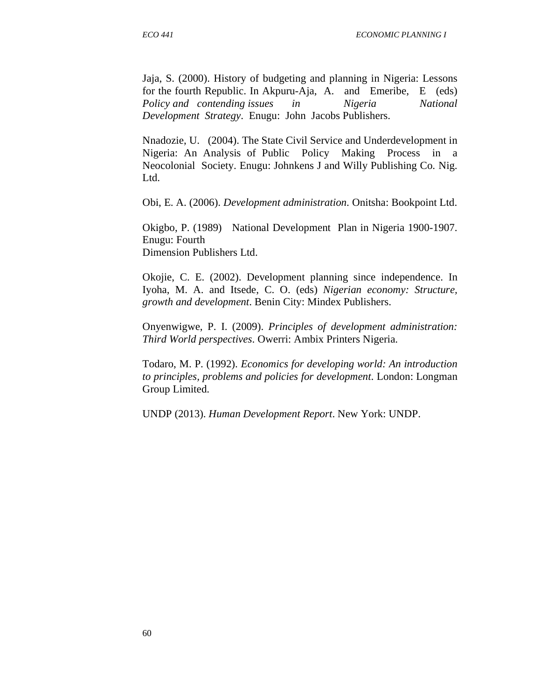Jaja, S. (2000). History of budgeting and planning in Nigeria: Lessons for the fourth Republic. In Akpuru-Aja, A. and Emeribe, E (eds) *Policy and contending issues in Migeria Mational Development Strategy*. Enugu: John Jacobs Publishers.

Nnadozie, U. (2004). The State Civil Service and Underdevelopment in Nigeria: An Analysis of Public Policy Making Process in a Neocolonial Society. Enugu: Johnkens J and Willy Publishing Co. Nig. Ltd.

Obi, E. A. (2006). *Development administration*. Onitsha: Bookpoint Ltd.

Okigbo, P. (1989) National Development Plan in Nigeria 1900-1907. Enugu: Fourth Dimension Publishers Ltd.

Okojie, C. E. (2002). Development planning since independence. In Iyoha, M. A. and Itsede, C. O. (eds) *Nigerian economy: Structure, growth and development*. Benin City: Mindex Publishers.

Onyenwigwe, P. I. (2009). *Principles of development administration: Third World perspectives*. Owerri: Ambix Printers Nigeria.

Todaro, M. P. (1992). *Economics for developing world: An introduction to principles, problems and policies for development*. London: Longman Group Limited.

UNDP (2013). *Human Development Report*. New York: UNDP.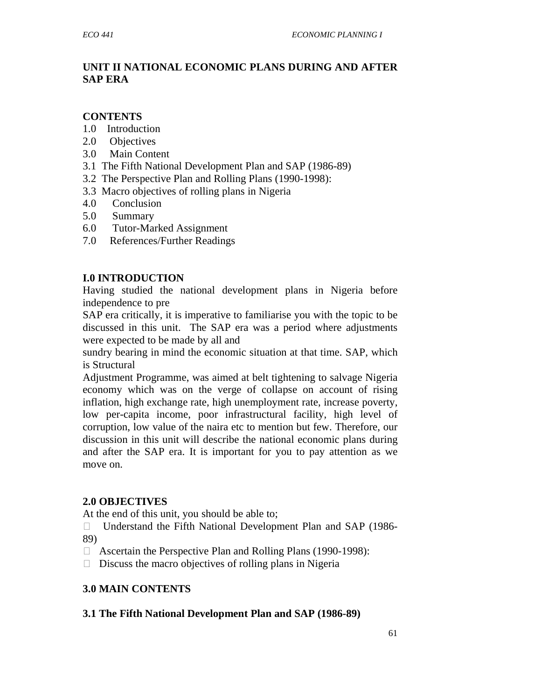# **UNIT II NATIONAL ECONOMIC PLANS DURING AND AFTER SAP ERA**

## **CONTENTS**

- 1.0 Introduction
- 2.0 Objectives
- 3.0 Main Content
- 3.1 The Fifth National Development Plan and SAP (1986-89)
- 3.2 The Perspective Plan and Rolling Plans (1990-1998):
- 3.3 Macro objectives of rolling plans in Nigeria
- 4.0 Conclusion
- 5.0 Summary
- 6.0 Tutor-Marked Assignment
- 7.0 References/Further Readings

## **I.0 INTRODUCTION**

Having studied the national development plans in Nigeria before independence to pre

SAP era critically, it is imperative to familiarise you with the topic to be discussed in this unit. The SAP era was a period where adjustments were expected to be made by all and

sundry bearing in mind the economic situation at that time. SAP, which is Structural

Adjustment Programme, was aimed at belt tightening to salvage Nigeria economy which was on the verge of collapse on account of rising inflation, high exchange rate, high unemployment rate, increase poverty, low per-capita income, poor infrastructural facility, high level of corruption, low value of the naira etc to mention but few. Therefore, our discussion in this unit will describe the national economic plans during and after the SAP era. It is important for you to pay attention as we move on.

# **2.0 OBJECTIVES**

At the end of this unit, you should be able to;

 Understand the Fifth National Development Plan and SAP (1986- 89)

- Ascertain the Perspective Plan and Rolling Plans (1990-1998):
- $\square$  Discuss the macro objectives of rolling plans in Nigeria

# **3.0 MAIN CONTENTS**

## **3.1 The Fifth National Development Plan and SAP (1986-89)**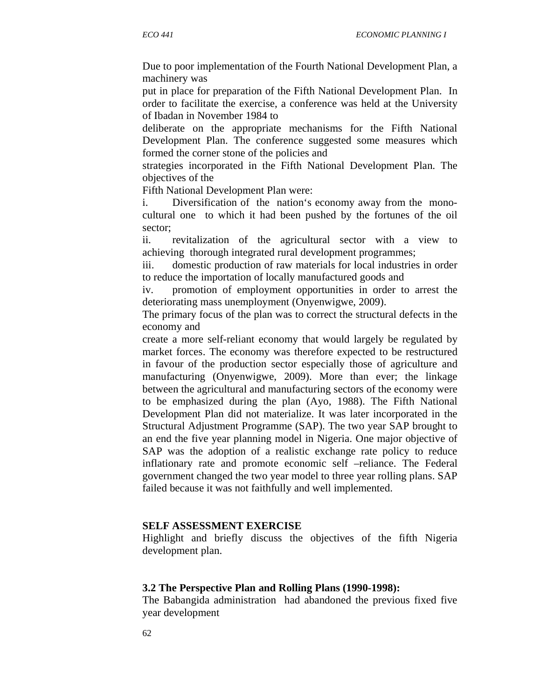Due to poor implementation of the Fourth National Development Plan, a machinery was

put in place for preparation of the Fifth National Development Plan. In order to facilitate the exercise, a conference was held at the University of Ibadan in November 1984 to

deliberate on the appropriate mechanisms for the Fifth National Development Plan. The conference suggested some measures which formed the corner stone of the policies and

strategies incorporated in the Fifth National Development Plan. The objectives of the

Fifth National Development Plan were:

i. Diversification of the nation's economy away from the monocultural one to which it had been pushed by the fortunes of the oil sector;

ii. revitalization of the agricultural sector with a view to achieving thorough integrated rural development programmes;

iii. domestic production of raw materials for local industries in order to reduce the importation of locally manufactured goods and

iv. promotion of employment opportunities in order to arrest the deteriorating mass unemployment (Onyenwigwe, 2009).

The primary focus of the plan was to correct the structural defects in the economy and

create a more self-reliant economy that would largely be regulated by market forces. The economy was therefore expected to be restructured in favour of the production sector especially those of agriculture and manufacturing (Onyenwigwe, 2009). More than ever; the linkage between the agricultural and manufacturing sectors of the economy were to be emphasized during the plan (Ayo, 1988). The Fifth National Development Plan did not materialize. It was later incorporated in the Structural Adjustment Programme (SAP). The two year SAP brought to an end the five year planning model in Nigeria. One major objective of SAP was the adoption of a realistic exchange rate policy to reduce inflationary rate and promote economic self –reliance. The Federal government changed the two year model to three year rolling plans. SAP failed because it was not faithfully and well implemented.

#### **SELF ASSESSMENT EXERCISE**

Highlight and briefly discuss the objectives of the fifth Nigeria development plan.

#### **3.2 The Perspective Plan and Rolling Plans (1990-1998):**

The Babangida administration had abandoned the previous fixed five year development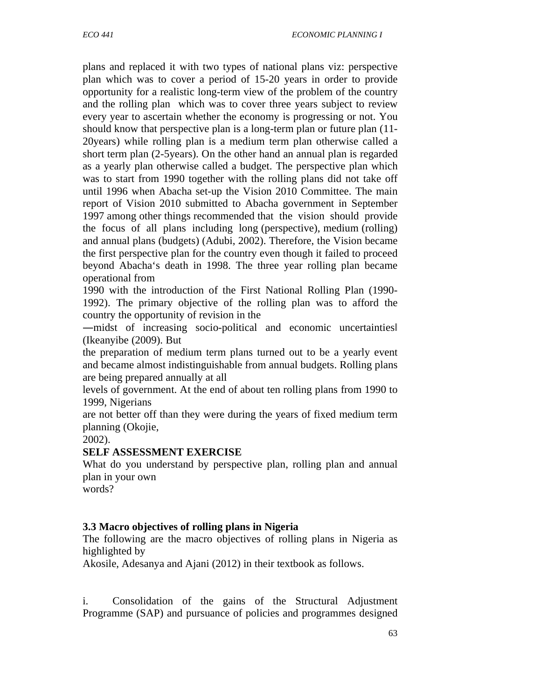plans and replaced it with two types of national plans viz: perspective plan which was to cover a period of 15-20 years in order to provide opportunity for a realistic long-term view of the problem of the country and the rolling plan which was to cover three years subject to review every year to ascertain whether the economy is progressing or not. You should know that perspective plan is a long-term plan or future plan (11- 20years) while rolling plan is a medium term plan otherwise called a short term plan (2-5years). On the other hand an annual plan is regarded as a yearly plan otherwise called a budget. The perspective plan which was to start from 1990 together with the rolling plans did not take off until 1996 when Abacha set-up the Vision 2010 Committee. The main report of Vision 2010 submitted to Abacha government in September 1997 among other things recommended that the vision should provide the focus of all plans including long (perspective), medium (rolling) and annual plans (budgets) (Adubi, 2002). Therefore, the Vision became the first perspective plan for the country even though it failed to proceed beyond Abacha's death in 1998. The three year rolling plan became operational from

1990 with the introduction of the First National Rolling Plan (1990- 1992). The primary objective of the rolling plan was to afford the country the opportunity of revision in the

―midst of increasing socio-political and economic uncertainties‖ (Ikeanyibe (2009). But

the preparation of medium term plans turned out to be a yearly event and became almost indistinguishable from annual budgets. Rolling plans are being prepared annually at all

levels of government. At the end of about ten rolling plans from 1990 to 1999, Nigerians

are not better off than they were during the years of fixed medium term planning (Okojie,

2002).

# **SELF ASSESSMENT EXERCISE**

What do you understand by perspective plan, rolling plan and annual plan in your own

words?

# **3.3 Macro objectives of rolling plans in Nigeria**

The following are the macro objectives of rolling plans in Nigeria as highlighted by

Akosile, Adesanya and Ajani (2012) in their textbook as follows.

i. Consolidation of the gains of the Structural Adjustment Programme (SAP) and pursuance of policies and programmes designed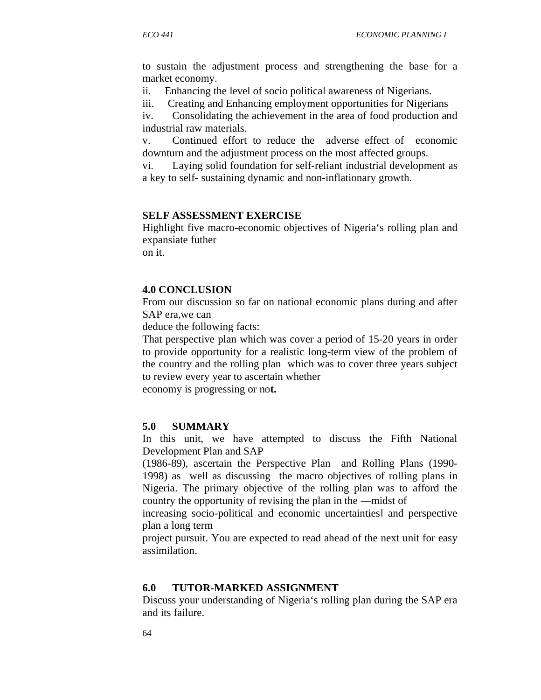to sustain the adjustment process and strengthening the base for a market economy.

ii. Enhancing the level of socio political awareness of Nigerians.

iii. Creating and Enhancing employment opportunities for Nigerians

iv. Consolidating the achievement in the area of food production and industrial raw materials.

v. Continued effort to reduce the adverse effect of economic downturn and the adjustment process on the most affected groups.

vi. Laying solid foundation for self-reliant industrial development as a key to self- sustaining dynamic and non-inflationary growth.

## **SELF ASSESSMENT EXERCISE**

Highlight five macro-economic objectives of Nigeria's rolling plan and expansiate futher

on it.

## **4.0 CONCLUSION**

From our discussion so far on national economic plans during and after SAP era,we can

deduce the following facts:

That perspective plan which was cover a period of 15-20 years in order to provide opportunity for a realistic long-term view of the problem of the country and the rolling plan which was to cover three years subject to review every year to ascertain whether

economy is progressing or no**t.**

## **5.0 SUMMARY**

In this unit, we have attempted to discuss the Fifth National Development Plan and SAP

(1986-89), ascertain the Perspective Plan and Rolling Plans (1990- 1998) as well as discussing the macro objectives of rolling plans in Nigeria. The primary objective of the rolling plan was to afford the country the opportunity of revising the plan in the ―midst of

increasing socio-political and economic uncertainties‖ and perspective plan a long term

project pursuit. You are expected to read ahead of the next unit for easy assimilation.

## **6.0 TUTOR-MARKED ASSIGNMENT**

Discuss your understanding of Nigeria's rolling plan during the SAP era and its failure.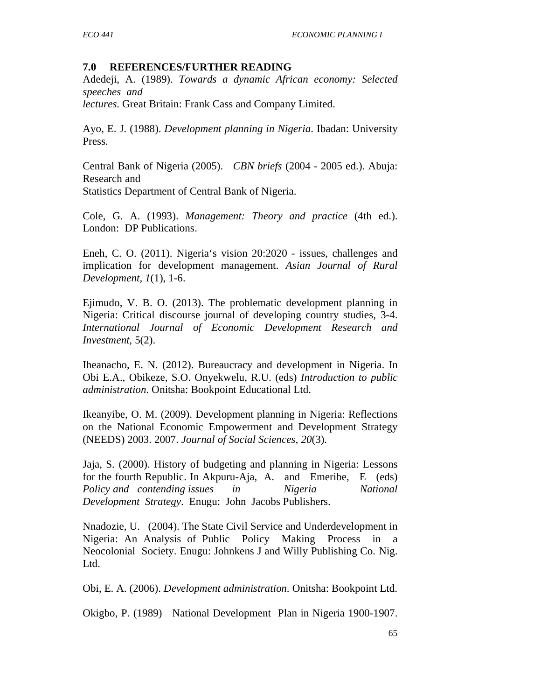### **7.0 REFERENCES/FURTHER READING**

Adedeji, A. (1989). *Towards a dynamic African economy: Selected speeches and*

*lectures*. Great Britain: Frank Cass and Company Limited.

Ayo, E. J. (1988). *Development planning in Nigeria*. Ibadan: University Press.

Central Bank of Nigeria (2005). *CBN briefs* (2004 - 2005 ed.). Abuja: Research and Statistics Department of Central Bank of Nigeria.

Cole, G. A. (1993). *Management: Theory and practice* (4th ed.). London: DP Publications.

Eneh, C. O. (2011). Nigeria's vision 20:2020 - issues, challenges and implication for development management. *Asian Journal of Rural Development, 1*(1), 1-6.

Ejimudo, V. B. O. (2013). The problematic development planning in Nigeria: Critical discourse journal of developing country studies, 3-4. *International Journal of Economic Development Research and Investment*, 5(2).

Iheanacho, E. N. (2012). Bureaucracy and development in Nigeria. In Obi E.A., Obikeze, S.O. Onyekwelu, R.U. (eds) *Introduction to public administration*. Onitsha: Bookpoint Educational Ltd.

Ikeanyibe, O. M. (2009). Development planning in Nigeria: Reflections on the National Economic Empowerment and Development Strategy (NEEDS) 2003. 2007. *Journal of Social Sciences, 20*(3).

Jaja, S. (2000). History of budgeting and planning in Nigeria: Lessons for the fourth Republic. In Akpuru-Aja, A. and Emeribe, E (eds) *Policy and contending issues in Migeria Mational Development Strategy*. Enugu: John Jacobs Publishers.

Nnadozie, U. (2004). The State Civil Service and Underdevelopment in Nigeria: An Analysis of Public Policy Making Process in a Neocolonial Society. Enugu: Johnkens J and Willy Publishing Co. Nig. Ltd.

Obi, E. A. (2006). *Development administration*. Onitsha: Bookpoint Ltd.

Okigbo, P. (1989) National Development Plan in Nigeria 1900-1907.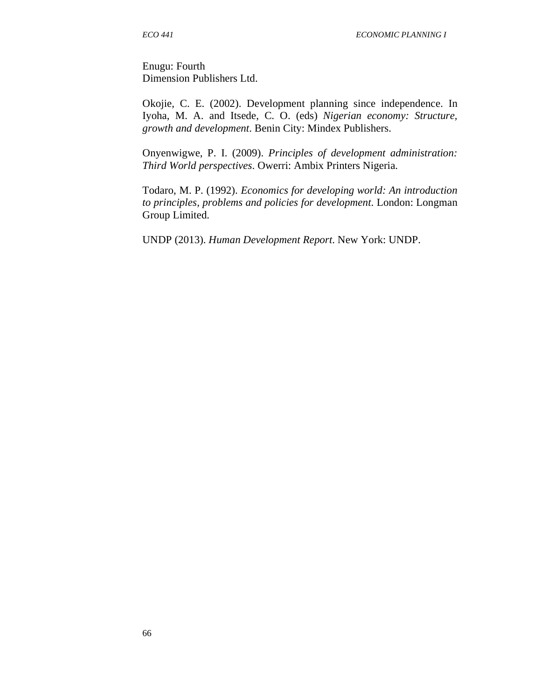Enugu: Fourth Dimension Publishers Ltd.

Okojie, C. E. (2002). Development planning since independence. In Iyoha, M. A. and Itsede, C. O. (eds) *Nigerian economy: Structure, growth and development*. Benin City: Mindex Publishers.

Onyenwigwe, P. I. (2009). *Principles of development administration: Third World perspectives*. Owerri: Ambix Printers Nigeria.

Todaro, M. P. (1992). *Economics for developing world: An introduction to principles, problems and policies for development*. London: Longman Group Limited.

UNDP (2013). *Human Development Report*. New York: UNDP.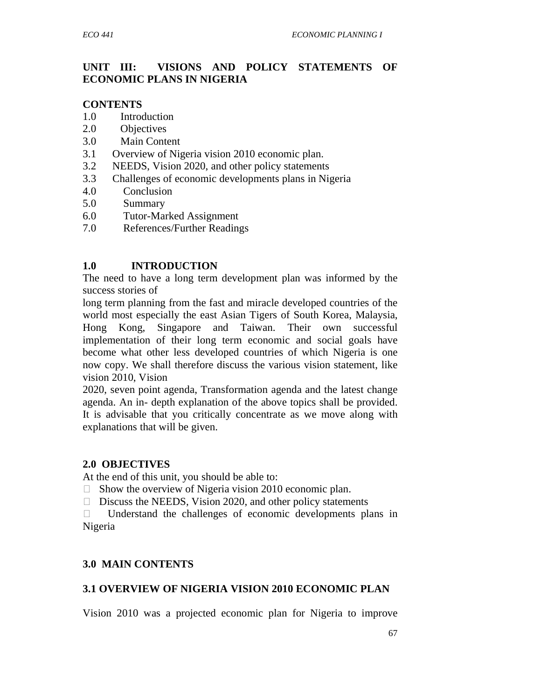## **UNIT III: VISIONS AND POLICY STATEMENTS OF ECONOMIC PLANS IN NIGERIA**

### **CONTENTS**

- 1.0 Introduction
- 2.0 Objectives
- 3.0 Main Content
- 3.1 Overview of Nigeria vision 2010 economic plan.
- 3.2 NEEDS, Vision 2020, and other policy statements
- 3.3 Challenges of economic developments plans in Nigeria
- 4.0 Conclusion
- 5.0 Summary
- 6.0 Tutor-Marked Assignment
- 7.0 References/Further Readings

# **1.0 INTRODUCTION**

The need to have a long term development plan was informed by the success stories of

long term planning from the fast and miracle developed countries of the world most especially the east Asian Tigers of South Korea, Malaysia, Hong Kong, Singapore and Taiwan. Their own successful implementation of their long term economic and social goals have become what other less developed countries of which Nigeria is one now copy. We shall therefore discuss the various vision statement, like vision 2010, Vision

2020, seven point agenda, Transformation agenda and the latest change agenda. An in- depth explanation of the above topics shall be provided. It is advisable that you critically concentrate as we move along with explanations that will be given.

## **2.0 OBJECTIVES**

At the end of this unit, you should be able to:

 $\Box$  Show the overview of Nigeria vision 2010 economic plan.

 $\Box$  Discuss the NEEDS, Vision 2020, and other policy statements

 $\Box$  Understand the challenges of economic developments plans in Nigeria

# **3.0 MAIN CONTENTS**

# **3.1 OVERVIEW OF NIGERIA VISION 2010 ECONOMIC PLAN**

Vision 2010 was a projected economic plan for Nigeria to improve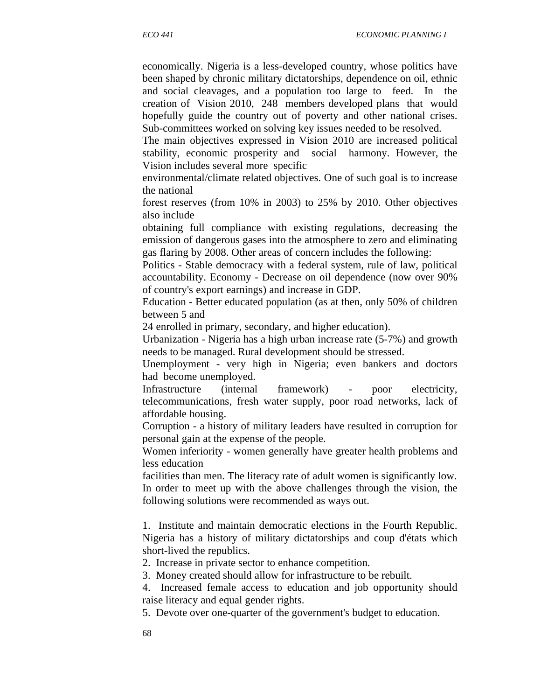economically. Nigeria is a less-developed country, whose politics have been shaped by chronic military dictatorships, dependence on oil, ethnic and social cleavages, and a population too large to feed. In the creation of Vision 2010, 248 members developed plans that would hopefully guide the country out of poverty and other national crises. Sub-committees worked on solving key issues needed to be resolved.

The main objectives expressed in Vision 2010 are increased political stability, economic prosperity and social harmony. However, the Vision includes several more specific

environmental/climate related objectives. One of such goal is to increase the national

forest reserves (from 10% in 2003) to 25% by 2010. Other objectives also include

obtaining full compliance with existing regulations, decreasing the emission of dangerous gases into the atmosphere to zero and eliminating gas flaring by 2008. Other areas of concern includes the following:

Politics - Stable democracy with a federal system, rule of law, political accountability. Economy - Decrease on oil dependence (now over 90% of country's export earnings) and increase in GDP.

Education - Better educated population (as at then, only 50% of children between 5 and

24 enrolled in primary, secondary, and higher education).

Urbanization - Nigeria has a high urban increase rate (5-7%) and growth needs to be managed. Rural development should be stressed.

Unemployment - very high in Nigeria; even bankers and doctors had become unemployed.

Infrastructure (internal framework) - poor electricity, telecommunications, fresh water supply, poor road networks, lack of affordable housing.

Corruption - a history of military leaders have resulted in corruption for personal gain at the expense of the people.

Women inferiority - women generally have greater health problems and less education

facilities than men. The literacy rate of adult women is significantly low. In order to meet up with the above challenges through the vision, the following solutions were recommended as ways out.

1. Institute and maintain democratic elections in the Fourth Republic. Nigeria has a history of military dictatorships and coup d'états which short-lived the republics.

2. Increase in private sector to enhance competition.

3. Money created should allow for infrastructure to be rebuilt.

4. Increased female access to education and job opportunity should raise literacy and equal gender rights.

5. Devote over one-quarter of the government's budget to education.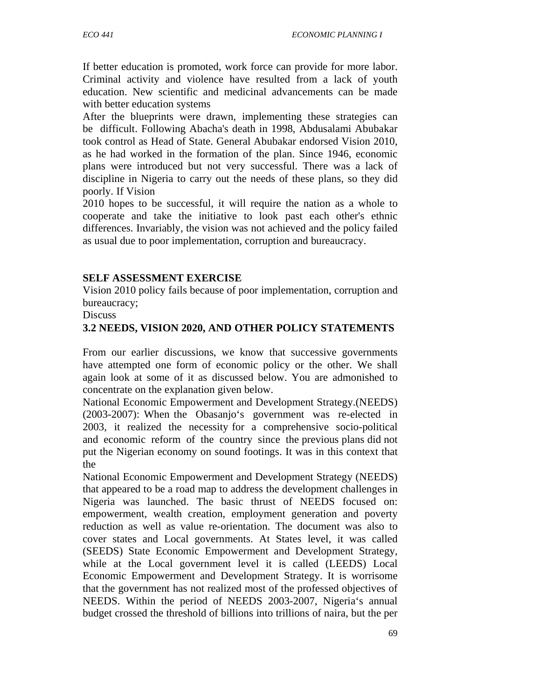If better education is promoted, work force can provide for more labor. Criminal activity and violence have resulted from a lack of youth education. New scientific and medicinal advancements can be made with better education systems

After the blueprints were drawn, implementing these strategies can be difficult. Following Abacha's death in 1998, Abdusalami Abubakar took control as Head of State. General Abubakar endorsed Vision 2010, as he had worked in the formation of the plan. Since 1946, economic plans were introduced but not very successful. There was a lack of discipline in Nigeria to carry out the needs of these plans, so they did poorly. If Vision

2010 hopes to be successful, it will require the nation as a whole to cooperate and take the initiative to look past each other's ethnic differences. Invariably, the vision was not achieved and the policy failed as usual due to poor implementation, corruption and bureaucracy.

## **SELF ASSESSMENT EXERCISE**

Vision 2010 policy fails because of poor implementation, corruption and bureaucracy;

Discuss

# **3.2 NEEDS, VISION 2020, AND OTHER POLICY STATEMENTS**

From our earlier discussions, we know that successive governments have attempted one form of economic policy or the other. We shall again look at some of it as discussed below. You are admonished to concentrate on the explanation given below.

National Economic Empowerment and Development Strategy.(NEEDS) (2003-2007): When the Obasanjo's government was re-elected in 2003, it realized the necessity for a comprehensive socio-political and economic reform of the country since the previous plans did not put the Nigerian economy on sound footings. It was in this context that the

National Economic Empowerment and Development Strategy (NEEDS) that appeared to be a road map to address the development challenges in Nigeria was launched. The basic thrust of NEEDS focused on: empowerment, wealth creation, employment generation and poverty reduction as well as value re-orientation. The document was also to cover states and Local governments. At States level, it was called (SEEDS) State Economic Empowerment and Development Strategy, while at the Local government level it is called (LEEDS) Local Economic Empowerment and Development Strategy. It is worrisome that the government has not realized most of the professed objectives of NEEDS. Within the period of NEEDS 2003-2007, Nigeria's annual budget crossed the threshold of billions into trillions of naira, but the per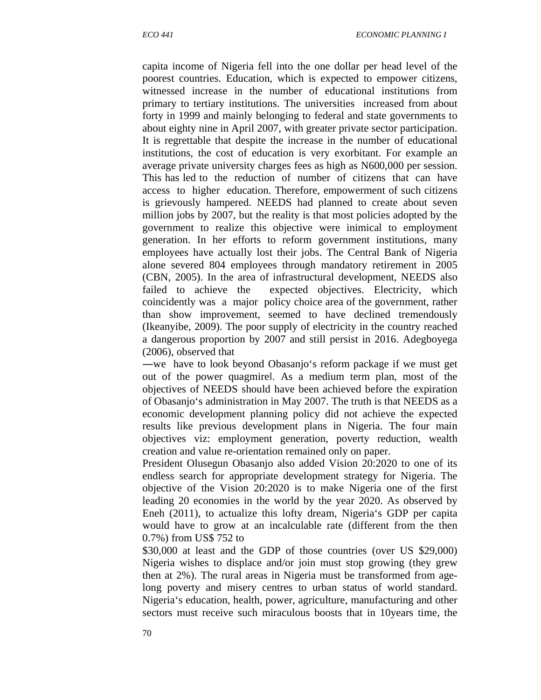capita income of Nigeria fell into the one dollar per head level of the poorest countries. Education, which is expected to empower citizens, witnessed increase in the number of educational institutions from primary to tertiary institutions. The universities increased from about forty in 1999 and mainly belonging to federal and state governments to about eighty nine in April 2007, with greater private sector participation. It is regrettable that despite the increase in the number of educational institutions, the cost of education is very exorbitant. For example an average private university charges fees as high as N600,000 per session. This has led to the reduction of number of citizens that can have access to higher education. Therefore, empowerment of such citizens is grievously hampered. NEEDS had planned to create about seven million jobs by 2007, but the reality is that most policies adopted by the government to realize this objective were inimical to employment generation. In her efforts to reform government institutions, many employees have actually lost their jobs. The Central Bank of Nigeria alone severed 804 employees through mandatory retirement in 2005 (CBN, 2005). In the area of infrastructural development, NEEDS also failed to achieve the expected objectives. Electricity, which coincidently was a major policy choice area of the government, rather than show improvement, seemed to have declined tremendously (Ikeanyibe, 2009). The poor supply of electricity in the country reached a dangerous proportion by 2007 and still persist in 2016. Adegboyega (2006), observed that

―we have to look beyond Obasanjo's reform package if we must get out of the power quagmire‖. As a medium term plan, most of the objectives of NEEDS should have been achieved before the expiration of Obasanjo's administration in May 2007. The truth is that NEEDS as a economic development planning policy did not achieve the expected results like previous development plans in Nigeria. The four main objectives viz: employment generation, poverty reduction, wealth creation and value re-orientation remained only on paper.

President Olusegun Obasanjo also added Vision 20:2020 to one of its endless search for appropriate development strategy for Nigeria. The objective of the Vision 20:2020 is to make Nigeria one of the first leading 20 economies in the world by the year 2020. As observed by Eneh (2011), to actualize this lofty dream, Nigeria's GDP per capita would have to grow at an incalculable rate (different from the then 0.7%) from US\$ 752 to

\$30,000 at least and the GDP of those countries (over US \$29,000) Nigeria wishes to displace and/or join must stop growing (they grew then at 2%). The rural areas in Nigeria must be transformed from agelong poverty and misery centres to urban status of world standard. Nigeria's education, health, power, agriculture, manufacturing and other sectors must receive such miraculous boosts that in 10years time, the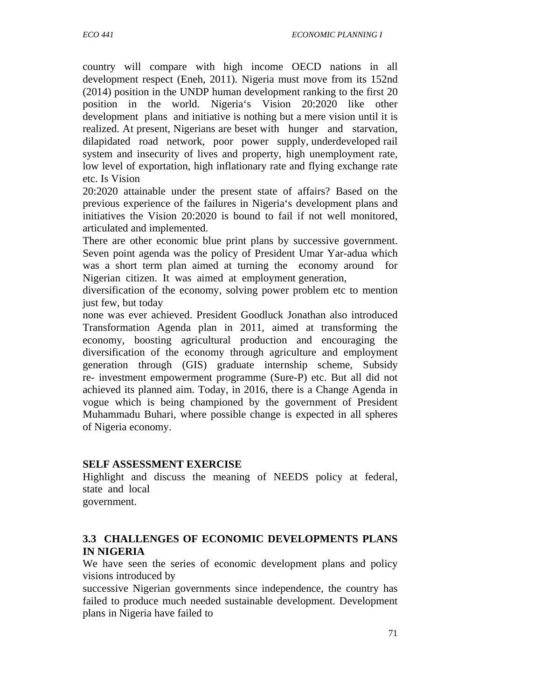country will compare with high income OECD nations in all development respect (Eneh, 2011). Nigeria must move from its 152nd (2014) position in the UNDP human development ranking to the first 20 position in the world. Nigeria's Vision 20:2020 like other development plans and initiative is nothing but a mere vision until it is realized. At present, Nigerians are beset with hunger and starvation, dilapidated road network, poor power supply, underdeveloped rail system and insecurity of lives and property, high unemployment rate, low level of exportation, high inflationary rate and flying exchange rate etc. Is Vision

20:2020 attainable under the present state of affairs? Based on the previous experience of the failures in Nigeria's development plans and initiatives the Vision 20:2020 is bound to fail if not well monitored, articulated and implemented.

There are other economic blue print plans by successive government. Seven point agenda was the policy of President Umar Yar-adua which was a short term plan aimed at turning the economy around for Nigerian citizen. It was aimed at employment generation,

diversification of the economy, solving power problem etc to mention just few, but today

none was ever achieved. President Goodluck Jonathan also introduced Transformation Agenda plan in 2011, aimed at transforming the economy, boosting agricultural production and encouraging the diversification of the economy through agriculture and employment generation through (GIS) graduate internship scheme, Subsidy re- investment empowerment programme (Sure-P) etc. But all did not achieved its planned aim. Today, in 2016, there is a Change Agenda in vogue which is being championed by the government of President Muhammadu Buhari, where possible change is expected in all spheres of Nigeria economy.

## **SELF ASSESSMENT EXERCISE**

Highlight and discuss the meaning of NEEDS policy at federal, state and local

government.

# **3.3 CHALLENGES OF ECONOMIC DEVELOPMENTS PLANS IN NIGERIA**

We have seen the series of economic development plans and policy visions introduced by

successive Nigerian governments since independence, the country has failed to produce much needed sustainable development. Development plans in Nigeria have failed to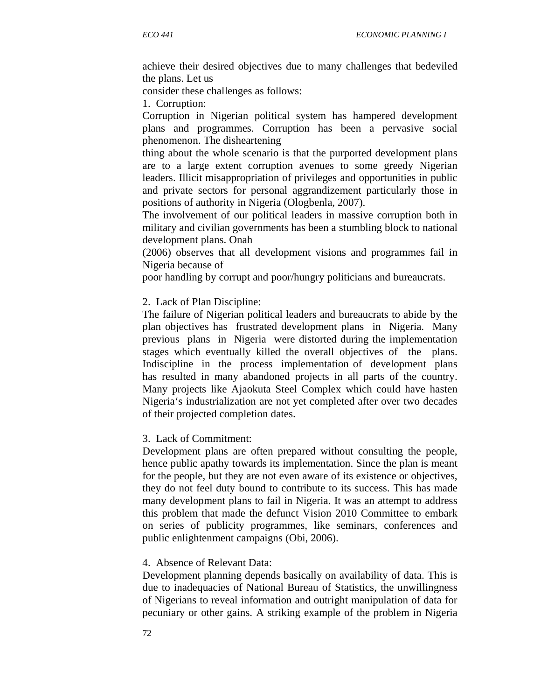achieve their desired objectives due to many challenges that bedeviled the plans. Let us

consider these challenges as follows:

1. Corruption:

Corruption in Nigerian political system has hampered development plans and programmes. Corruption has been a pervasive social phenomenon. The disheartening

thing about the whole scenario is that the purported development plans are to a large extent corruption avenues to some greedy Nigerian leaders. Illicit misappropriation of privileges and opportunities in public and private sectors for personal aggrandizement particularly those in positions of authority in Nigeria (Ologbenla, 2007).

The involvement of our political leaders in massive corruption both in military and civilian governments has been a stumbling block to national development plans. Onah

(2006) observes that all development visions and programmes fail in Nigeria because of

poor handling by corrupt and poor/hungry politicians and bureaucrats.

## 2. Lack of Plan Discipline:

The failure of Nigerian political leaders and bureaucrats to abide by the plan objectives has frustrated development plans in Nigeria. Many previous plans in Nigeria were distorted during the implementation stages which eventually killed the overall objectives of the plans. Indiscipline in the process implementation of development plans has resulted in many abandoned projects in all parts of the country. Many projects like Ajaokuta Steel Complex which could have hasten Nigeria's industrialization are not yet completed after over two decades of their projected completion dates.

### 3. Lack of Commitment:

Development plans are often prepared without consulting the people, hence public apathy towards its implementation. Since the plan is meant for the people, but they are not even aware of its existence or objectives, they do not feel duty bound to contribute to its success. This has made many development plans to fail in Nigeria. It was an attempt to address this problem that made the defunct Vision 2010 Committee to embark on series of publicity programmes, like seminars, conferences and public enlightenment campaigns (Obi, 2006).

### 4. Absence of Relevant Data:

Development planning depends basically on availability of data. This is due to inadequacies of National Bureau of Statistics, the unwillingness of Nigerians to reveal information and outright manipulation of data for pecuniary or other gains. A striking example of the problem in Nigeria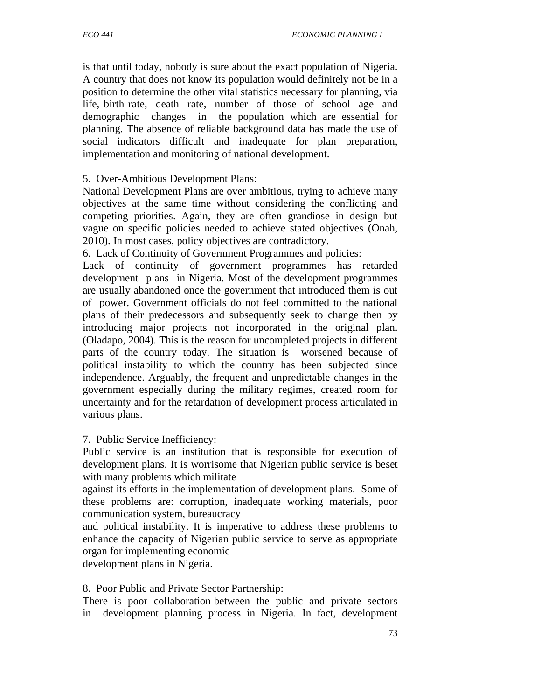is that until today, nobody is sure about the exact population of Nigeria. A country that does not know its population would definitely not be in a position to determine the other vital statistics necessary for planning, via life, birth rate, death rate, number of those of school age and demographic changes in the population which are essential for planning. The absence of reliable background data has made the use of social indicators difficult and inadequate for plan preparation, implementation and monitoring of national development.

## 5. Over-Ambitious Development Plans:

National Development Plans are over ambitious, trying to achieve many objectives at the same time without considering the conflicting and competing priorities. Again, they are often grandiose in design but vague on specific policies needed to achieve stated objectives (Onah, 2010). In most cases, policy objectives are contradictory.

6. Lack of Continuity of Government Programmes and policies:

Lack of continuity of government programmes has retarded development plans in Nigeria. Most of the development programmes are usually abandoned once the government that introduced them is out of power. Government officials do not feel committed to the national plans of their predecessors and subsequently seek to change then by introducing major projects not incorporated in the original plan. (Oladapo, 2004). This is the reason for uncompleted projects in different parts of the country today. The situation is worsened because of political instability to which the country has been subjected since independence. Arguably, the frequent and unpredictable changes in the government especially during the military regimes, created room for uncertainty and for the retardation of development process articulated in various plans.

7. Public Service Inefficiency:

Public service is an institution that is responsible for execution of development plans. It is worrisome that Nigerian public service is beset with many problems which militate

against its efforts in the implementation of development plans. Some of these problems are: corruption, inadequate working materials, poor communication system, bureaucracy

and political instability. It is imperative to address these problems to enhance the capacity of Nigerian public service to serve as appropriate organ for implementing economic

development plans in Nigeria.

8. Poor Public and Private Sector Partnership:

There is poor collaboration between the public and private sectors in development planning process in Nigeria. In fact, development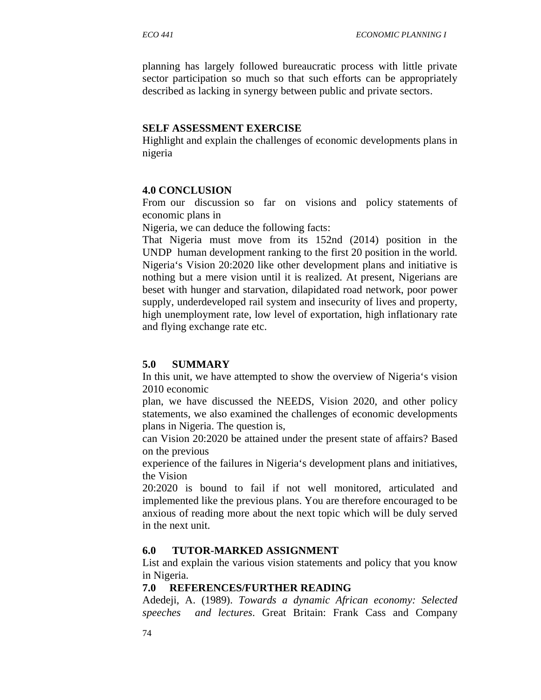planning has largely followed bureaucratic process with little private sector participation so much so that such efforts can be appropriately described as lacking in synergy between public and private sectors.

## **SELF ASSESSMENT EXERCISE**

Highlight and explain the challenges of economic developments plans in nigeria

## **4.0 CONCLUSION**

From our discussion so far on visions and policy statements of economic plans in

Nigeria, we can deduce the following facts:

That Nigeria must move from its 152nd (2014) position in the UNDP human development ranking to the first 20 position in the world. Nigeria's Vision 20:2020 like other development plans and initiative is nothing but a mere vision until it is realized. At present, Nigerians are beset with hunger and starvation, dilapidated road network, poor power supply, underdeveloped rail system and insecurity of lives and property, high unemployment rate, low level of exportation, high inflationary rate and flying exchange rate etc.

# **5.0 SUMMARY**

In this unit, we have attempted to show the overview of Nigeria's vision 2010 economic

plan, we have discussed the NEEDS, Vision 2020, and other policy statements, we also examined the challenges of economic developments plans in Nigeria. The question is,

can Vision 20:2020 be attained under the present state of affairs? Based on the previous

experience of the failures in Nigeria's development plans and initiatives, the Vision

20:2020 is bound to fail if not well monitored, articulated and implemented like the previous plans. You are therefore encouraged to be anxious of reading more about the next topic which will be duly served in the next unit.

## **6.0 TUTOR-MARKED ASSIGNMENT**

List and explain the various vision statements and policy that you know in Nigeria.

## **7.0 REFERENCES/FURTHER READING**

Adedeji, A. (1989). *Towards a dynamic African economy: Selected speeches and lectures*. Great Britain: Frank Cass and Company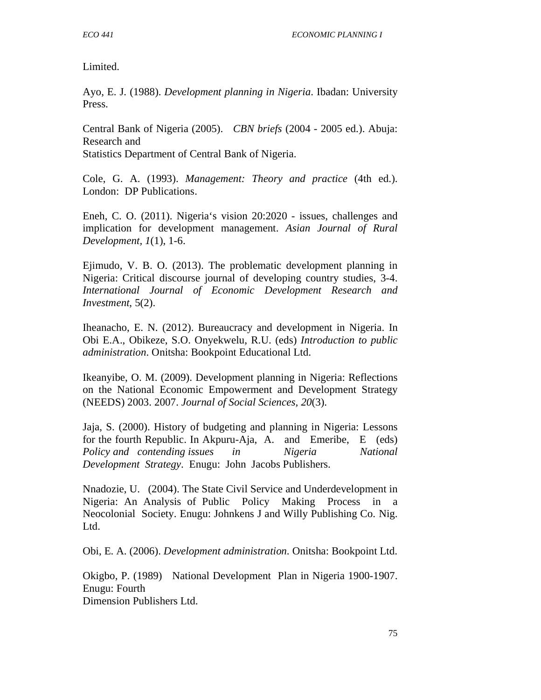Limited.

Ayo, E. J. (1988). *Development planning in Nigeria*. Ibadan: University Press.

Central Bank of Nigeria (2005). *CBN briefs* (2004 - 2005 ed.). Abuja: Research and Statistics Department of Central Bank of Nigeria.

Cole, G. A. (1993). *Management: Theory and practice* (4th ed.). London: DP Publications.

Eneh, C. O. (2011). Nigeria's vision 20:2020 - issues, challenges and implication for development management. *Asian Journal of Rural Development, 1*(1), 1-6.

Ejimudo, V. B. O. (2013). The problematic development planning in Nigeria: Critical discourse journal of developing country studies, 3-4. *International Journal of Economic Development Research and Investment*, 5(2).

Iheanacho, E. N. (2012). Bureaucracy and development in Nigeria. In Obi E.A., Obikeze, S.O. Onyekwelu, R.U. (eds) *Introduction to public administration*. Onitsha: Bookpoint Educational Ltd.

Ikeanyibe, O. M. (2009). Development planning in Nigeria: Reflections on the National Economic Empowerment and Development Strategy (NEEDS) 2003. 2007. *Journal of Social Sciences, 20*(3).

Jaja, S. (2000). History of budgeting and planning in Nigeria: Lessons for the fourth Republic. In Akpuru-Aja, A. and Emeribe, E (eds) *Policy and contending issues in Migeria Mational Development Strategy*. Enugu: John Jacobs Publishers.

Nnadozie, U. (2004). The State Civil Service and Underdevelopment in Nigeria: An Analysis of Public Policy Making Process in a Neocolonial Society. Enugu: Johnkens J and Willy Publishing Co. Nig. Ltd.

Obi, E. A. (2006). *Development administration*. Onitsha: Bookpoint Ltd.

Okigbo, P. (1989) National Development Plan in Nigeria 1900-1907. Enugu: Fourth Dimension Publishers Ltd.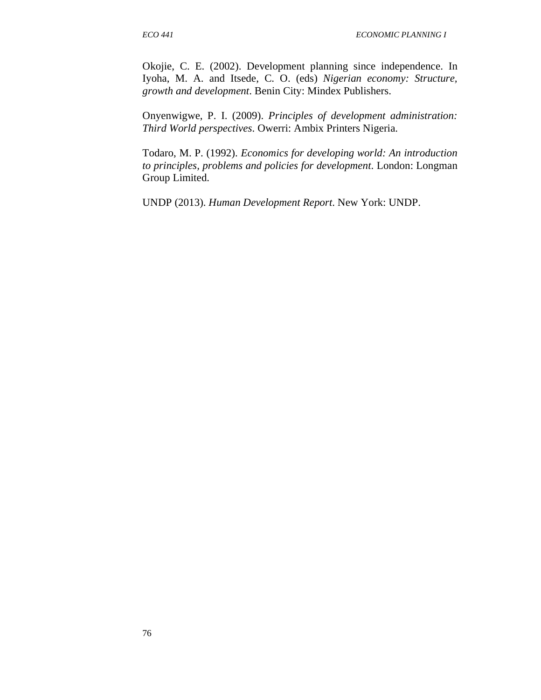Okojie, C. E. (2002). Development planning since independence. In Iyoha, M. A. and Itsede, C. O. (eds) *Nigerian economy: Structure, growth and development*. Benin City: Mindex Publishers.

Onyenwigwe, P. I. (2009). *Principles of development administration: Third World perspectives*. Owerri: Ambix Printers Nigeria.

Todaro, M. P. (1992). *Economics for developing world: An introduction to principles, problems and policies for development*. London: Longman Group Limited.

UNDP (2013). *Human Development Report*. New York: UNDP.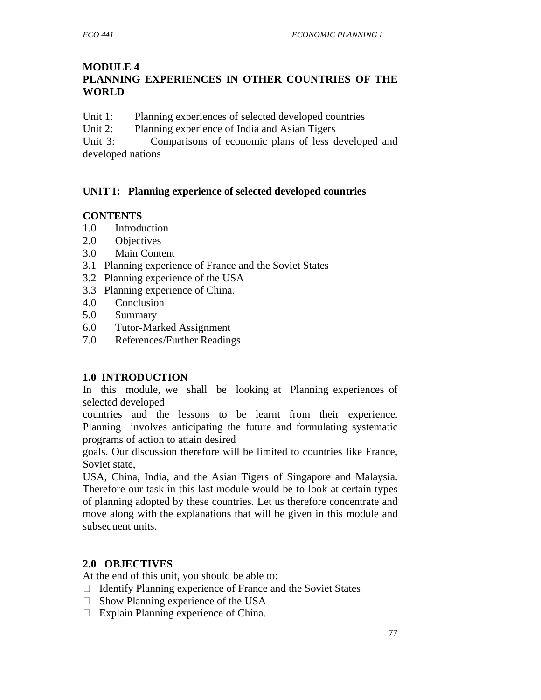# **MODULE 4 PLANNING EXPERIENCES IN OTHER COUNTRIES OF THE WORLD**

Unit 1: Planning experiences of selected developed countries

Unit 2: Planning experience of India and Asian Tigers

Unit 3: Comparisons of economic plans of less developed and developed nations

# **UNIT I: Planning experience of selected developed countries**

# **CONTENTS**

- 1.0 Introduction
- 2.0 Objectives
- 3.0 Main Content
- 3.1 Planning experience of France and the Soviet States
- 3.2 Planning experience of the USA
- 3.3 Planning experience of China.
- 4.0 Conclusion
- 5.0 Summary
- 6.0 Tutor-Marked Assignment
- 7.0 References/Further Readings

# **1.0 INTRODUCTION**

In this module, we shall be looking at Planning experiences of selected developed

countries and the lessons to be learnt from their experience. Planning involves anticipating the future and formulating systematic programs of action to attain desired

goals. Our discussion therefore will be limited to countries like France, Soviet state,

USA, China, India, and the Asian Tigers of Singapore and Malaysia. Therefore our task in this last module would be to look at certain types of planning adopted by these countries. Let us therefore concentrate and move along with the explanations that will be given in this module and subsequent units.

# **2.0 OBJECTIVES**

At the end of this unit, you should be able to:

- $\Box$  Identify Planning experience of France and the Soviet States
- $\Box$  Show Planning experience of the USA
- $\Box$  Explain Planning experience of China.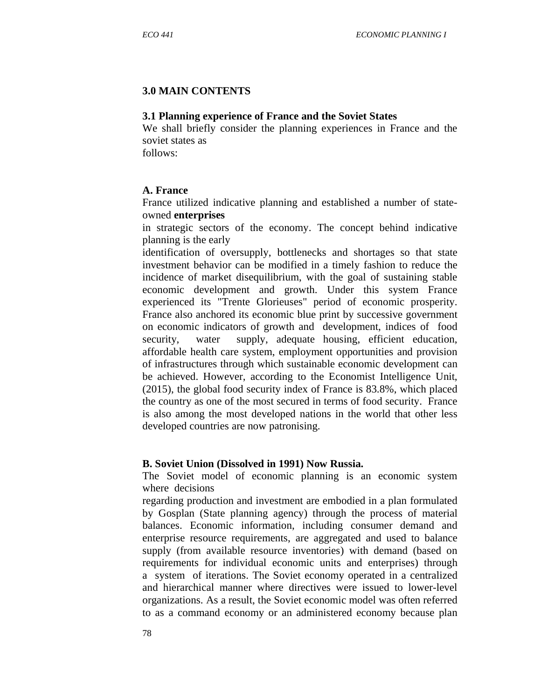### **3.0 MAIN CONTENTS**

### **3.1 Planning experience of France and the Soviet States**

We shall briefly consider the planning experiences in France and the soviet states as

follows:

### **A. France**

France utilized indicative planning and established a number of stateowned **enterprises**

in strategic sectors of the economy. The concept behind indicative planning is the early

identification of oversupply, bottlenecks and shortages so that state investment behavior can be modified in a timely fashion to reduce the incidence of market disequilibrium, with the goal of sustaining stable economic development and growth. Under this system France experienced its "Trente Glorieuses" period of economic prosperity. France also anchored its economic blue print by successive government on economic indicators of growth and development, indices of food security, water supply, adequate housing, efficient education, affordable health care system, employment opportunities and provision of infrastructures through which sustainable economic development can be achieved. However, according to the Economist Intelligence Unit, (2015), the global food security index of France is 83.8%, which placed the country as one of the most secured in terms of food security. France is also among the most developed nations in the world that other less developed countries are now patronising.

#### **B. Soviet Union (Dissolved in 1991) Now Russia.**

The Soviet model of economic planning is an economic system where decisions

regarding production and investment are embodied in a plan formulated by Gosplan (State planning agency) through the process of material balances. Economic information, including consumer demand and enterprise resource requirements, are aggregated and used to balance supply (from available resource inventories) with demand (based on requirements for individual economic units and enterprises) through a system of iterations. The Soviet economy operated in a centralized and hierarchical manner where directives were issued to lower-level organizations. As a result, the Soviet economic model was often referred to as a command economy or an administered economy because plan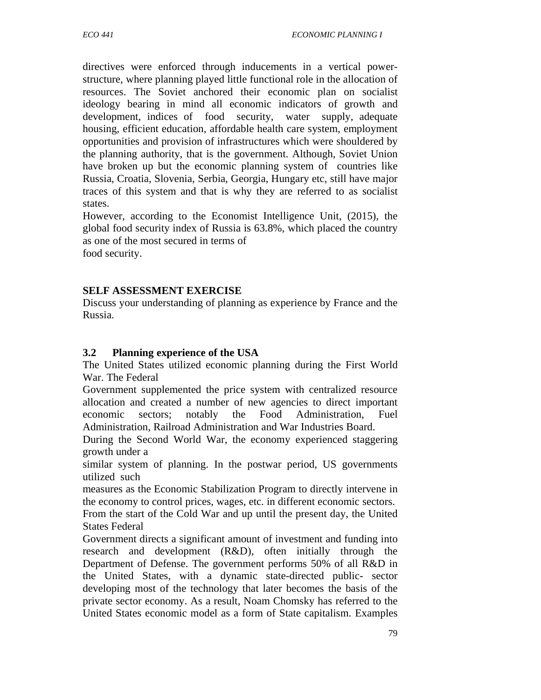directives were enforced through inducements in a vertical powerstructure, where planning played little functional role in the allocation of resources. The Soviet anchored their economic plan on socialist ideology bearing in mind all economic indicators of growth and development, indices of food security, water supply, adequate housing, efficient education, affordable health care system, employment opportunities and provision of infrastructures which were shouldered by the planning authority, that is the government. Although, Soviet Union have broken up but the economic planning system of countries like Russia, Croatia, Slovenia, Serbia, Georgia, Hungary etc, still have major traces of this system and that is why they are referred to as socialist states.

However, according to the Economist Intelligence Unit, (2015), the global food security index of Russia is 63.8%, which placed the country as one of the most secured in terms of food security.

## **SELF ASSESSMENT EXERCISE**

Discuss your understanding of planning as experience by France and the Russia.

## **3.2 Planning experience of the USA**

The United States utilized economic planning during the First World War. The Federal

Government supplemented the price system with centralized resource allocation and created a number of new agencies to direct important economic sectors; notably the Food Administration, Fuel Administration, Railroad Administration and War Industries Board.

During the Second World War, the economy experienced staggering growth under a

similar system of planning. In the postwar period, US governments utilized such

measures as the Economic Stabilization Program to directly intervene in the economy to control prices, wages, etc. in different economic sectors.

From the start of the Cold War and up until the present day, the United States Federal

Government directs a significant amount of investment and funding into research and development (R&D), often initially through the Department of Defense. The government performs 50% of all R&D in the United States, with a dynamic state-directed public- sector developing most of the technology that later becomes the basis of the private sector economy. As a result, Noam Chomsky has referred to the United States economic model as a form of State capitalism. Examples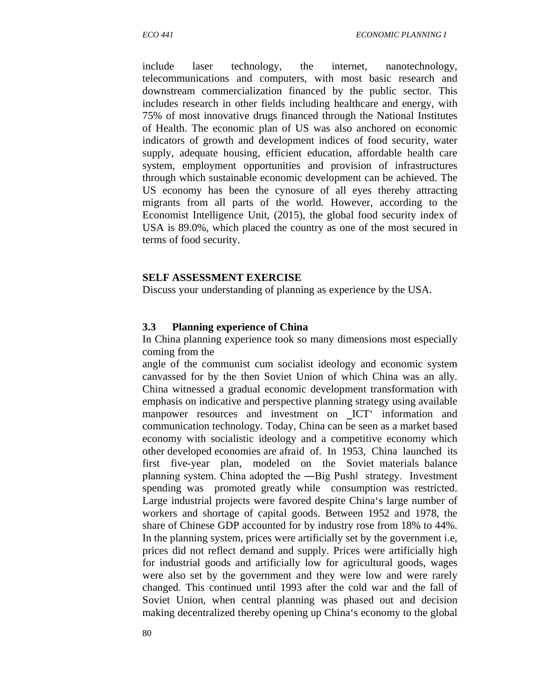include laser technology, the internet, nanotechnology, telecommunications and computers, with most basic research and downstream commercialization financed by the public sector. This includes research in other fields including healthcare and energy, with 75% of most innovative drugs financed through the National Institutes of Health. The economic plan of US was also anchored on economic indicators of growth and development indices of food security, water supply, adequate housing, efficient education, affordable health care system, employment opportunities and provision of infrastructures through which sustainable economic development can be achieved. The US economy has been the cynosure of all eyes thereby attracting migrants from all parts of the world. However, according to the Economist Intelligence Unit, (2015), the global food security index of USA is 89.0%, which placed the country as one of the most secured in terms of food security.

#### **SELF ASSESSMENT EXERCISE**

Discuss your understanding of planning as experience by the USA.

### **3.3 Planning experience of China**

In China planning experience took so many dimensions most especially coming from the

angle of the communist cum socialist ideology and economic system canvassed for by the then Soviet Union of which China was an ally. China witnessed a gradual economic development transformation with emphasis on indicative and perspective planning strategy using available manpower resources and investment on ICT information and communication technology. Today, China can be seen as a market based economy with socialistic ideology and a competitive economy which other developed economies are afraid of. In 1953, China launched its first five-year plan, modeled on the Soviet materials balance planning system. China adopted the -Big Pushl strategy. Investment spending was promoted greatly while consumption was restricted. Large industrial projects were favored despite China's large number of workers and shortage of capital goods. Between 1952 and 1978, the share of Chinese GDP accounted for by industry rose from 18% to 44%. In the planning system, prices were artificially set by the government i.e, prices did not reflect demand and supply. Prices were artificially high for industrial goods and artificially low for agricultural goods, wages were also set by the government and they were low and were rarely changed. This continued until 1993 after the cold war and the fall of Soviet Union, when central planning was phased out and decision making decentralized thereby opening up China's economy to the global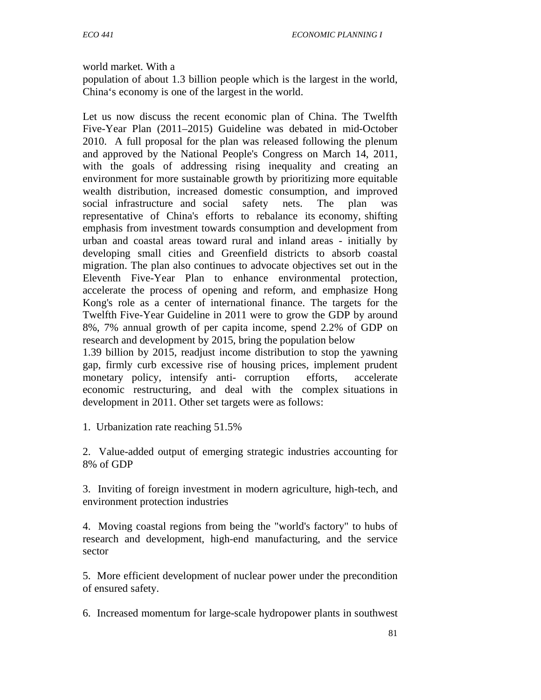world market. With a

population of about 1.3 billion people which is the largest in the world, China's economy is one of the largest in the world.

Let us now discuss the recent economic plan of China. The Twelfth Five-Year Plan (2011–2015) Guideline was debated in mid-October 2010. A full proposal for the plan was released following the plenum and approved by the National People's Congress on March 14, 2011, with the goals of addressing rising inequality and creating an environment for more sustainable growth by prioritizing more equitable wealth distribution, increased domestic consumption, and improved social infrastructure and social safety nets. The plan was representative of China's efforts to rebalance its economy, shifting emphasis from investment towards consumption and development from urban and coastal areas toward rural and inland areas - initially by developing small cities and Greenfield districts to absorb coastal migration. The plan also continues to advocate objectives set out in the Eleventh Five-Year Plan to enhance environmental protection, accelerate the process of opening and reform, and emphasize Hong Kong's role as a center of international finance. The targets for the Twelfth Five-Year Guideline in 2011 were to grow the GDP by around 8%, 7% annual growth of per capita income, spend 2.2% of GDP on research and development by 2015, bring the population below

1.39 billion by 2015, readjust income distribution to stop the yawning gap, firmly curb excessive rise of housing prices, implement prudent monetary policy, intensify anti- corruption efforts, accelerate economic restructuring, and deal with the complex situations in development in 2011. Other set targets were as follows:

1. Urbanization rate reaching 51.5%

2. Value-added output of emerging strategic industries accounting for 8% of GDP

3. Inviting of foreign investment in modern agriculture, high-tech, and environment protection industries

4. Moving coastal regions from being the "world's factory" to hubs of research and development, high-end manufacturing, and the service sector

5. More efficient development of nuclear power under the precondition of ensured safety.

6. Increased momentum for large-scale hydropower plants in southwest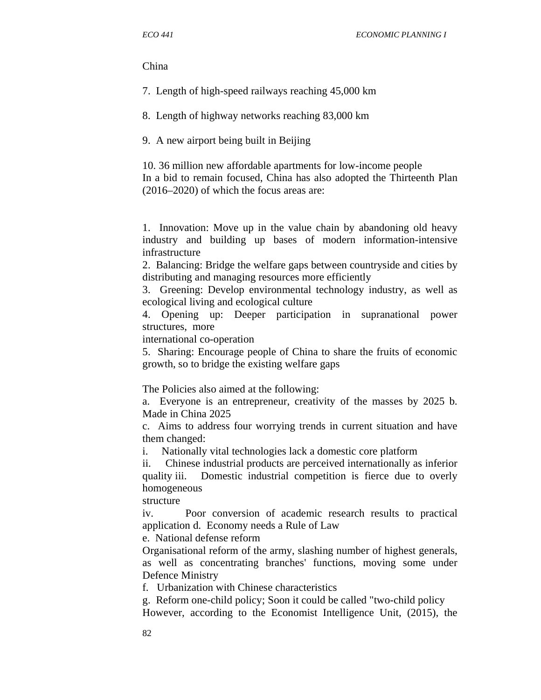China

7. Length of high-speed railways reaching 45,000 km

8. Length of highway networks reaching 83,000 km

9. A new airport being built in Beijing

10. 36 million new affordable apartments for low-income people In a bid to remain focused, China has also adopted the Thirteenth Plan (2016–2020) of which the focus areas are:

1. Innovation: Move up in the value chain by abandoning old heavy industry and building up bases of modern information-intensive infrastructure

2. Balancing: Bridge the welfare gaps between countryside and cities by distributing and managing resources more efficiently

3. Greening: Develop environmental technology industry, as well as ecological living and ecological culture

4. Opening up: Deeper participation in supranational power structures, more

international co-operation

5. Sharing: Encourage people of China to share the fruits of economic growth, so to bridge the existing welfare gaps

The Policies also aimed at the following:

a. Everyone is an entrepreneur, creativity of the masses by 2025 b. Made in China 2025

c. Aims to address four worrying trends in current situation and have them changed:

i. Nationally vital technologies lack a domestic core platform

ii. Chinese industrial products are perceived internationally as inferior quality iii. Domestic industrial competition is fierce due to overly homogeneous

structure

iv. Poor conversion of academic research results to practical application d. Economy needs a Rule of Law

e. National defense reform

Organisational reform of the army, slashing number of highest generals, as well as concentrating branches' functions, moving some under Defence Ministry

f. Urbanization with Chinese characteristics

g. Reform one-child policy; Soon it could be called "two-child policy However, according to the Economist Intelligence Unit, (2015), the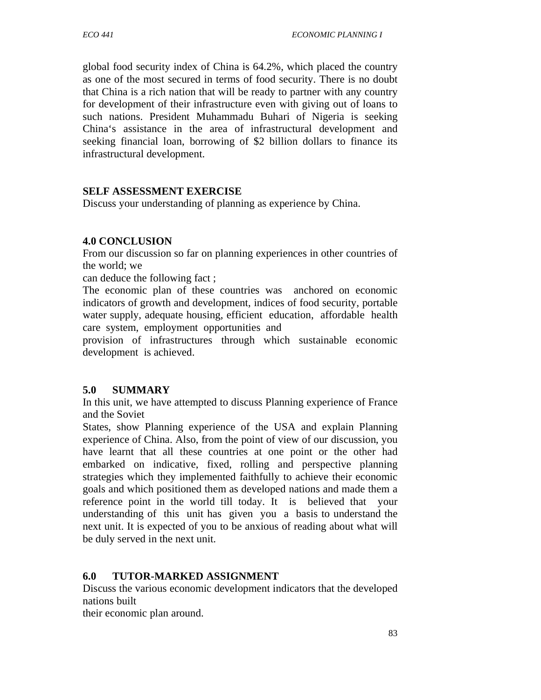global food security index of China is 64.2%, which placed the country as one of the most secured in terms of food security. There is no doubt that China is a rich nation that will be ready to partner with any country for development of their infrastructure even with giving out of loans to such nations. President Muhammadu Buhari of Nigeria is seeking China's assistance in the area of infrastructural development and seeking financial loan, borrowing of \$2 billion dollars to finance its infrastructural development.

## **SELF ASSESSMENT EXERCISE**

Discuss your understanding of planning as experience by China.

### **4.0 CONCLUSION**

From our discussion so far on planning experiences in other countries of the world; we

can deduce the following fact ;

The economic plan of these countries was anchored on economic indicators of growth and development, indices of food security, portable water supply, adequate housing, efficient education, affordable health care system, employment opportunities and

provision of infrastructures through which sustainable economic development is achieved.

### **5.0 SUMMARY**

In this unit, we have attempted to discuss Planning experience of France and the Soviet

States, show Planning experience of the USA and explain Planning experience of China. Also, from the point of view of our discussion, you have learnt that all these countries at one point or the other had embarked on indicative, fixed, rolling and perspective planning strategies which they implemented faithfully to achieve their economic goals and which positioned them as developed nations and made them a reference point in the world till today. It is believed that your understanding of this unit has given you a basis to understand the next unit. It is expected of you to be anxious of reading about what will be duly served in the next unit.

## **6.0 TUTOR-MARKED ASSIGNMENT**

Discuss the various economic development indicators that the developed nations built

their economic plan around.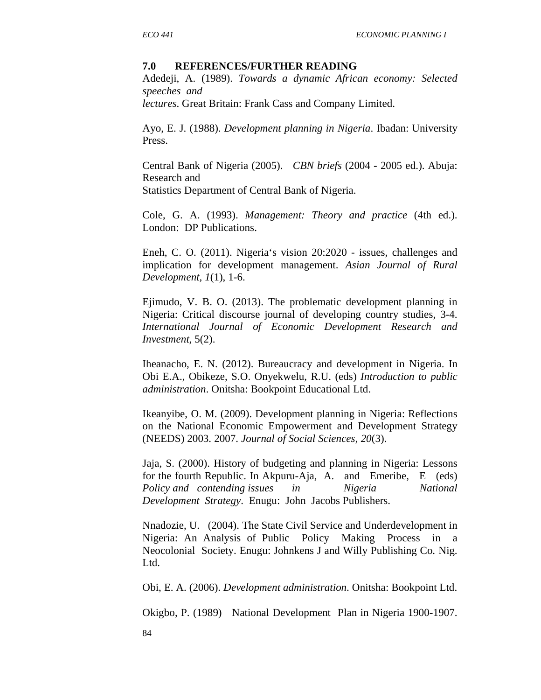#### **7.0 REFERENCES/FURTHER READING**

Adedeji, A. (1989). *Towards a dynamic African economy: Selected speeches and*

*lectures*. Great Britain: Frank Cass and Company Limited.

Ayo, E. J. (1988). *Development planning in Nigeria*. Ibadan: University Press.

Central Bank of Nigeria (2005). *CBN briefs* (2004 - 2005 ed.). Abuja: Research and Statistics Department of Central Bank of Nigeria.

Cole, G. A. (1993). *Management: Theory and practice* (4th ed.). London: DP Publications.

Eneh, C. O. (2011). Nigeria's vision 20:2020 - issues, challenges and implication for development management. *Asian Journal of Rural Development, 1*(1), 1-6.

Ejimudo, V. B. O. (2013). The problematic development planning in Nigeria: Critical discourse journal of developing country studies, 3-4. *International Journal of Economic Development Research and Investment*, 5(2).

Iheanacho, E. N. (2012). Bureaucracy and development in Nigeria. In Obi E.A., Obikeze, S.O. Onyekwelu, R.U. (eds) *Introduction to public administration*. Onitsha: Bookpoint Educational Ltd.

Ikeanyibe, O. M. (2009). Development planning in Nigeria: Reflections on the National Economic Empowerment and Development Strategy (NEEDS) 2003. 2007. *Journal of Social Sciences, 20*(3).

Jaja, S. (2000). History of budgeting and planning in Nigeria: Lessons for the fourth Republic. In Akpuru-Aja, A. and Emeribe, E (eds) *Policy and contending issues in Migeria Mational Development Strategy*. Enugu: John Jacobs Publishers.

Nnadozie, U. (2004). The State Civil Service and Underdevelopment in Nigeria: An Analysis of Public Policy Making Process in a Neocolonial Society. Enugu: Johnkens J and Willy Publishing Co. Nig. Ltd.

Obi, E. A. (2006). *Development administration*. Onitsha: Bookpoint Ltd.

Okigbo, P. (1989) National Development Plan in Nigeria 1900-1907.

84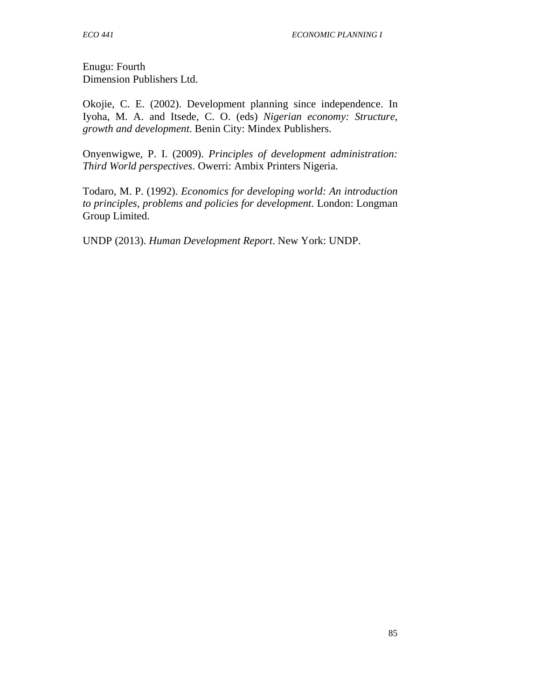Enugu: Fourth Dimension Publishers Ltd.

Okojie, C. E. (2002). Development planning since independence. In Iyoha, M. A. and Itsede, C. O. (eds) *Nigerian economy: Structure, growth and development*. Benin City: Mindex Publishers.

Onyenwigwe, P. I. (2009). *Principles of development administration: Third World perspectives*. Owerri: Ambix Printers Nigeria.

Todaro, M. P. (1992). *Economics for developing world: An introduction to principles, problems and policies for development*. London: Longman Group Limited.

UNDP (2013). *Human Development Report*. New York: UNDP.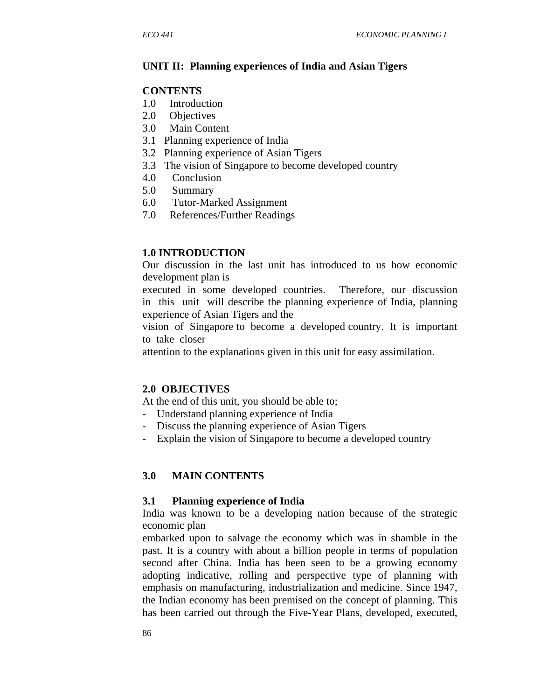### **UNIT II: Planning experiences of India and Asian Tigers**

#### **CONTENTS**

- 1.0 Introduction
- 2.0 Objectives
- 3.0 Main Content
- 3.1 Planning experience of India
- 3.2 Planning experience of Asian Tigers
- 3.3 The vision of Singapore to become developed country
- 4.0 Conclusion
- 5.0 Summary
- 6.0 Tutor-Marked Assignment
- 7.0 References/Further Readings

#### **1.0 INTRODUCTION**

Our discussion in the last unit has introduced to us how economic development plan is

executed in some developed countries. Therefore, our discussion in this unit will describe the planning experience of India, planning experience of Asian Tigers and the

vision of Singapore to become a developed country. It is important to take closer

attention to the explanations given in this unit for easy assimilation.

#### **2.0 OBJECTIVES**

At the end of this unit, you should be able to;

- Understand planning experience of India
- Discuss the planning experience of Asian Tigers
- Explain the vision of Singapore to become a developed country

### **3.0 MAIN CONTENTS**

#### **3.1 Planning experience of India**

India was known to be a developing nation because of the strategic economic plan

embarked upon to salvage the economy which was in shamble in the past. It is a country with about a billion people in terms of population second after China. India has been seen to be a growing economy adopting indicative, rolling and perspective type of planning with emphasis on manufacturing, industrialization and medicine. Since 1947, the Indian economy has been premised on the concept of planning. This has been carried out through the Five-Year Plans, developed, executed,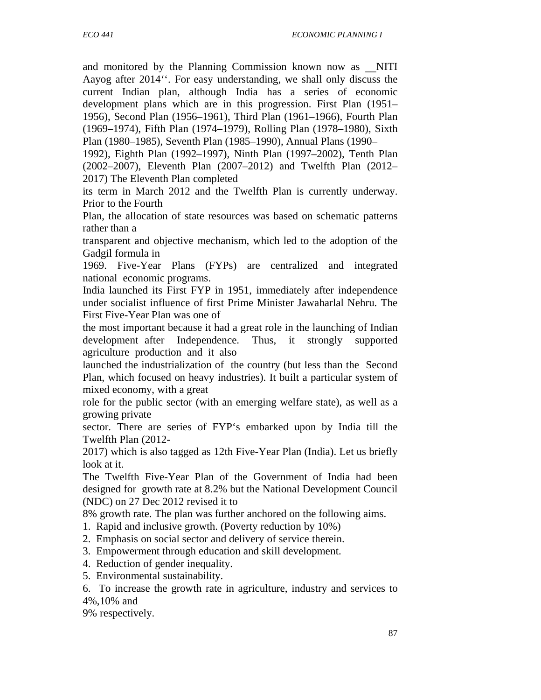and monitored by the Planning Commission known now as NITI Aayog after 2014''. For easy understanding, we shall only discuss the current Indian plan, although India has a series of economic development plans which are in this progression. First Plan (1951– 1956), Second Plan (1956–1961), Third Plan (1961–1966), Fourth Plan (1969–1974), Fifth Plan (1974–1979), Rolling Plan (1978–1980), Sixth Plan (1980–1985), Seventh Plan (1985–1990), Annual Plans (1990–

1992), Eighth Plan (1992–1997), Ninth Plan (1997–2002), Tenth Plan (2002–2007), Eleventh Plan (2007–2012) and Twelfth Plan (2012– 2017) The Eleventh Plan completed

its term in March 2012 and the Twelfth Plan is currently underway. Prior to the Fourth

Plan, the allocation of state resources was based on schematic patterns rather than a

transparent and objective mechanism, which led to the adoption of the Gadgil formula in

1969. Five-Year Plans (FYPs) are centralized and integrated national economic programs.

India launched its First FYP in 1951, immediately after independence under socialist influence of first Prime Minister Jawaharlal Nehru. The First Five-Year Plan was one of

the most important because it had a great role in the launching of Indian development after Independence. Thus, it strongly supported agriculture production and it also

launched the industrialization of the country (but less than the Second Plan, which focused on heavy industries). It built a particular system of mixed economy, with a great

role for the public sector (with an emerging welfare state), as well as a growing private

sector. There are series of FYP's embarked upon by India till the Twelfth Plan (2012-

2017) which is also tagged as 12th Five-Year Plan (India). Let us briefly look at it.

The Twelfth Five-Year Plan of the Government of India had been designed for growth rate at 8.2% but the National Development Council (NDC) on 27 Dec 2012 revised it to

8% growth rate. The plan was further anchored on the following aims.

1. Rapid and inclusive growth. (Poverty reduction by 10%)

2. Emphasis on social sector and delivery of service therein.

3. Empowerment through education and skill development.

- 4. Reduction of gender inequality.
- 5. Environmental sustainability.

6. To increase the growth rate in agriculture, industry and services to 4%,10% and

9% respectively.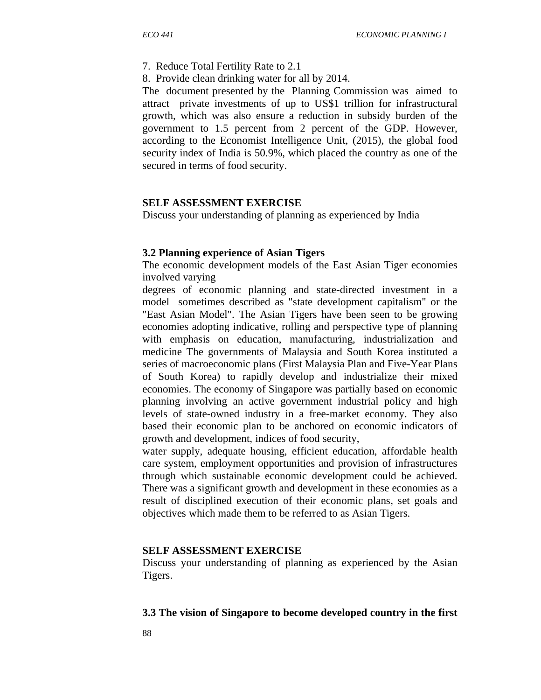- 7. Reduce Total Fertility Rate to 2.1
- 8. Provide clean drinking water for all by 2014.

The document presented by the Planning Commission was aimed to attract private investments of up to US\$1 trillion for infrastructural growth, which was also ensure a reduction in subsidy burden of the government to 1.5 percent from 2 percent of the GDP. However, according to the Economist Intelligence Unit, (2015), the global food security index of India is 50.9%, which placed the country as one of the secured in terms of food security.

### **SELF ASSESSMENT EXERCISE**

Discuss your understanding of planning as experienced by India

#### **3.2 Planning experience of Asian Tigers**

The economic development models of the East Asian Tiger economies involved varying

degrees of economic planning and state-directed investment in a model sometimes described as "state development capitalism" or the "East Asian Model". The Asian Tigers have been seen to be growing economies adopting indicative, rolling and perspective type of planning with emphasis on education, manufacturing, industrialization and medicine The governments of Malaysia and South Korea instituted a series of macroeconomic plans (First Malaysia Plan and Five-Year Plans of South Korea) to rapidly develop and industrialize their mixed economies. The economy of Singapore was partially based on economic planning involving an active government industrial policy and high levels of state-owned industry in a free-market economy. They also based their economic plan to be anchored on economic indicators of growth and development, indices of food security,

water supply, adequate housing, efficient education, affordable health care system, employment opportunities and provision of infrastructures through which sustainable economic development could be achieved. There was a significant growth and development in these economies as a result of disciplined execution of their economic plans, set goals and objectives which made them to be referred to as Asian Tigers.

#### **SELF ASSESSMENT EXERCISE**

Discuss your understanding of planning as experienced by the Asian Tigers.

#### **3.3 The vision of Singapore to become developed country in the first**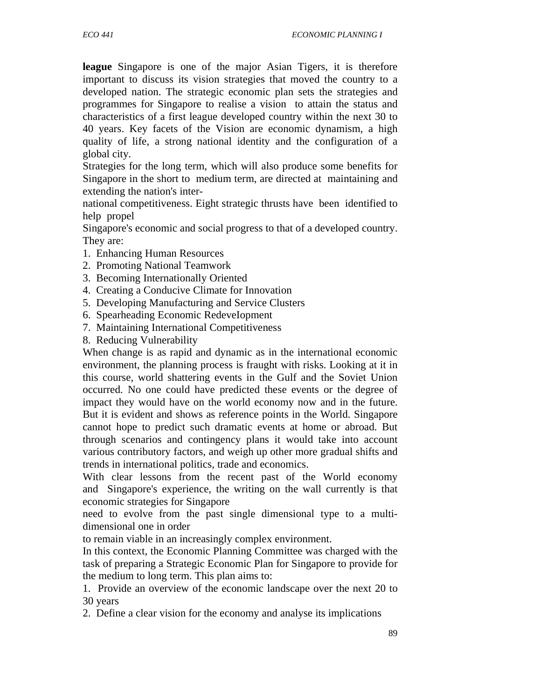**league** Singapore is one of the major Asian Tigers, it is therefore important to discuss its vision strategies that moved the country to a developed nation. The strategic economic plan sets the strategies and programmes for Singapore to realise a vision to attain the status and characteristics of a first league developed country within the next 30 to 40 years. Key facets of the Vision are economic dynamism, a high quality of life, a strong national identity and the configuration of a global city.

Strategies for the long term, which will also produce some benefits for Singapore in the short to medium term, are directed at maintaining and extending the nation's inter-

national competitiveness. Eight strategic thrusts have been identified to help propel

Singapore's economic and social progress to that of a developed country. They are:

- 1. Enhancing Human Resources
- 2. Promoting National Teamwork
- 3. Becoming Internationally Oriented
- 4. Creating a Conducive Climate for Innovation
- 5. Developing Manufacturing and Service Clusters
- 6. Spearheading Economic RedeveIopment
- 7. Maintaining International Competitiveness
- 8. Reducing Vulnerability

When change is as rapid and dynamic as in the international economic environment, the planning process is fraught with risks. Looking at it in this course, world shattering events in the Gulf and the Soviet Union occurred. No one could have predicted these events or the degree of impact they would have on the world economy now and in the future. But it is evident and shows as reference points in the World. Singapore cannot hope to predict such dramatic events at home or abroad. But through scenarios and contingency plans it would take into account various contributory factors, and weigh up other more gradual shifts and trends in international politics, trade and economics.

With clear lessons from the recent past of the World economy and Singapore's experience, the writing on the wall currently is that economic strategies for Singapore

need to evolve from the past single dimensional type to a multidimensional one in order

to remain viable in an increasingly complex environment.

In this context, the Economic Planning Committee was charged with the task of preparing a Strategic Economic Plan for Singapore to provide for the medium to long term. This plan aims to:

1. Provide an overview of the economic landscape over the next 20 to 30 years

2. Define a clear vision for the economy and analyse its implications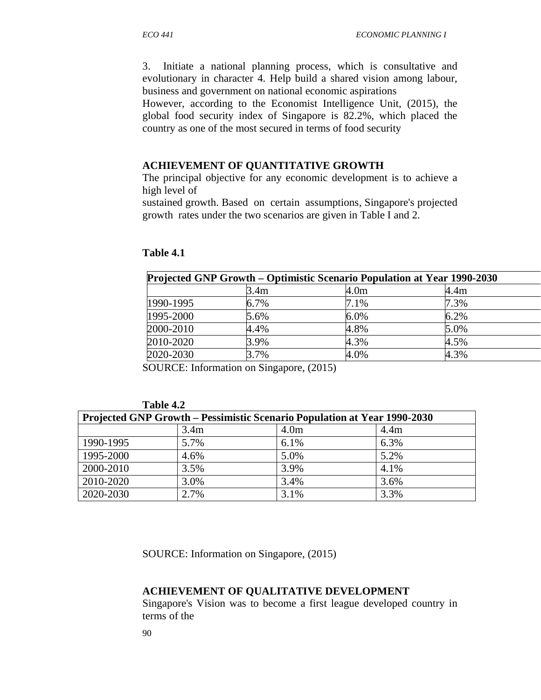3. Initiate a national planning process, which is consultative and evolutionary in character 4. Help build a shared vision among labour, business and government on national economic aspirations

However, according to the Economist Intelligence Unit, (2015), the global food security index of Singapore is 82.2%, which placed the country as one of the most secured in terms of food security

### **ACHIEVEMENT OF QUANTITATIVE GROWTH**

The principal objective for any economic development is to achieve a high level of

sustained growth. Based on certain assumptions, Singapore's projected growth rates under the two scenarios are given in Table I and 2.

| <b>Projected GNP Growth – Optimistic Scenario Population at Year 1990-2030</b> |      |                  |      |  |
|--------------------------------------------------------------------------------|------|------------------|------|--|
|                                                                                | 3.4m | 4.0 <sub>m</sub> | 4.4m |  |
| 1990-1995                                                                      | 6.7% | 7.1%             | 7.3% |  |
| 1995-2000                                                                      | 5.6% | 6.0%             | 6.2% |  |
| 2000-2010                                                                      | 4.4% | 4.8%             | 5.0% |  |
| 2010-2020                                                                      | 3.9% | 4.3%             | 4.5% |  |
| 2020-2030                                                                      | 3.7% | 4.0%             | 4.3% |  |

### **Table 4.1**

SOURCE: Information on Singapore, (2015)

|                                                                                 | Table 4.2 |                  |      |  |
|---------------------------------------------------------------------------------|-----------|------------------|------|--|
| <b>Projected GNP Growth – Pessimistic Scenario Population at Year 1990-2030</b> |           |                  |      |  |
|                                                                                 | 3.4m      | 4.0 <sub>m</sub> | 4.4m |  |
| 1990-1995                                                                       | 5.7%      | 6.1%             | 6.3% |  |
| 1995-2000                                                                       | 4.6%      | 5.0%             | 5.2% |  |
| 2000-2010                                                                       | 3.5%      | 3.9%             | 4.1% |  |
| 2010-2020                                                                       | 3.0%      | 3.4%             | 3.6% |  |
| 2020-2030                                                                       | 2.7%      | 3.1%             | 3.3% |  |

SOURCE: Information on Singapore, (2015)

#### **ACHIEVEMENT OF QUALITATIVE DEVELOPMENT**

Singapore's Vision was to become a first league developed country in terms of the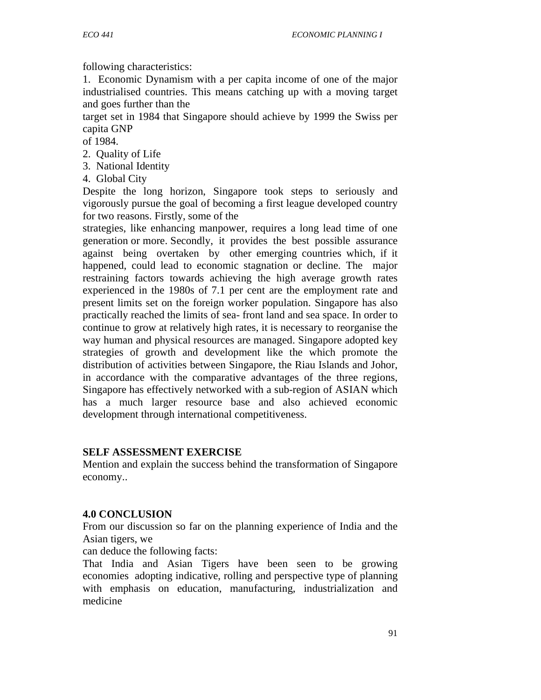following characteristics:

1. Economic Dynamism with a per capita income of one of the major industrialised countries. This means catching up with a moving target and goes further than the

target set in 1984 that Singapore should achieve by 1999 the Swiss per capita GNP

of 1984.

- 2. Quality of Life
- 3. National Identity
- 4. Global City

Despite the long horizon, Singapore took steps to seriously and vigorously pursue the goal of becoming a first league developed country for two reasons. Firstly, some of the

strategies, like enhancing manpower, requires a long lead time of one generation or more. Secondly, it provides the best possible assurance against being overtaken by other emerging countries which, if it happened, could lead to economic stagnation or decline. The major restraining factors towards achieving the high average growth rates experienced in the 1980s of 7.1 per cent are the employment rate and present limits set on the foreign worker population. Singapore has also practically reached the limits of sea- front land and sea space. In order to continue to grow at relatively high rates, it is necessary to reorganise the way human and physical resources are managed. Singapore adopted key strategies of growth and development like the which promote the distribution of activities between Singapore, the Riau Islands and Johor, in accordance with the comparative advantages of the three regions, Singapore has effectively networked with a sub-region of ASIAN which has a much larger resource base and also achieved economic development through international competitiveness.

## **SELF ASSESSMENT EXERCISE**

Mention and explain the success behind the transformation of Singapore economy..

## **4.0 CONCLUSION**

From our discussion so far on the planning experience of India and the Asian tigers, we

can deduce the following facts:

That India and Asian Tigers have been seen to be growing economies adopting indicative, rolling and perspective type of planning with emphasis on education, manufacturing, industrialization and medicine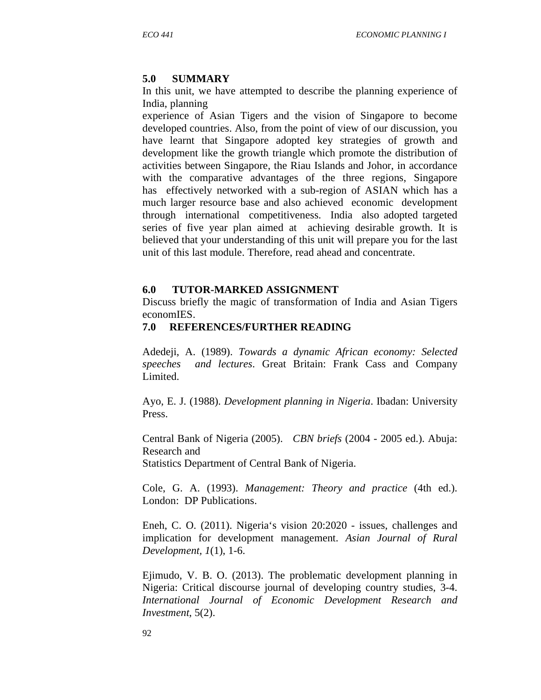# **5.0 SUMMARY**

In this unit, we have attempted to describe the planning experience of India, planning

experience of Asian Tigers and the vision of Singapore to become developed countries. Also, from the point of view of our discussion, you have learnt that Singapore adopted key strategies of growth and development like the growth triangle which promote the distribution of activities between Singapore, the Riau Islands and Johor, in accordance with the comparative advantages of the three regions, Singapore has effectively networked with a sub-region of ASIAN which has a much larger resource base and also achieved economic development through international competitiveness. India also adopted targeted series of five year plan aimed at achieving desirable growth. It is believed that your understanding of this unit will prepare you for the last unit of this last module. Therefore, read ahead and concentrate.

# **6.0 TUTOR-MARKED ASSIGNMENT**

Discuss briefly the magic of transformation of India and Asian Tigers economIES.

## **7.0 REFERENCES/FURTHER READING**

Adedeji, A. (1989). *Towards a dynamic African economy: Selected speeches and lectures*. Great Britain: Frank Cass and Company Limited.

Ayo, E. J. (1988). *Development planning in Nigeria*. Ibadan: University Press.

Central Bank of Nigeria (2005). *CBN briefs* (2004 - 2005 ed.). Abuja: Research and Statistics Department of Central Bank of Nigeria.

Cole, G. A. (1993). *Management: Theory and practice* (4th ed.). London: DP Publications.

Eneh, C. O. (2011). Nigeria's vision 20:2020 - issues, challenges and implication for development management. *Asian Journal of Rural Development, 1*(1), 1-6.

Ejimudo, V. B. O. (2013). The problematic development planning in Nigeria: Critical discourse journal of developing country studies, 3-4. *International Journal of Economic Development Research and Investment*, 5(2).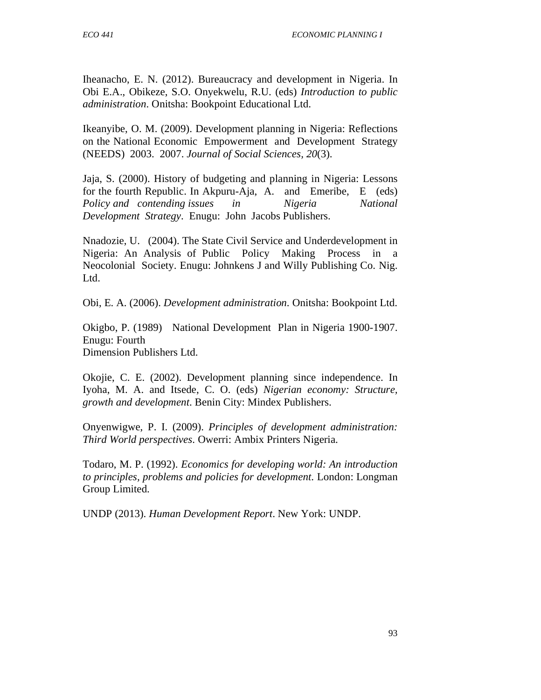*ECO 441 ECONOMIC PLANNING I* 

Iheanacho, E. N. (2012). Bureaucracy and development in Nigeria. In Obi E.A., Obikeze, S.O. Onyekwelu, R.U. (eds) *Introduction to public administration*. Onitsha: Bookpoint Educational Ltd.

Ikeanyibe, O. M. (2009). Development planning in Nigeria: Reflections on the National Economic Empowerment and Development Strategy (NEEDS) 2003. 2007. *Journal of Social Sciences, 20*(3).

Jaja, S. (2000). History of budgeting and planning in Nigeria: Lessons for the fourth Republic. In Akpuru-Aja, A. and Emeribe, E (eds) *Policy and contending issues in Migeria Mational Development Strategy*. Enugu: John Jacobs Publishers.

Nnadozie, U. (2004). The State Civil Service and Underdevelopment in Nigeria: An Analysis of Public Policy Making Process in a Neocolonial Society. Enugu: Johnkens J and Willy Publishing Co. Nig. Ltd.

Obi, E. A. (2006). *Development administration*. Onitsha: Bookpoint Ltd.

Okigbo, P. (1989) National Development Plan in Nigeria 1900-1907. Enugu: Fourth Dimension Publishers Ltd.

Okojie, C. E. (2002). Development planning since independence. In Iyoha, M. A. and Itsede, C. O. (eds) *Nigerian economy: Structure, growth and development*. Benin City: Mindex Publishers.

Onyenwigwe, P. I. (2009). *Principles of development administration: Third World perspectives*. Owerri: Ambix Printers Nigeria.

Todaro, M. P. (1992). *Economics for developing world: An introduction to principles, problems and policies for development*. London: Longman Group Limited.

UNDP (2013). *Human Development Report*. New York: UNDP.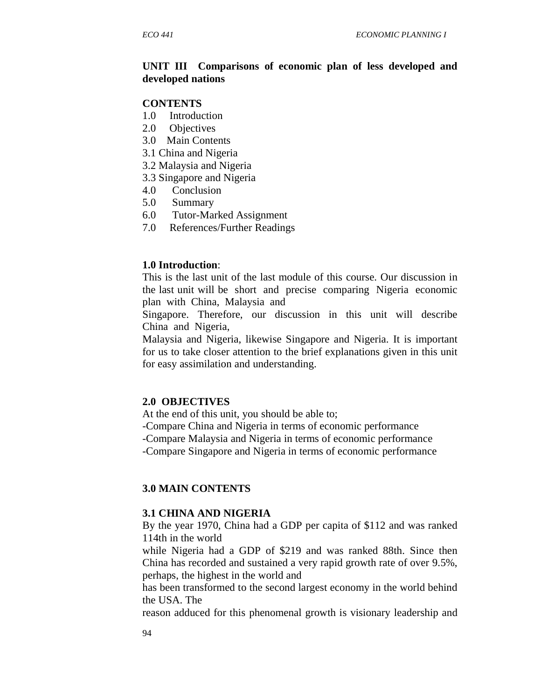### **UNIT III Comparisons of economic plan of less developed and developed nations**

#### **CONTENTS**

- 1.0 Introduction
- 2.0 Objectives
- 3.0 Main Contents
- 3.1 China and Nigeria
- 3.2 Malaysia and Nigeria
- 3.3 Singapore and Nigeria
- 4.0 Conclusion
- 5.0 Summary
- 6.0 Tutor-Marked Assignment
- 7.0 References/Further Readings

### **1.0 Introduction**:

This is the last unit of the last module of this course. Our discussion in the last unit will be short and precise comparing Nigeria economic plan with China, Malaysia and

Singapore. Therefore, our discussion in this unit will describe China and Nigeria,

Malaysia and Nigeria, likewise Singapore and Nigeria. It is important for us to take closer attention to the brief explanations given in this unit for easy assimilation and understanding.

#### **2.0 OBJECTIVES**

At the end of this unit, you should be able to;

- -Compare China and Nigeria in terms of economic performance
- -Compare Malaysia and Nigeria in terms of economic performance
- -Compare Singapore and Nigeria in terms of economic performance

### **3.0 MAIN CONTENTS**

#### **3.1 CHINA AND NIGERIA**

By the year 1970, China had a GDP per capita of \$112 and was ranked 114th in the world

while Nigeria had a GDP of \$219 and was ranked 88th. Since then China has recorded and sustained a very rapid growth rate of over 9.5%, perhaps, the highest in the world and

has been transformed to the second largest economy in the world behind the USA. The

reason adduced for this phenomenal growth is visionary leadership and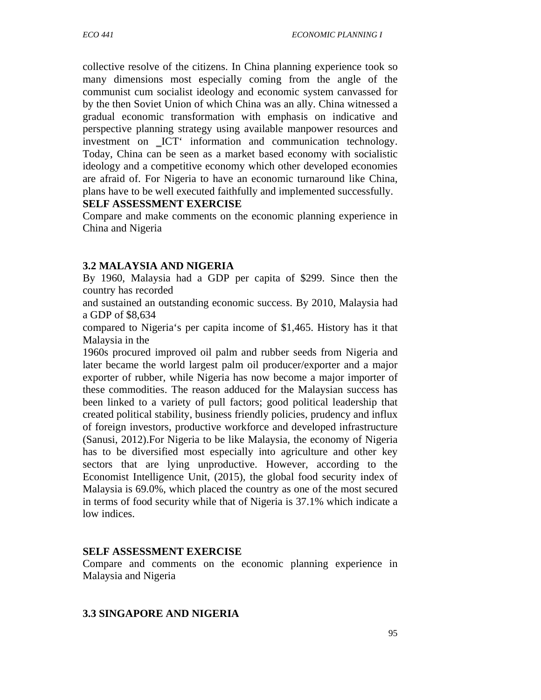collective resolve of the citizens. In China planning experience took so many dimensions most especially coming from the angle of the communist cum socialist ideology and economic system canvassed for by the then Soviet Union of which China was an ally. China witnessed a gradual economic transformation with emphasis on indicative and perspective planning strategy using available manpower resources and investment on ICT<sup>'</sup> information and communication technology. Today, China can be seen as a market based economy with socialistic ideology and a competitive economy which other developed economies are afraid of. For Nigeria to have an economic turnaround like China, plans have to be well executed faithfully and implemented successfully.

# **SELF ASSESSMENT EXERCISE**

Compare and make comments on the economic planning experience in China and Nigeria

### **3.2 MALAYSIA AND NIGERIA**

By 1960, Malaysia had a GDP per capita of \$299. Since then the country has recorded

and sustained an outstanding economic success. By 2010, Malaysia had a GDP of \$8,634

compared to Nigeria's per capita income of \$1,465. History has it that Malaysia in the

1960s procured improved oil palm and rubber seeds from Nigeria and later became the world largest palm oil producer/exporter and a major exporter of rubber, while Nigeria has now become a major importer of these commodities. The reason adduced for the Malaysian success has been linked to a variety of pull factors; good political leadership that created political stability, business friendly policies, prudency and influx of foreign investors, productive workforce and developed infrastructure (Sanusi, 2012).For Nigeria to be like Malaysia, the economy of Nigeria has to be diversified most especially into agriculture and other key sectors that are lying unproductive. However, according to the Economist Intelligence Unit, (2015), the global food security index of Malaysia is 69.0%, which placed the country as one of the most secured in terms of food security while that of Nigeria is 37.1% which indicate a low indices.

#### **SELF ASSESSMENT EXERCISE**

Compare and comments on the economic planning experience in Malaysia and Nigeria

#### **3.3 SINGAPORE AND NIGERIA**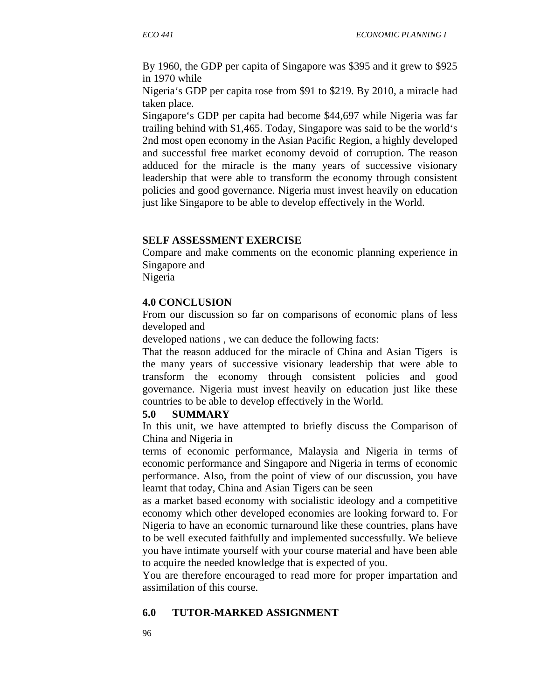By 1960, the GDP per capita of Singapore was \$395 and it grew to \$925 in 1970 while

Nigeria's GDP per capita rose from \$91 to \$219. By 2010, a miracle had taken place.

Singapore's GDP per capita had become \$44,697 while Nigeria was far trailing behind with \$1,465. Today, Singapore was said to be the world's 2nd most open economy in the Asian Pacific Region, a highly developed and successful free market economy devoid of corruption. The reason adduced for the miracle is the many years of successive visionary leadership that were able to transform the economy through consistent policies and good governance. Nigeria must invest heavily on education just like Singapore to be able to develop effectively in the World.

## **SELF ASSESSMENT EXERCISE**

Compare and make comments on the economic planning experience in Singapore and

Nigeria

# **4.0 CONCLUSION**

From our discussion so far on comparisons of economic plans of less developed and

developed nations , we can deduce the following facts:

That the reason adduced for the miracle of China and Asian Tigers is the many years of successive visionary leadership that were able to transform the economy through consistent policies and good governance. Nigeria must invest heavily on education just like these countries to be able to develop effectively in the World.

## **5.0 SUMMARY**

In this unit, we have attempted to briefly discuss the Comparison of China and Nigeria in

terms of economic performance, Malaysia and Nigeria in terms of economic performance and Singapore and Nigeria in terms of economic performance. Also, from the point of view of our discussion, you have learnt that today, China and Asian Tigers can be seen

as a market based economy with socialistic ideology and a competitive economy which other developed economies are looking forward to. For Nigeria to have an economic turnaround like these countries, plans have to be well executed faithfully and implemented successfully. We believe you have intimate yourself with your course material and have been able to acquire the needed knowledge that is expected of you.

You are therefore encouraged to read more for proper impartation and assimilation of this course.

# **6.0 TUTOR-MARKED ASSIGNMENT**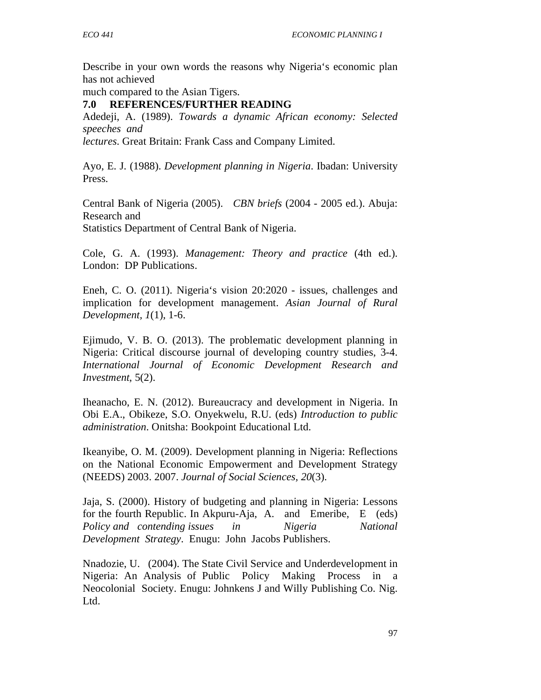Describe in your own words the reasons why Nigeria's economic plan has not achieved

much compared to the Asian Tigers.

# **7.0 REFERENCES/FURTHER READING**

Adedeji, A. (1989). *Towards a dynamic African economy: Selected speeches and*

*lectures*. Great Britain: Frank Cass and Company Limited.

Ayo, E. J. (1988). *Development planning in Nigeria*. Ibadan: University Press.

Central Bank of Nigeria (2005). *CBN briefs* (2004 - 2005 ed.). Abuja: Research and Statistics Department of Central Bank of Nigeria.

Cole, G. A. (1993). *Management: Theory and practice* (4th ed.). London: DP Publications.

Eneh, C. O. (2011). Nigeria's vision 20:2020 - issues, challenges and implication for development management. *Asian Journal of Rural Development, 1*(1), 1-6.

Ejimudo, V. B. O. (2013). The problematic development planning in Nigeria: Critical discourse journal of developing country studies, 3-4. *International Journal of Economic Development Research and Investment*, 5(2).

Iheanacho, E. N. (2012). Bureaucracy and development in Nigeria. In Obi E.A., Obikeze, S.O. Onyekwelu, R.U. (eds) *Introduction to public administration*. Onitsha: Bookpoint Educational Ltd.

Ikeanyibe, O. M. (2009). Development planning in Nigeria: Reflections on the National Economic Empowerment and Development Strategy (NEEDS) 2003. 2007. *Journal of Social Sciences, 20*(3).

Jaja, S. (2000). History of budgeting and planning in Nigeria: Lessons for the fourth Republic. In Akpuru-Aja, A. and Emeribe, E (eds) *Policy and contending issues in Migeria Mational Development Strategy*. Enugu: John Jacobs Publishers.

Nnadozie, U. (2004). The State Civil Service and Underdevelopment in Nigeria: An Analysis of Public Policy Making Process in a Neocolonial Society. Enugu: Johnkens J and Willy Publishing Co. Nig. Ltd.